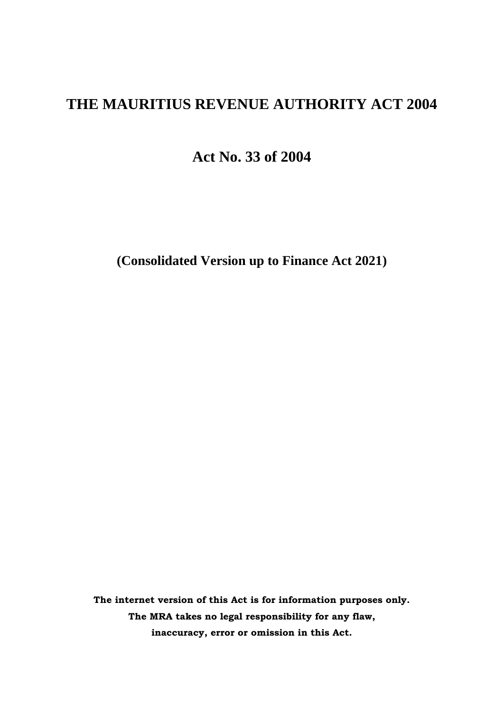# **THE MAURITIUS REVENUE AUTHORITY ACT 2004**

**Act No. 33 of 2004**

**(Consolidated Version up to Finance Act 2021)**

**The internet version of this Act is for information purposes only. The MRA takes no legal responsibility for any flaw, inaccuracy, error or omission in this Act.**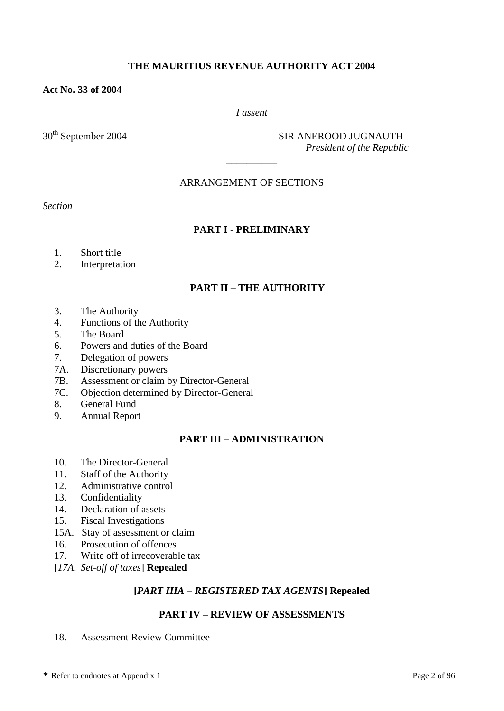#### **THE MAURITIUS REVENUE AUTHORITY ACT 2004**

#### **Act No. 33 of 2004**

#### *I assent*

30<sup>th</sup> September 2004 SIR ANEROOD JUGNAUTH  *President of the Republic*

#### ARRANGEMENT OF SECTIONS

 $\overline{\phantom{a}}$  ,  $\overline{\phantom{a}}$  ,  $\overline{\phantom{a}}$  ,  $\overline{\phantom{a}}$  ,  $\overline{\phantom{a}}$  ,  $\overline{\phantom{a}}$  ,  $\overline{\phantom{a}}$  ,  $\overline{\phantom{a}}$  ,  $\overline{\phantom{a}}$  ,  $\overline{\phantom{a}}$  ,  $\overline{\phantom{a}}$  ,  $\overline{\phantom{a}}$  ,  $\overline{\phantom{a}}$  ,  $\overline{\phantom{a}}$  ,  $\overline{\phantom{a}}$  ,  $\overline{\phantom{a}}$ 

*Section*

### **PART I - PRELIMINARY**

- 1. Short title
- 2. Interpretation

#### **PART II – THE AUTHORITY**

- 3. The Authority
- 4. Functions of the Authority
- 5. The Board
- 6. Powers and duties of the Board
- 7. Delegation of powers
- 7A. Discretionary powers
- 7B. Assessment or claim by Director-General
- 7C. Objection determined by Director-General
- 8. General Fund
- 9. Annual Report

### **PART III** – **ADMINISTRATION**

- 10. The Director-General
- 11. Staff of the Authority
- 12. Administrative control
- 13. Confidentiality
- 14. Declaration of assets
- 15. Fiscal Investigations
- 15A. Stay of assessment or claim
- 16. Prosecution of offences
- 17. Write off of irrecoverable tax
- [*17A. Set-off of taxes*] **Repealed**

#### **[***PART IIIA – REGISTERED TAX AGENTS***] Repealed**

#### **PART IV – REVIEW OF ASSESSMENTS**

18. Assessment Review Committee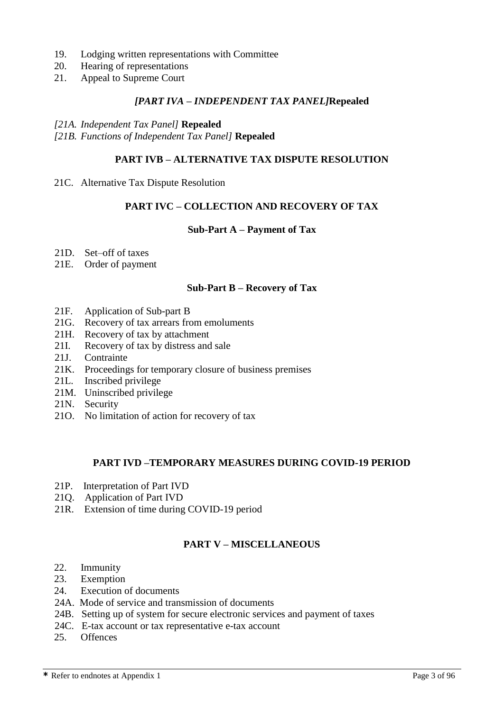- 19. Lodging written representations with Committee
- 20. Hearing of representations
- 21. Appeal to Supreme Court

#### *[PART IVA – INDEPENDENT TAX PANEL]***Repealed**

#### *[21A. Independent Tax Panel]* **Repealed**

*[21B. Functions of Independent Tax Panel]* **Repealed**

#### **PART IVB – ALTERNATIVE TAX DISPUTE RESOLUTION**

21C. Alternative Tax Dispute Resolution

#### **PART IVC – COLLECTION AND RECOVERY OF TAX**

#### **Sub-Part A – Payment of Tax**

- 21D. Set–off of taxes
- 21E. Order of payment

#### **Sub-Part B – Recovery of Tax**

- 21F. Application of Sub-part B
- 21G. Recovery of tax arrears from emoluments
- 21H. Recovery of tax by attachment
- 21I. Recovery of tax by distress and sale
- 21J. Contrainte
- 21K. Proceedings for temporary closure of business premises
- 21L. Inscribed privilege
- 21M. Uninscribed privilege
- 21N. Security
- 21O. No limitation of action for recovery of tax

#### **PART IVD –TEMPORARY MEASURES DURING COVID-19 PERIOD**

- 21P. Interpretation of Part IVD
- 21Q. Application of Part IVD
- 21R. Extension of time during COVID-19 period

### **PART V – MISCELLANEOUS**

- 22. Immunity
- 23. Exemption
- 24. Execution of documents
- 24A. Mode of service and transmission of documents
- 24B. Setting up of system for secure electronic services and payment of taxes
- 24C. E-tax account or tax representative e-tax account
- 25. Offences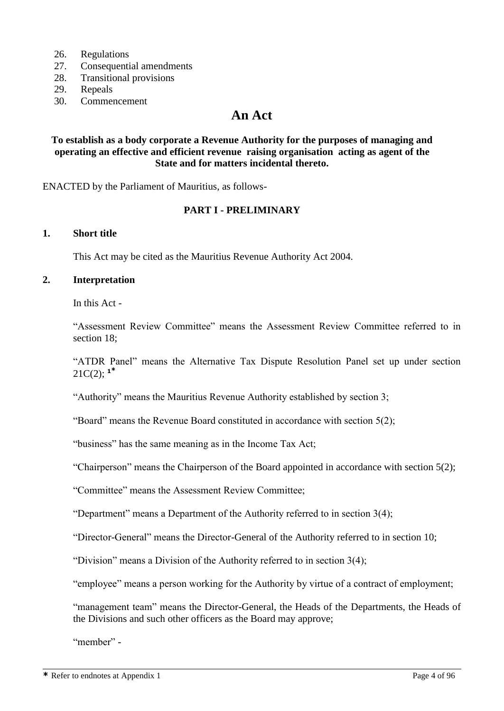- 26. Regulations
- 27. Consequential amendments
- 28. Transitional provisions
- 29. Repeals
- 30. Commencement

# **An Act**

#### **To establish as a body corporate a Revenue Authority for the purposes of managing and operating an effective and efficient revenue raising organisation acting as agent of the State and for matters incidental thereto.**

ENACTED by the Parliament of Mauritius, as follows-

### **PART I - PRELIMINARY**

#### **1. Short title**

This Act may be cited as the Mauritius Revenue Authority Act 2004.

#### **2. Interpretation**

In this Act -

"Assessment Review Committee" means the Assessment Review Committee referred to in section 18;

"ATDR Panel" means the Alternative Tax Dispute Resolution Panel set up under section 21 $C(2)$ ;  $1^*$ 

"Authority" means the Mauritius Revenue Authority established by section 3;

"Board" means the Revenue Board constituted in accordance with section 5(2);

"business" has the same meaning as in the Income Tax Act;

"Chairperson" means the Chairperson of the Board appointed in accordance with section 5(2);

"Committee" means the Assessment Review Committee;

"Department" means a Department of the Authority referred to in section 3(4);

"Director-General" means the Director-General of the Authority referred to in section 10;

"Division" means a Division of the Authority referred to in section 3(4);

"employee" means a person working for the Authority by virtue of a contract of employment;

"management team" means the Director-General, the Heads of the Departments, the Heads of the Divisions and such other officers as the Board may approve;

"member" -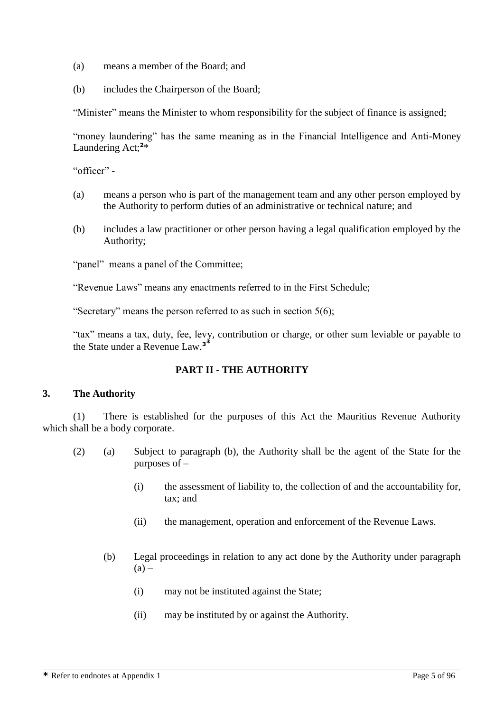- (a) means a member of the Board; and
- (b) includes the Chairperson of the Board;

"Minister" means the Minister to whom responsibility for the subject of finance is assigned;

"money laundering" has the same meaning as in the Financial Intelligence and Anti-Money Laundering Act;**<sup>2</sup>** \*

"officer" -

- (a) means a person who is part of the management team and any other person employed by the Authority to perform duties of an administrative or technical nature; and
- (b) includes a law practitioner or other person having a legal qualification employed by the Authority;

"panel" means a panel of the Committee;

"Revenue Laws" means any enactments referred to in the First Schedule;

"Secretary" means the person referred to as such in section 5(6);

"tax" means a tax, duty, fee, levy, contribution or charge, or other sum leviable or payable to the State under a Revenue Law.**<sup>3</sup>\***

### **PART II - THE AUTHORITY**

#### **3. The Authority**

(1) There is established for the purposes of this Act the Mauritius Revenue Authority which shall be a body corporate.

- (2) (a) Subject to paragraph (b), the Authority shall be the agent of the State for the purposes of –
	- (i) the assessment of liability to, the collection of and the accountability for, tax; and
	- (ii) the management, operation and enforcement of the Revenue Laws.
	- (b) Legal proceedings in relation to any act done by the Authority under paragraph  $(a)$  –
		- (i) may not be instituted against the State;
		- (ii) may be instituted by or against the Authority.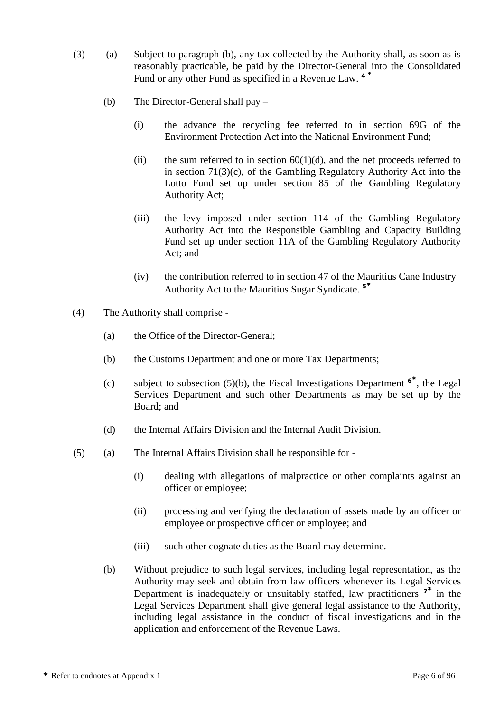- (3) (a) Subject to paragraph (b), any tax collected by the Authority shall, as soon as is reasonably practicable, be paid by the Director-General into the Consolidated Fund or any other Fund as specified in a Revenue Law. **4 \***
	- (b) The Director-General shall pay
		- (i) the advance the recycling fee referred to in section 69G of the Environment Protection Act into the National Environment Fund;
		- (ii) the sum referred to in section  $60(1)(d)$ , and the net proceeds referred to in section 71(3)(c), of the Gambling Regulatory Authority Act into the Lotto Fund set up under section 85 of the Gambling Regulatory Authority Act;
		- (iii) the levy imposed under section 114 of the Gambling Regulatory Authority Act into the Responsible Gambling and Capacity Building Fund set up under section 11A of the Gambling Regulatory Authority Act; and
		- (iv) the contribution referred to in section 47 of the Mauritius Cane Industry Authority Act to the Mauritius Sugar Syndicate. **<sup>5</sup>\***
- (4) The Authority shall comprise
	- (a) the Office of the Director-General;
	- (b) the Customs Department and one or more Tax Departments;
	- (c) subject to subsection (5)(b), the Fiscal Investigations Department **<sup>6</sup>\*** , the Legal Services Department and such other Departments as may be set up by the Board; and
	- (d) the Internal Affairs Division and the Internal Audit Division.
- (5) (a) The Internal Affairs Division shall be responsible for
	- (i) dealing with allegations of malpractice or other complaints against an officer or employee;
	- (ii) processing and verifying the declaration of assets made by an officer or employee or prospective officer or employee; and
	- (iii) such other cognate duties as the Board may determine.
	- (b) Without prejudice to such legal services, including legal representation, as the Authority may seek and obtain from law officers whenever its Legal Services Department is inadequately or unsuitably staffed, law practitioners **<sup>7</sup>\*** in the Legal Services Department shall give general legal assistance to the Authority, including legal assistance in the conduct of fiscal investigations and in the application and enforcement of the Revenue Laws.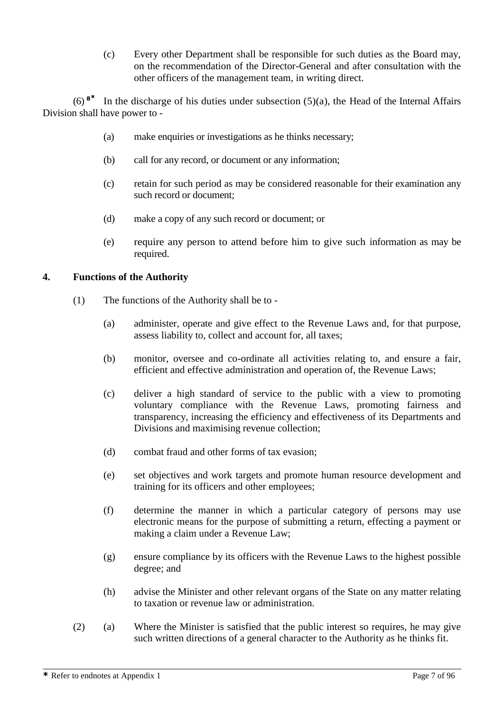(c) Every other Department shall be responsible for such duties as the Board may, on the recommendation of the Director-General and after consultation with the other officers of the management team, in writing direct.

(6) **<sup>8</sup>\*** In the discharge of his duties under subsection  $(5)(a)$ , the Head of the Internal Affairs Division shall have power to -

- (a) make enquiries or investigations as he thinks necessary;
- (b) call for any record, or document or any information;
- (c) retain for such period as may be considered reasonable for their examination any such record or document;
- (d) make a copy of any such record or document; or
- (e) require any person to attend before him to give such information as may be required.

#### **4. Functions of the Authority**

- (1) The functions of the Authority shall be to
	- (a) administer, operate and give effect to the Revenue Laws and, for that purpose, assess liability to, collect and account for, all taxes;
	- (b) monitor, oversee and co-ordinate all activities relating to, and ensure a fair, efficient and effective administration and operation of, the Revenue Laws;
	- (c) deliver a high standard of service to the public with a view to promoting voluntary compliance with the Revenue Laws, promoting fairness and transparency, increasing the efficiency and effectiveness of its Departments and Divisions and maximising revenue collection;
	- (d) combat fraud and other forms of tax evasion;
	- (e) set objectives and work targets and promote human resource development and training for its officers and other employees;
	- (f) determine the manner in which a particular category of persons may use electronic means for the purpose of submitting a return, effecting a payment or making a claim under a Revenue Law;
	- (g) ensure compliance by its officers with the Revenue Laws to the highest possible degree; and
	- (h) advise the Minister and other relevant organs of the State on any matter relating to taxation or revenue law or administration.
- (2) (a) Where the Minister is satisfied that the public interest so requires, he may give such written directions of a general character to the Authority as he thinks fit.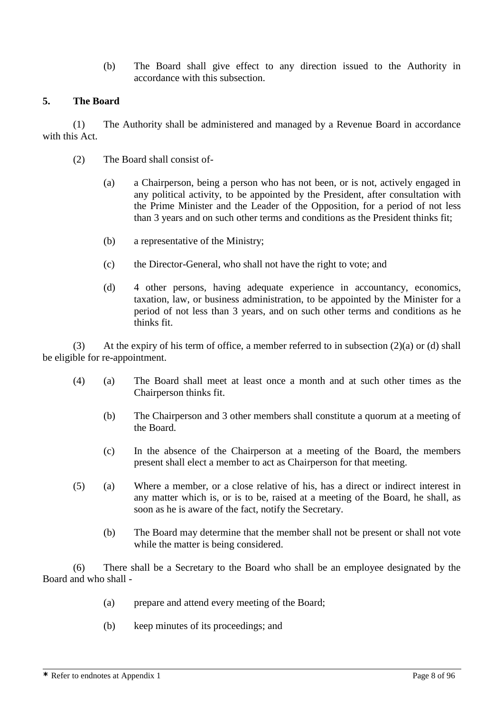(b) The Board shall give effect to any direction issued to the Authority in accordance with this subsection.

### **5. The Board**

(1) The Authority shall be administered and managed by a Revenue Board in accordance with this Act.

- (2) The Board shall consist of-
	- (a) a Chairperson, being a person who has not been, or is not, actively engaged in any political activity, to be appointed by the President, after consultation with the Prime Minister and the Leader of the Opposition, for a period of not less than 3 years and on such other terms and conditions as the President thinks fit;
	- (b) a representative of the Ministry;
	- (c) the Director-General, who shall not have the right to vote; and
	- (d) 4 other persons, having adequate experience in accountancy, economics, taxation, law, or business administration, to be appointed by the Minister for a period of not less than 3 years, and on such other terms and conditions as he thinks fit.

(3) At the expiry of his term of office, a member referred to in subsection  $(2)(a)$  or  $(d)$  shall be eligible for re-appointment.

- (4) (a) The Board shall meet at least once a month and at such other times as the Chairperson thinks fit.
	- (b) The Chairperson and 3 other members shall constitute a quorum at a meeting of the Board.
	- (c) In the absence of the Chairperson at a meeting of the Board, the members present shall elect a member to act as Chairperson for that meeting.
- (5) (a) Where a member, or a close relative of his, has a direct or indirect interest in any matter which is, or is to be, raised at a meeting of the Board, he shall, as soon as he is aware of the fact, notify the Secretary.
	- (b) The Board may determine that the member shall not be present or shall not vote while the matter is being considered.

(6) There shall be a Secretary to the Board who shall be an employee designated by the Board and who shall -

- (a) prepare and attend every meeting of the Board;
- (b) keep minutes of its proceedings; and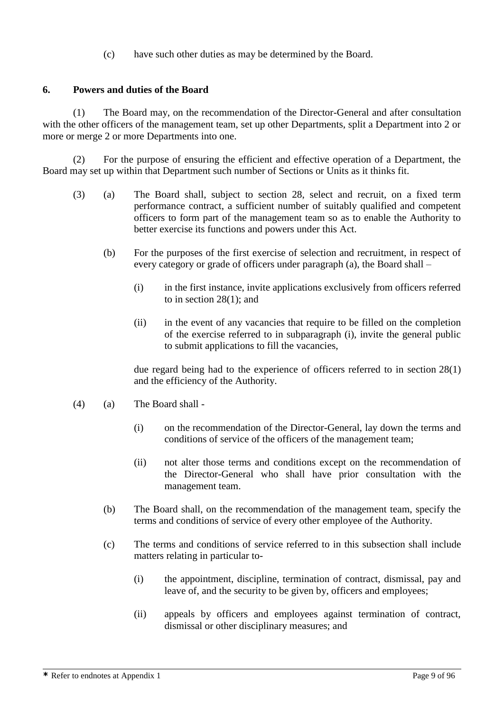(c) have such other duties as may be determined by the Board.

### **6. Powers and duties of the Board**

(1) The Board may, on the recommendation of the Director-General and after consultation with the other officers of the management team, set up other Departments, split a Department into 2 or more or merge 2 or more Departments into one.

(2) For the purpose of ensuring the efficient and effective operation of a Department, the Board may set up within that Department such number of Sections or Units as it thinks fit.

- (3) (a) The Board shall, subject to section 28, select and recruit, on a fixed term performance contract, a sufficient number of suitably qualified and competent officers to form part of the management team so as to enable the Authority to better exercise its functions and powers under this Act.
	- (b) For the purposes of the first exercise of selection and recruitment, in respect of every category or grade of officers under paragraph (a), the Board shall –
		- (i) in the first instance, invite applications exclusively from officers referred to in section 28(1); and
		- (ii) in the event of any vacancies that require to be filled on the completion of the exercise referred to in subparagraph (i), invite the general public to submit applications to fill the vacancies,

due regard being had to the experience of officers referred to in section 28(1) and the efficiency of the Authority.

- (4) (a) The Board shall
	- (i) on the recommendation of the Director-General, lay down the terms and conditions of service of the officers of the management team;
	- (ii) not alter those terms and conditions except on the recommendation of the Director-General who shall have prior consultation with the management team.
	- (b) The Board shall, on the recommendation of the management team, specify the terms and conditions of service of every other employee of the Authority.
	- (c) The terms and conditions of service referred to in this subsection shall include matters relating in particular to-
		- (i) the appointment, discipline, termination of contract, dismissal, pay and leave of, and the security to be given by, officers and employees;
		- (ii) appeals by officers and employees against termination of contract, dismissal or other disciplinary measures; and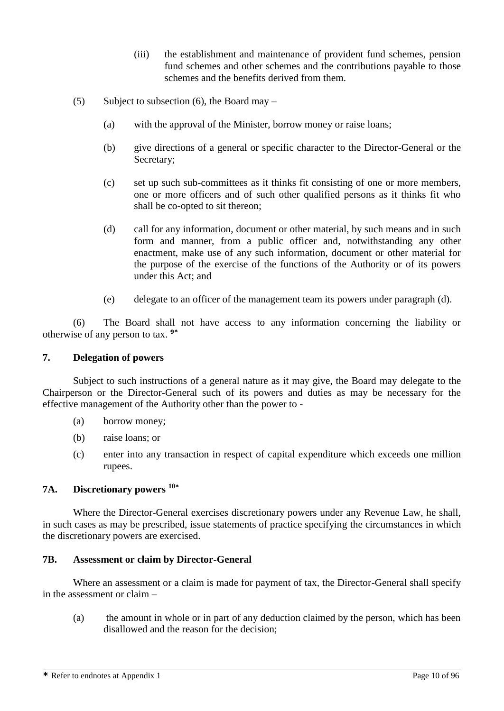- (iii) the establishment and maintenance of provident fund schemes, pension fund schemes and other schemes and the contributions payable to those schemes and the benefits derived from them.
- (5) Subject to subsection (6), the Board may
	- (a) with the approval of the Minister, borrow money or raise loans;
	- (b) give directions of a general or specific character to the Director-General or the Secretary;
	- (c) set up such sub-committees as it thinks fit consisting of one or more members, one or more officers and of such other qualified persons as it thinks fit who shall be co-opted to sit thereon;
	- (d) call for any information, document or other material, by such means and in such form and manner, from a public officer and, notwithstanding any other enactment, make use of any such information, document or other material for the purpose of the exercise of the functions of the Authority or of its powers under this Act; and
	- (e) delegate to an officer of the management team its powers under paragraph (d).

(6) The Board shall not have access to any information concerning the liability or otherwise of any person to tax. **9\***

#### **7. Delegation of powers**

Subject to such instructions of a general nature as it may give, the Board may delegate to the Chairperson or the Director-General such of its powers and duties as may be necessary for the effective management of the Authority other than the power to -

- (a) borrow money;
- (b) raise loans; or
- (c) enter into any transaction in respect of capital expenditure which exceeds one million rupees.

### **7A. Discretionary powers <sup>10</sup>\***

Where the Director-General exercises discretionary powers under any Revenue Law, he shall, in such cases as may be prescribed, issue statements of practice specifying the circumstances in which the discretionary powers are exercised.

#### **7B. Assessment or claim by Director-General**

Where an assessment or a claim is made for payment of tax, the Director-General shall specify in the assessment or claim –

(a) the amount in whole or in part of any deduction claimed by the person, which has been disallowed and the reason for the decision;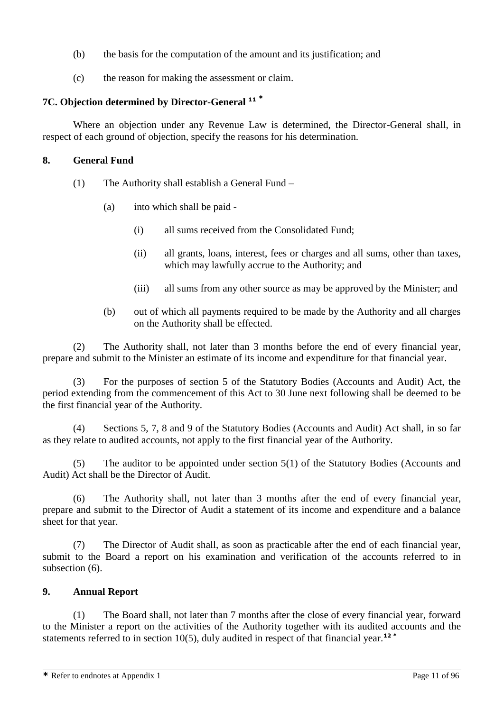- (b) the basis for the computation of the amount and its justification; and
- (c) the reason for making the assessment or claim.

### **7C. Objection determined by Director-General <sup>11</sup> \***

Where an objection under any Revenue Law is determined, the Director-General shall, in respect of each ground of objection, specify the reasons for his determination.

#### **8. General Fund**

- (1) The Authority shall establish a General Fund
	- (a) into which shall be paid
		- (i) all sums received from the Consolidated Fund;
		- (ii) all grants, loans, interest, fees or charges and all sums, other than taxes, which may lawfully accrue to the Authority; and
		- (iii) all sums from any other source as may be approved by the Minister; and
	- (b) out of which all payments required to be made by the Authority and all charges on the Authority shall be effected.

(2) The Authority shall, not later than 3 months before the end of every financial year, prepare and submit to the Minister an estimate of its income and expenditure for that financial year.

(3) For the purposes of section 5 of the Statutory Bodies (Accounts and Audit) Act, the period extending from the commencement of this Act to 30 June next following shall be deemed to be the first financial year of the Authority.

(4) Sections 5, 7, 8 and 9 of the Statutory Bodies (Accounts and Audit) Act shall, in so far as they relate to audited accounts, not apply to the first financial year of the Authority.

(5) The auditor to be appointed under section 5(1) of the Statutory Bodies (Accounts and Audit) Act shall be the Director of Audit.

(6) The Authority shall, not later than 3 months after the end of every financial year, prepare and submit to the Director of Audit a statement of its income and expenditure and a balance sheet for that year.

(7) The Director of Audit shall, as soon as practicable after the end of each financial year, submit to the Board a report on his examination and verification of the accounts referred to in subsection (6).

### **9. Annual Report**

(1) The Board shall, not later than 7 months after the close of every financial year, forward to the Minister a report on the activities of the Authority together with its audited accounts and the statements referred to in section 10(5), duly audited in respect of that financial year.**<sup>12</sup> \***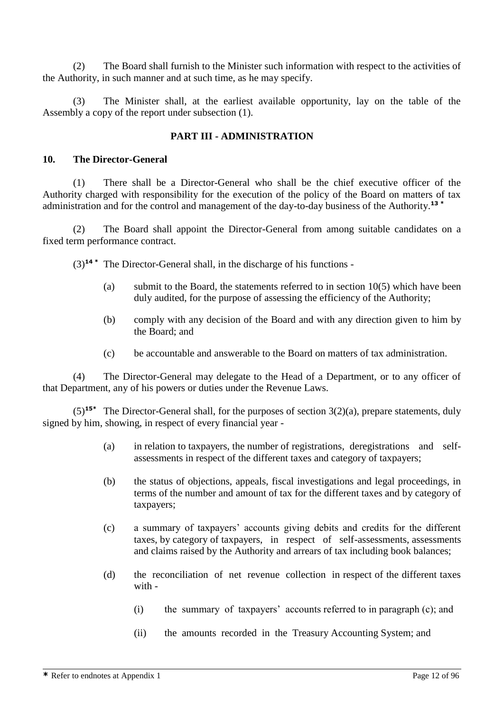(2) The Board shall furnish to the Minister such information with respect to the activities of the Authority, in such manner and at such time, as he may specify.

(3) The Minister shall, at the earliest available opportunity, lay on the table of the Assembly a copy of the report under subsection (1).

### **PART III - ADMINISTRATION**

#### **10. The Director-General**

(1) There shall be a Director-General who shall be the chief executive officer of the Authority charged with responsibility for the execution of the policy of the Board on matters of tax administration and for the control and management of the day-to-day business of the Authority.**<sup>13</sup> \***

(2) The Board shall appoint the Director-General from among suitable candidates on a fixed term performance contract.

(3)**<sup>14</sup> \*** The Director-General shall, in the discharge of his functions -

- (a) submit to the Board, the statements referred to in section 10(5) which have been duly audited, for the purpose of assessing the efficiency of the Authority;
- (b) comply with any decision of the Board and with any direction given to him by the Board; and
- (c) be accountable and answerable to the Board on matters of tax administration.

(4) The Director-General may delegate to the Head of a Department, or to any officer of that Department, any of his powers or duties under the Revenue Laws.

(5)**15\*** The Director-General shall, for the purposes of section 3(2)(a), prepare statements, duly signed by him, showing, in respect of every financial year -

- (a) in relation to taxpayers, the number of registrations, deregistrations and selfassessments in respect of the different taxes and category of taxpayers;
- (b) the status of objections, appeals, fiscal investigations and legal proceedings, in terms of the number and amount of tax for the different taxes and by category of taxpayers;
- (c) a summary of taxpayers' accounts giving debits and credits for the different taxes, by category of taxpayers, in respect of self-assessments, assessments and claims raised by the Authority and arrears of tax including book balances;
- (d) the reconciliation of net revenue collection in respect of the different taxes with -
	- (i) the summary of taxpayers' accounts referred to in paragraph (c); and
	- (ii) the amounts recorded in the Treasury Accounting System; and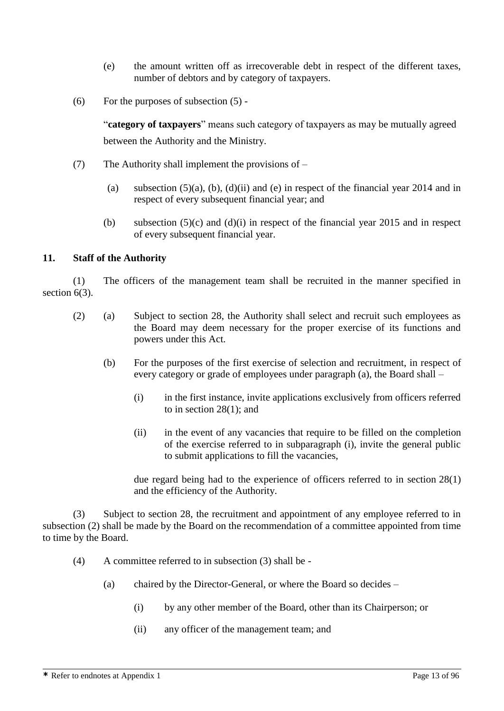- (e) the amount written off as irrecoverable debt in respect of the different taxes, number of debtors and by category of taxpayers.
- (6) For the purposes of subsection  $(5)$  -

"**category of taxpayers**" means such category of taxpayers as may be mutually agreed between the Authority and the Ministry.

- (7) The Authority shall implement the provisions of
	- (a) subsection  $(5)(a)$ ,  $(b)$ ,  $(d)(ii)$  and  $(e)$  in respect of the financial year 2014 and in respect of every subsequent financial year; and
	- (b) subsection  $(5)(c)$  and  $(d)(i)$  in respect of the financial year 2015 and in respect of every subsequent financial year.

#### **11. Staff of the Authority**

(1) The officers of the management team shall be recruited in the manner specified in section 6(3).

- (2) (a) Subject to section 28, the Authority shall select and recruit such employees as the Board may deem necessary for the proper exercise of its functions and powers under this Act.
	- (b) For the purposes of the first exercise of selection and recruitment, in respect of every category or grade of employees under paragraph (a), the Board shall –
		- (i) in the first instance, invite applications exclusively from officers referred to in section 28(1); and
		- (ii) in the event of any vacancies that require to be filled on the completion of the exercise referred to in subparagraph (i), invite the general public to submit applications to fill the vacancies,

due regard being had to the experience of officers referred to in section 28(1) and the efficiency of the Authority.

(3) Subject to section 28, the recruitment and appointment of any employee referred to in subsection (2) shall be made by the Board on the recommendation of a committee appointed from time to time by the Board.

- (4) A committee referred to in subsection (3) shall be
	- (a) chaired by the Director-General, or where the Board so decides
		- (i) by any other member of the Board, other than its Chairperson; or
		- (ii) any officer of the management team; and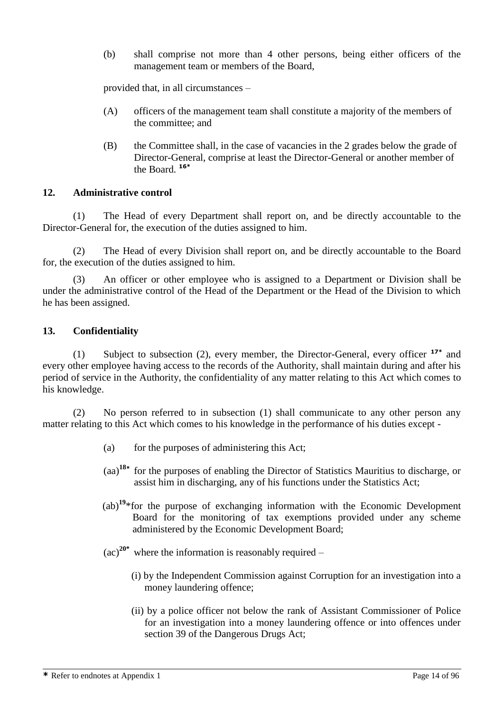(b) shall comprise not more than 4 other persons, being either officers of the management team or members of the Board,

provided that, in all circumstances –

- (A) officers of the management team shall constitute a majority of the members of the committee; and
- (B) the Committee shall, in the case of vacancies in the 2 grades below the grade of Director-General, comprise at least the Director-General or another member of the Board. **16\***

#### **12. Administrative control**

(1) The Head of every Department shall report on, and be directly accountable to the Director-General for, the execution of the duties assigned to him.

(2) The Head of every Division shall report on, and be directly accountable to the Board for, the execution of the duties assigned to him.

(3) An officer or other employee who is assigned to a Department or Division shall be under the administrative control of the Head of the Department or the Head of the Division to which he has been assigned.

#### **13. Confidentiality**

(1) Subject to subsection (2), every member, the Director-General, every officer **17\*** and every other employee having access to the records of the Authority, shall maintain during and after his period of service in the Authority, the confidentiality of any matter relating to this Act which comes to his knowledge.

(2) No person referred to in subsection (1) shall communicate to any other person any matter relating to this Act which comes to his knowledge in the performance of his duties except -

- (a) for the purposes of administering this Act;
- (aa)**<sup>18</sup>\*** for the purposes of enabling the Director of Statistics Mauritius to discharge, or assist him in discharging, any of his functions under the Statistics Act;
- (ab)**<sup>19</sup>**\*for the purpose of exchanging information with the Economic Development Board for the monitoring of tax exemptions provided under any scheme administered by the Economic Development Board;
- $(ac)^{20*}$  where the information is reasonably required
	- (i) by the Independent Commission against Corruption for an investigation into a money laundering offence;
	- (ii) by a police officer not below the rank of Assistant Commissioner of Police for an investigation into a money laundering offence or into offences under section 39 of the Dangerous Drugs Act;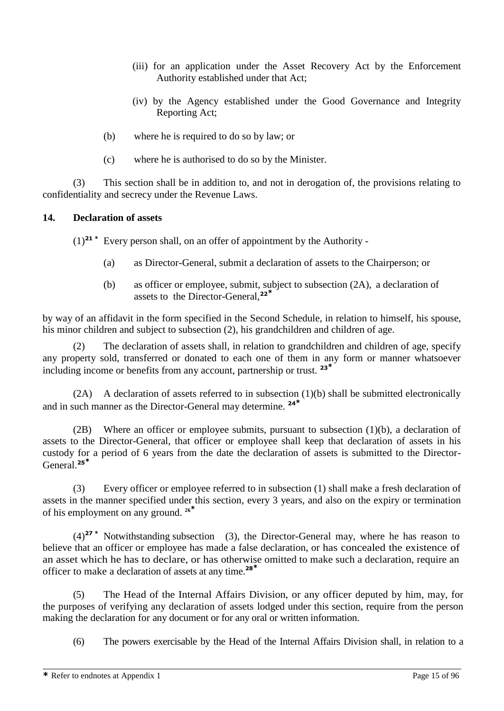- (iii) for an application under the Asset Recovery Act by the Enforcement Authority established under that Act;
- (iv) by the Agency established under the Good Governance and Integrity Reporting Act;
- (b) where he is required to do so by law; or
- (c) where he is authorised to do so by the Minister.

(3) This section shall be in addition to, and not in derogation of, the provisions relating to confidentiality and secrecy under the Revenue Laws.

### **14. Declaration of assets**

(1)**<sup>21</sup> \*** Every person shall, on an offer of appointment by the Authority -

- (a) as Director-General, submit a declaration of assets to the Chairperson; or
- (b) as officer or employee, submit, subject to subsection (2A), a declaration of assets to the Director-General,**<sup>22</sup>\***

by way of an affidavit in the form specified in the Second Schedule, in relation to himself, his spouse, his minor children and subject to subsection (2), his grandchildren and children of age.

(2) The declaration of assets shall, in relation to grandchildren and children of age, specify any property sold, transferred or donated to each one of them in any form or manner whatsoever including income or benefits from any account, partnership or trust. **<sup>23</sup>\***

(2A) A declaration of assets referred to in subsection (1)(b) shall be submitted electronically and in such manner as the Director-General may determine. **<sup>24</sup>\***

(2B) Where an officer or employee submits, pursuant to subsection (1)(b), a declaration of assets to the Director-General, that officer or employee shall keep that declaration of assets in his custody for a period of 6 years from the date the declaration of assets is submitted to the Director-General.**<sup>25</sup>\***

(3) Every officer or employee referred to in subsection (1) shall make a fresh declaration of assets in the manner specified under this section, every 3 years, and also on the expiry or termination of his employment on any ground. **<sup>26</sup>\***

(4)**<sup>27</sup> \*** Notwithstanding subsection (3), the Director-General may, where he has reason to believe that an officer or employee has made a false declaration, or has concealed the existence of an asset which he has to declare, or has otherwise omitted to make such a declaration, require an officer to make a declaration of assets at any time.**<sup>28</sup>\***

(5) The Head of the Internal Affairs Division, or any officer deputed by him, may, for the purposes of verifying any declaration of assets lodged under this section, require from the person making the declaration for any document or for any oral or written information.

(6) The powers exercisable by the Head of the Internal Affairs Division shall, in relation to a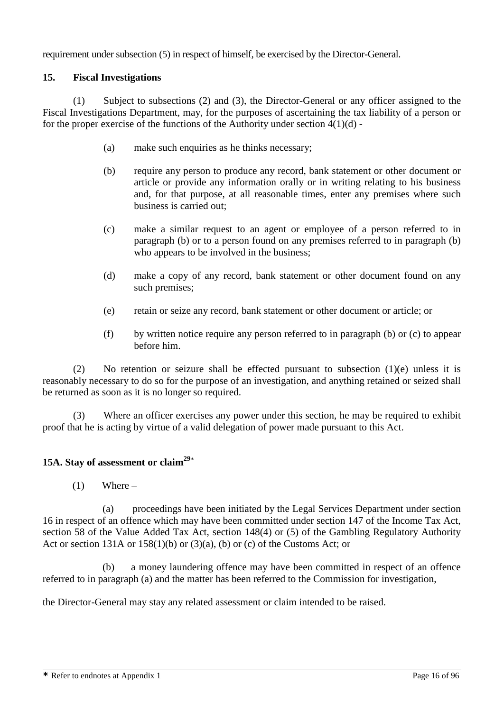requirement under subsection (5) in respect of himself, be exercised by the Director-General.

### **15. Fiscal Investigations**

(1) Subject to subsections (2) and (3), the Director-General or any officer assigned to the Fiscal Investigations Department, may, for the purposes of ascertaining the tax liability of a person or for the proper exercise of the functions of the Authority under section  $4(1)(d)$ .

- (a) make such enquiries as he thinks necessary;
- (b) require any person to produce any record, bank statement or other document or article or provide any information orally or in writing relating to his business and, for that purpose, at all reasonable times, enter any premises where such business is carried out;
- (c) make a similar request to an agent or employee of a person referred to in paragraph (b) or to a person found on any premises referred to in paragraph (b) who appears to be involved in the business;
- (d) make a copy of any record, bank statement or other document found on any such premises;
- (e) retain or seize any record, bank statement or other document or article; or
- (f) by written notice require any person referred to in paragraph (b) or (c) to appear before him.

(2) No retention or seizure shall be effected pursuant to subsection (1)(e) unless it is reasonably necessary to do so for the purpose of an investigation, and anything retained or seized shall be returned as soon as it is no longer so required.

(3) Where an officer exercises any power under this section, he may be required to exhibit proof that he is acting by virtue of a valid delegation of power made pursuant to this Act.

### **15A. Stay of assessment or claim<sup>29</sup>**\*

 $(1)$  Where –

(a) proceedings have been initiated by the Legal Services Department under section 16 in respect of an offence which may have been committed under section 147 of the Income Tax Act, section 58 of the Value Added Tax Act, section 148(4) or (5) of the Gambling Regulatory Authority Act or section 131A or  $158(1)(b)$  or  $(3)(a)$ ,  $(b)$  or  $(c)$  of the Customs Act; or

(b) a money laundering offence may have been committed in respect of an offence referred to in paragraph (a) and the matter has been referred to the Commission for investigation,

the Director-General may stay any related assessment or claim intended to be raised.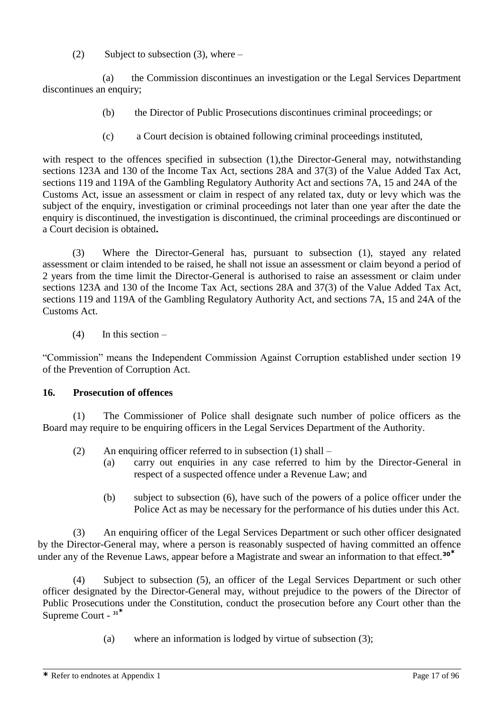(2) Subject to subsection  $(3)$ , where –

(a) the Commission discontinues an investigation or the Legal Services Department discontinues an enquiry;

- (b) the Director of Public Prosecutions discontinues criminal proceedings; or
- (c) a Court decision is obtained following criminal proceedings instituted,

with respect to the offences specified in subsection (1), the Director-General may, notwithstanding sections 123A and 130 of the Income Tax Act, sections 28A and 37(3) of the Value Added Tax Act, sections 119 and 119A of the Gambling Regulatory Authority Act and sections 7A, 15 and 24A of the Customs Act, issue an assessment or claim in respect of any related tax, duty or levy which was the subject of the enquiry, investigation or criminal proceedings not later than one year after the date the enquiry is discontinued, the investigation is discontinued, the criminal proceedings are discontinued or a Court decision is obtained**.**

(3) Where the Director-General has, pursuant to subsection (1), stayed any related assessment or claim intended to be raised, he shall not issue an assessment or claim beyond a period of 2 years from the time limit the Director-General is authorised to raise an assessment or claim under sections 123A and 130 of the Income Tax Act, sections 28A and 37(3) of the Value Added Tax Act, sections 119 and 119A of the Gambling Regulatory Authority Act, and sections 7A, 15 and 24A of the Customs Act.

 $(4)$  In this section –

"Commission" means the Independent Commission Against Corruption established under section 19 of the Prevention of Corruption Act.

### **16. Prosecution of offences**

(1) The Commissioner of Police shall designate such number of police officers as the Board may require to be enquiring officers in the Legal Services Department of the Authority.

- (2) An enquiring officer referred to in subsection  $(1)$  shall
	- (a) carry out enquiries in any case referred to him by the Director-General in respect of a suspected offence under a Revenue Law; and
	- (b) subject to subsection (6), have such of the powers of a police officer under the Police Act as may be necessary for the performance of his duties under this Act.

(3) An enquiring officer of the Legal Services Department or such other officer designated by the Director-General may, where a person is reasonably suspected of having committed an offence under any of the Revenue Laws, appear before a Magistrate and swear an information to that effect.**<sup>30</sup>\***

(4) Subject to subsection (5), an officer of the Legal Services Department or such other officer designated by the Director-General may, without prejudice to the powers of the Director of Public Prosecutions under the Constitution, conduct the prosecution before any Court other than the Supreme Court - **31\***

(a) where an information is lodged by virtue of subsection (3);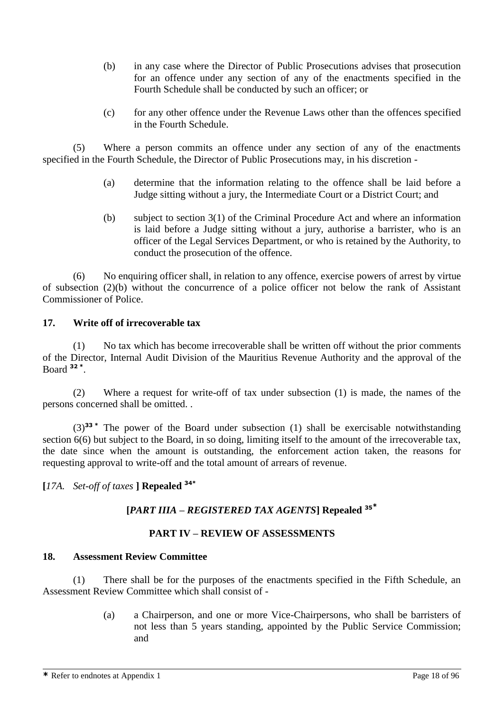- (b) in any case where the Director of Public Prosecutions advises that prosecution for an offence under any section of any of the enactments specified in the Fourth Schedule shall be conducted by such an officer; or
- (c) for any other offence under the Revenue Laws other than the offences specified in the Fourth Schedule.

(5) Where a person commits an offence under any section of any of the enactments specified in the Fourth Schedule, the Director of Public Prosecutions may, in his discretion -

- (a) determine that the information relating to the offence shall be laid before a Judge sitting without a jury, the Intermediate Court or a District Court; and
- (b) subject to section 3(1) of the Criminal Procedure Act and where an information is laid before a Judge sitting without a jury, authorise a barrister, who is an officer of the Legal Services Department, or who is retained by the Authority, to conduct the prosecution of the offence.

(6) No enquiring officer shall, in relation to any offence, exercise powers of arrest by virtue of subsection (2)(b) without the concurrence of a police officer not below the rank of Assistant Commissioner of Police.

#### **17. Write off of irrecoverable tax**

(1) No tax which has become irrecoverable shall be written off without the prior comments of the Director, Internal Audit Division of the Mauritius Revenue Authority and the approval of the Board **<sup>32</sup> \*** .

(2) Where a request for write-off of tax under subsection (1) is made, the names of the persons concerned shall be omitted. .

(3)**<sup>33</sup> \*** The power of the Board under subsection (1) shall be exercisable notwithstanding section 6(6) but subject to the Board, in so doing, limiting itself to the amount of the irrecoverable tax, the date since when the amount is outstanding, the enforcement action taken, the reasons for requesting approval to write-off and the total amount of arrears of revenue.

**[***17A. Set-off of taxes* **] Repealed 34\***

### **[***PART IIIA – REGISTERED TAX AGENTS***] Repealed <sup>35</sup>\***

### **PART IV – REVIEW OF ASSESSMENTS**

#### **18. Assessment Review Committee**

(1) There shall be for the purposes of the enactments specified in the Fifth Schedule, an Assessment Review Committee which shall consist of -

> (a) a Chairperson, and one or more Vice-Chairpersons, who shall be barristers of not less than 5 years standing, appointed by the Public Service Commission; and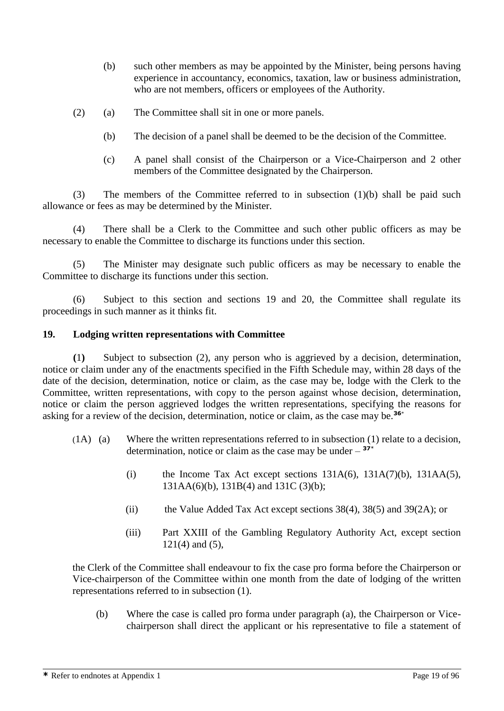- (b) such other members as may be appointed by the Minister, being persons having experience in accountancy, economics, taxation, law or business administration, who are not members, officers or employees of the Authority.
- (2) (a) The Committee shall sit in one or more panels.
	- (b) The decision of a panel shall be deemed to be the decision of the Committee.
	- (c) A panel shall consist of the Chairperson or a Vice-Chairperson and 2 other members of the Committee designated by the Chairperson.

(3) The members of the Committee referred to in subsection (1)(b) shall be paid such allowance or fees as may be determined by the Minister.

(4) There shall be a Clerk to the Committee and such other public officers as may be necessary to enable the Committee to discharge its functions under this section.

(5) The Minister may designate such public officers as may be necessary to enable the Committee to discharge its functions under this section.

(6) Subject to this section and sections 19 and 20, the Committee shall regulate its proceedings in such manner as it thinks fit.

### **19. Lodging written representations with Committee**

**(**1**)** Subject to subsection (2), any person who is aggrieved by a decision, determination, notice or claim under any of the enactments specified in the Fifth Schedule may, within 28 days of the date of the decision, determination, notice or claim, as the case may be, lodge with the Clerk to the Committee, written representations, with copy to the person against whose decision, determination, notice or claim the person aggrieved lodges the written representations, specifying the reasons for asking for a review of the decision, determination, notice or claim, as the case may be.**<sup>36</sup>**\*

- (1A) (a) Where the written representations referred to in subsection (1) relate to a decision, determination, notice or claim as the case may be under  $37*$ 
	- (i) the Income Tax Act except sections  $131A(6)$ ,  $131A(7)(b)$ ,  $131A(5)$ , 131AA(6)(b), 131B(4) and 131C (3)(b);
	- (ii) the Value Added Tax Act except sections 38(4), 38(5) and 39(2A); or
	- (iii) Part XXIII of the Gambling Regulatory Authority Act, except section  $121(4)$  and  $(5)$ ,

the Clerk of the Committee shall endeavour to fix the case pro forma before the Chairperson or Vice-chairperson of the Committee within one month from the date of lodging of the written representations referred to in subsection (1).

(b) Where the case is called pro forma under paragraph (a), the Chairperson or Vicechairperson shall direct the applicant or his representative to file a statement of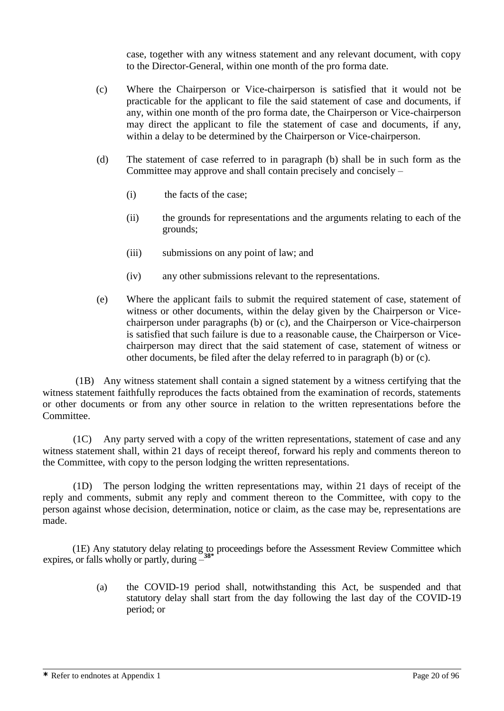case, together with any witness statement and any relevant document, with copy to the Director-General, within one month of the pro forma date.

- (c) Where the Chairperson or Vice-chairperson is satisfied that it would not be practicable for the applicant to file the said statement of case and documents, if any, within one month of the pro forma date, the Chairperson or Vice-chairperson may direct the applicant to file the statement of case and documents, if any, within a delay to be determined by the Chairperson or Vice-chairperson.
- (d) The statement of case referred to in paragraph (b) shall be in such form as the Committee may approve and shall contain precisely and concisely –
	- (i) the facts of the case;
	- (ii) the grounds for representations and the arguments relating to each of the grounds;
	- (iii) submissions on any point of law; and
	- (iv) any other submissions relevant to the representations.
- (e) Where the applicant fails to submit the required statement of case, statement of witness or other documents, within the delay given by the Chairperson or Vicechairperson under paragraphs (b) or (c), and the Chairperson or Vice-chairperson is satisfied that such failure is due to a reasonable cause, the Chairperson or Vicechairperson may direct that the said statement of case, statement of witness or other documents, be filed after the delay referred to in paragraph (b) or (c).

(1B) Any witness statement shall contain a signed statement by a witness certifying that the witness statement faithfully reproduces the facts obtained from the examination of records, statements or other documents or from any other source in relation to the written representations before the Committee.

(1C) Any party served with a copy of the written representations, statement of case and any witness statement shall, within 21 days of receipt thereof, forward his reply and comments thereon to the Committee, with copy to the person lodging the written representations.

(1D) The person lodging the written representations may, within 21 days of receipt of the reply and comments, submit any reply and comment thereon to the Committee, with copy to the person against whose decision, determination, notice or claim, as the case may be, representations are made.

(1E) Any statutory delay relating to proceedings before the Assessment Review Committee which expires, or falls wholly or partly, during – **38\***

> (a) the COVID-19 period shall, notwithstanding this Act, be suspended and that statutory delay shall start from the day following the last day of the COVID-19 period; or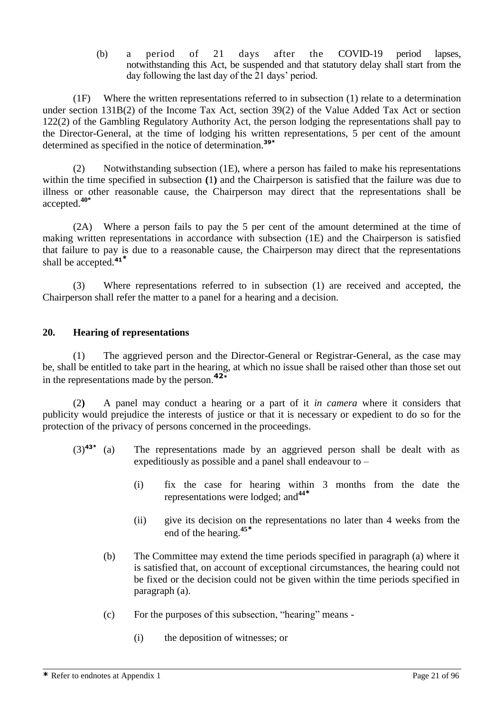(b) a period of 21 days after the COVID-19 period lapses, notwithstanding this Act, be suspended and that statutory delay shall start from the day following the last day of the 21 days' period.

(1F) Where the written representations referred to in subsection (1) relate to a determination under section 131B(2) of the Income Tax Act, section 39(2) of the Value Added Tax Act or section 122(2) of the Gambling Regulatory Authority Act, the person lodging the representations shall pay to the Director-General, at the time of lodging his written representations, 5 per cent of the amount determined as specified in the notice of determination.**39\***

(2) Notwithstanding subsection (1E), where a person has failed to make his representations within the time specified in subsection **(**1**)** and the Chairperson is satisfied that the failure was due to illness or other reasonable cause, the Chairperson may direct that the representations shall be accepted.**40\***

(2A) Where a person fails to pay the 5 per cent of the amount determined at the time of making written representations in accordance with subsection (1E) and the Chairperson is satisfied that failure to pay is due to a reasonable cause, the Chairperson may direct that the representations shall be accepted.**<sup>41</sup>\***

(3) Where representations referred to in subsection (1) are received and accepted, the Chairperson shall refer the matter to a panel for a hearing and a decision.

#### **20. Hearing of representations**

(1) The aggrieved person and the Director-General or Registrar-General, as the case may be, shall be entitled to take part in the hearing, at which no issue shall be raised other than those set out in the representations made by the person.**<sup>42</sup>\***

(2**)** A panel may conduct a hearing or a part of it *in camera* where it considers that publicity would prejudice the interests of justice or that it is necessary or expedient to do so for the protection of the privacy of persons concerned in the proceedings.

- $(3)$ <sup>43\*</sup> (a) The representations made by an aggrieved person shall be dealt with as expeditiously as possible and a panel shall endeavour to –
	- (i) fix the case for hearing within 3 months from the date the representations were lodged; and**<sup>44</sup>\***
	- (ii) give its decision on the representations no later than 4 weeks from the end of the hearing. **45\***
	- (b) The Committee may extend the time periods specified in paragraph (a) where it is satisfied that, on account of exceptional circumstances, the hearing could not be fixed or the decision could not be given within the time periods specified in paragraph (a).
	- (c) For the purposes of this subsection, "hearing" means
		- (i) the deposition of witnesses; or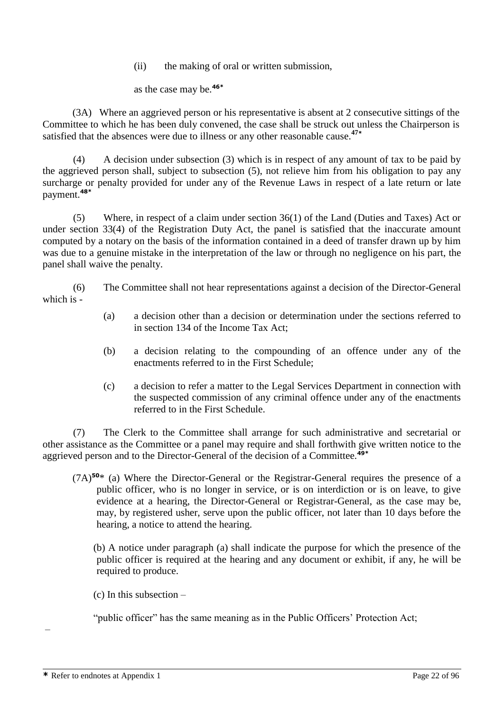(ii) the making of oral or written submission,

as the case may be.**46\***

(3A) Where an aggrieved person or his representative is absent at 2 consecutive sittings of the Committee to which he has been duly convened, the case shall be struck out unless the Chairperson is satisfied that the absences were due to illness or any other reasonable cause.**<sup>47</sup>\***

(4) A decision under subsection (3) which is in respect of any amount of tax to be paid by the aggrieved person shall, subject to subsection (5), not relieve him from his obligation to pay any surcharge or penalty provided for under any of the Revenue Laws in respect of a late return or late payment.**48\***

(5) Where, in respect of a claim under section 36(1) of the Land (Duties and Taxes) Act or under section 33(4) of the Registration Duty Act, the panel is satisfied that the inaccurate amount computed by a notary on the basis of the information contained in a deed of transfer drawn up by him was due to a genuine mistake in the interpretation of the law or through no negligence on his part, the panel shall waive the penalty.

(6) The Committee shall not hear representations against a decision of the Director-General which is -

- (a) a decision other than a decision or determination under the sections referred to in section 134 of the Income Tax Act;
- (b) a decision relating to the compounding of an offence under any of the enactments referred to in the First Schedule;
- (c) a decision to refer a matter to the Legal Services Department in connection with the suspected commission of any criminal offence under any of the enactments referred to in the First Schedule.

(7) The Clerk to the Committee shall arrange for such administrative and secretarial or other assistance as the Committee or a panel may require and shall forthwith give written notice to the aggrieved person and to the Director-General of the decision of a Committee.**49\***

(7A)**<sup>50</sup>**\* (a) Where the Director-General or the Registrar-General requires the presence of a public officer, who is no longer in service, or is on interdiction or is on leave, to give evidence at a hearing, the Director-General or Registrar-General, as the case may be, may, by registered usher, serve upon the public officer, not later than 10 days before the hearing, a notice to attend the hearing.

 (b) A notice under paragraph (a) shall indicate the purpose for which the presence of the public officer is required at the hearing and any document or exhibit, if any, he will be required to produce.

(c) In this subsection  $-$ 

"public officer" has the same meaning as in the Public Officers' Protection Act;

–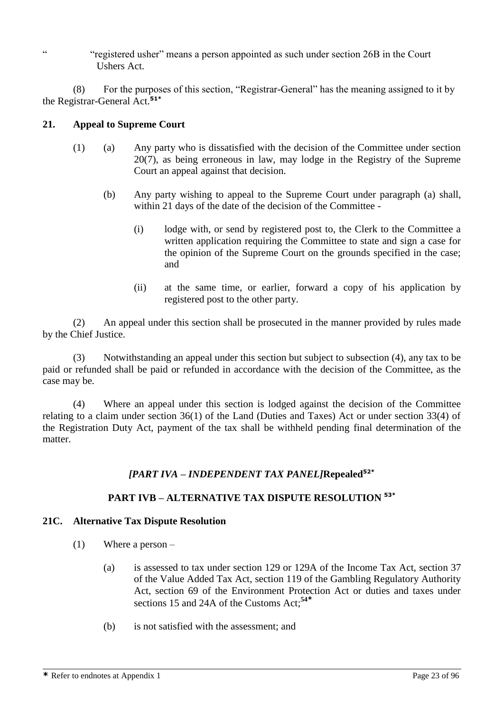" "registered usher" means a person appointed as such under section 26B in the Court Ushers Act.

(8) For the purposes of this section, "Registrar-General" has the meaning assigned to it by the Registrar-General Act.**51\***

#### **21. Appeal to Supreme Court**

- (1) (a) Any party who is dissatisfied with the decision of the Committee under section 20(7), as being erroneous in law, may lodge in the Registry of the Supreme Court an appeal against that decision.
	- (b) Any party wishing to appeal to the Supreme Court under paragraph (a) shall, within 21 days of the date of the decision of the Committee -
		- (i) lodge with, or send by registered post to, the Clerk to the Committee a written application requiring the Committee to state and sign a case for the opinion of the Supreme Court on the grounds specified in the case; and
		- (ii) at the same time, or earlier, forward a copy of his application by registered post to the other party.

(2) An appeal under this section shall be prosecuted in the manner provided by rules made by the Chief Justice.

(3) Notwithstanding an appeal under this section but subject to subsection (4), any tax to be paid or refunded shall be paid or refunded in accordance with the decision of the Committee, as the case may be*.*

(4) Where an appeal under this section is lodged against the decision of the Committee relating to a claim under section 36(1) of the Land (Duties and Taxes) Act or under section 33(4) of the Registration Duty Act, payment of the tax shall be withheld pending final determination of the matter.

### *[PART IVA – INDEPENDENT TAX PANEL]***Repealed52\***

### **PART IVB – ALTERNATIVE TAX DISPUTE RESOLUTION 53\***

#### **21C. Alternative Tax Dispute Resolution**

- (1) Where a person
	- (a) is assessed to tax under section 129 or 129A of the Income Tax Act, section 37 of the Value Added Tax Act, section 119 of the Gambling Regulatory Authority Act, section 69 of the Environment Protection Act or duties and taxes under sections 15 and 24A of the Customs Act; **54\***
	- (b) is not satisfied with the assessment; and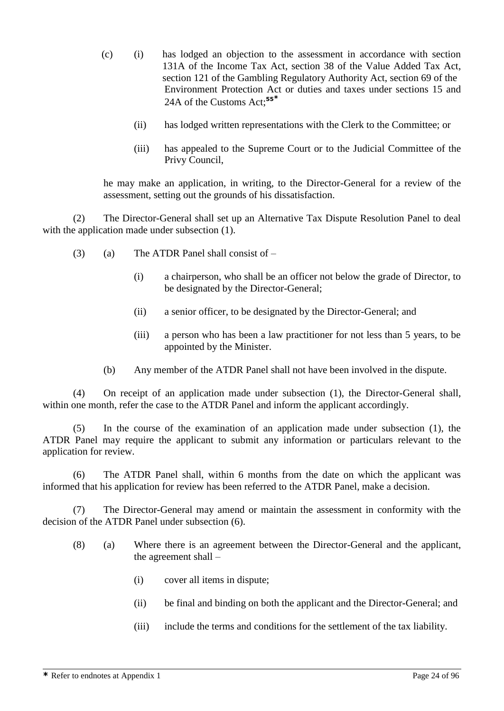- (c) (i) has lodged an objection to the assessment in accordance with section 131A of the Income Tax Act, section 38 of the Value Added Tax Act, section 121 of the Gambling Regulatory Authority Act, section 69 of the Environment Protection Act or duties and taxes under sections 15 and 24A of the Customs Act; **55\***
	- (ii) has lodged written representations with the Clerk to the Committee; or
	- (iii) has appealed to the Supreme Court or to the Judicial Committee of the Privy Council,

he may make an application, in writing, to the Director-General for a review of the assessment, setting out the grounds of his dissatisfaction.

(2) The Director-General shall set up an Alternative Tax Dispute Resolution Panel to deal with the application made under subsection  $(1)$ .

- (3) (a) The ATDR Panel shall consist of  $-$ 
	- (i) a chairperson, who shall be an officer not below the grade of Director, to be designated by the Director-General;
	- (ii) a senior officer, to be designated by the Director-General; and
	- (iii) a person who has been a law practitioner for not less than 5 years, to be appointed by the Minister.
	- (b) Any member of the ATDR Panel shall not have been involved in the dispute.

(4) On receipt of an application made under subsection (1), the Director-General shall, within one month, refer the case to the ATDR Panel and inform the applicant accordingly.

(5) In the course of the examination of an application made under subsection (1), the ATDR Panel may require the applicant to submit any information or particulars relevant to the application for review.

(6) The ATDR Panel shall, within 6 months from the date on which the applicant was informed that his application for review has been referred to the ATDR Panel, make a decision.

(7) The Director-General may amend or maintain the assessment in conformity with the decision of the ATDR Panel under subsection (6).

- (8) (a) Where there is an agreement between the Director-General and the applicant, the agreement shall –
	- (i) cover all items in dispute;
	- (ii) be final and binding on both the applicant and the Director-General; and
	- (iii) include the terms and conditions for the settlement of the tax liability.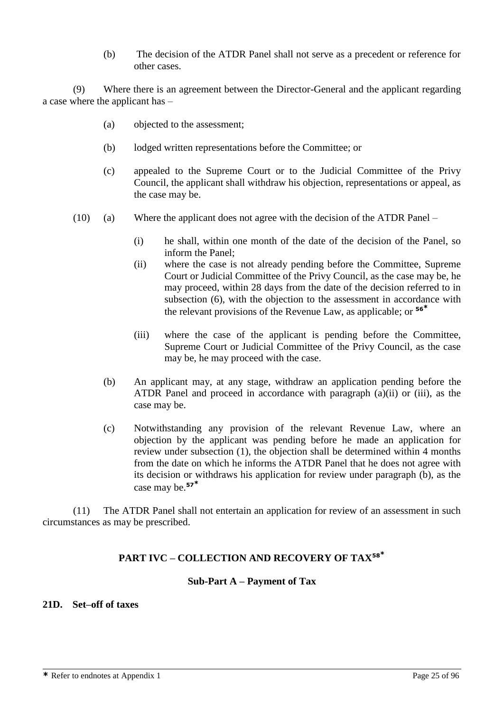(b) The decision of the ATDR Panel shall not serve as a precedent or reference for other cases.

(9) Where there is an agreement between the Director-General and the applicant regarding a case where the applicant has –

- (a) objected to the assessment;
- (b) lodged written representations before the Committee; or
- (c) appealed to the Supreme Court or to the Judicial Committee of the Privy Council, the applicant shall withdraw his objection, representations or appeal, as the case may be.
- (10) (a) Where the applicant does not agree with the decision of the ATDR Panel
	- (i) he shall, within one month of the date of the decision of the Panel, so inform the Panel;
	- (ii) where the case is not already pending before the Committee, Supreme Court or Judicial Committee of the Privy Council, as the case may be, he may proceed, within 28 days from the date of the decision referred to in subsection (6), with the objection to the assessment in accordance with the relevant provisions of the Revenue Law, as applicable; or **56\***
	- (iii) where the case of the applicant is pending before the Committee, Supreme Court or Judicial Committee of the Privy Council, as the case may be, he may proceed with the case.
	- (b) An applicant may, at any stage, withdraw an application pending before the ATDR Panel and proceed in accordance with paragraph (a)(ii) or (iii), as the case may be.
	- (c) Notwithstanding any provision of the relevant Revenue Law, where an objection by the applicant was pending before he made an application for review under subsection (1), the objection shall be determined within 4 months from the date on which he informs the ATDR Panel that he does not agree with its decision or withdraws his application for review under paragraph (b), as the case may be.**<sup>57</sup>\***

(11) The ATDR Panel shall not entertain an application for review of an assessment in such circumstances as may be prescribed.

### **PART IVC – COLLECTION AND RECOVERY OF TAX<sup>58</sup>\***

#### **Sub-Part A – Payment of Tax**

### **21D. Set–off of taxes**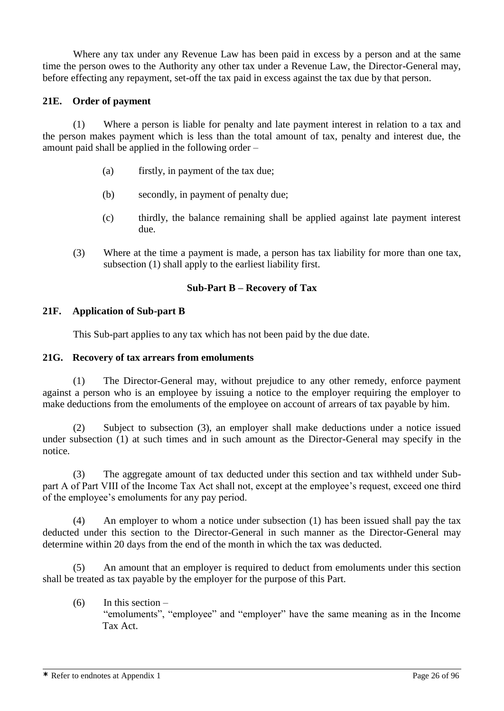Where any tax under any Revenue Law has been paid in excess by a person and at the same time the person owes to the Authority any other tax under a Revenue Law, the Director-General may, before effecting any repayment, set-off the tax paid in excess against the tax due by that person.

### **21E. Order of payment**

(1) Where a person is liable for penalty and late payment interest in relation to a tax and the person makes payment which is less than the total amount of tax, penalty and interest due, the amount paid shall be applied in the following order –

- (a) firstly, in payment of the tax due;
- (b) secondly, in payment of penalty due;
- (c) thirdly, the balance remaining shall be applied against late payment interest due.
- (3) Where at the time a payment is made, a person has tax liability for more than one tax, subsection (1) shall apply to the earliest liability first.

### **Sub-Part B – Recovery of Tax**

#### **21F. Application of Sub-part B**

This Sub-part applies to any tax which has not been paid by the due date.

#### **21G. Recovery of tax arrears from emoluments**

(1) The Director-General may, without prejudice to any other remedy, enforce payment against a person who is an employee by issuing a notice to the employer requiring the employer to make deductions from the emoluments of the employee on account of arrears of tax payable by him.

(2) Subject to subsection (3), an employer shall make deductions under a notice issued under subsection (1) at such times and in such amount as the Director-General may specify in the notice.

(3) The aggregate amount of tax deducted under this section and tax withheld under Subpart A of Part VIII of the Income Tax Act shall not, except at the employee's request, exceed one third of the employee's emoluments for any pay period.

(4) An employer to whom a notice under subsection (1) has been issued shall pay the tax deducted under this section to the Director-General in such manner as the Director-General may determine within 20 days from the end of the month in which the tax was deducted.

(5) An amount that an employer is required to deduct from emoluments under this section shall be treated as tax payable by the employer for the purpose of this Part.

 $(6)$  In this section – "emoluments", "employee" and "employer" have the same meaning as in the Income Tax Act.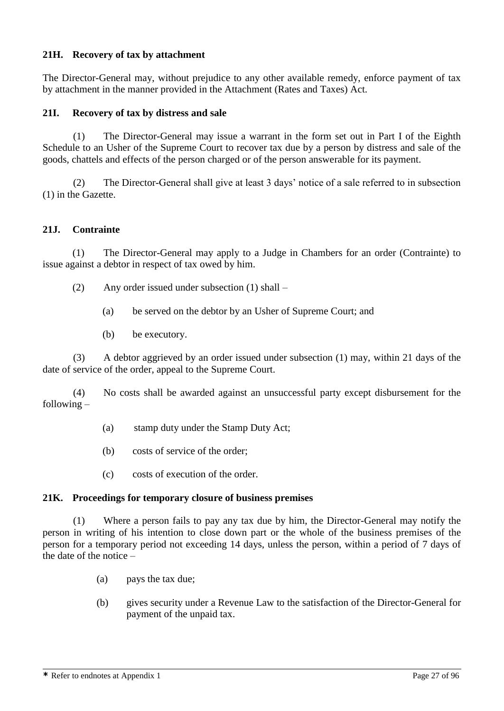### **21H. Recovery of tax by attachment**

The Director-General may, without prejudice to any other available remedy, enforce payment of tax by attachment in the manner provided in the Attachment (Rates and Taxes) Act.

### **21I. Recovery of tax by distress and sale**

(1) The Director-General may issue a warrant in the form set out in Part I of the Eighth Schedule to an Usher of the Supreme Court to recover tax due by a person by distress and sale of the goods, chattels and effects of the person charged or of the person answerable for its payment.

(2) The Director-General shall give at least 3 days' notice of a sale referred to in subsection (1) in the Gazette.

#### **21J. Contrainte**

(1) The Director-General may apply to a Judge in Chambers for an order (Contrainte) to issue against a debtor in respect of tax owed by him.

- (2) Any order issued under subsection (1) shall
	- (a) be served on the debtor by an Usher of Supreme Court; and
	- (b) be executory.

(3) A debtor aggrieved by an order issued under subsection (1) may, within 21 days of the date of service of the order, appeal to the Supreme Court.

(4) No costs shall be awarded against an unsuccessful party except disbursement for the following –

- (a) stamp duty under the Stamp Duty Act;
- (b) costs of service of the order;
- (c) costs of execution of the order.

#### **21K. Proceedings for temporary closure of business premises**

(1) Where a person fails to pay any tax due by him, the Director-General may notify the person in writing of his intention to close down part or the whole of the business premises of the person for a temporary period not exceeding 14 days, unless the person, within a period of 7 days of the date of the notice –

- (a) pays the tax due;
- (b) gives security under a Revenue Law to the satisfaction of the Director-General for payment of the unpaid tax.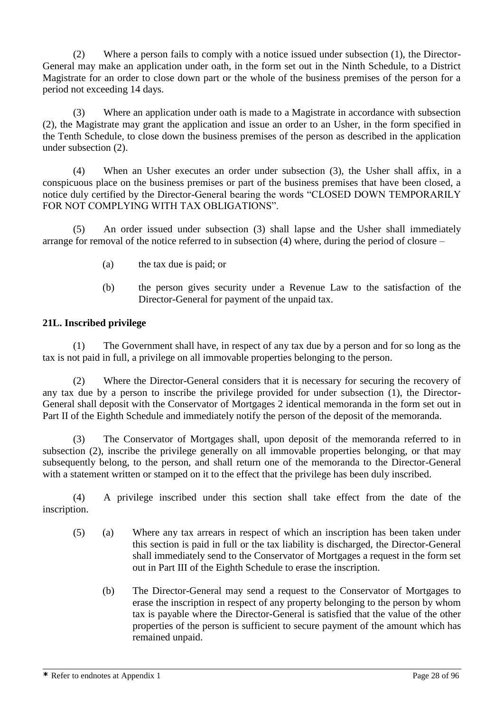(2) Where a person fails to comply with a notice issued under subsection (1), the Director-General may make an application under oath, in the form set out in the Ninth Schedule, to a District Magistrate for an order to close down part or the whole of the business premises of the person for a period not exceeding 14 days.

(3) Where an application under oath is made to a Magistrate in accordance with subsection (2), the Magistrate may grant the application and issue an order to an Usher, in the form specified in the Tenth Schedule, to close down the business premises of the person as described in the application under subsection (2).

(4) When an Usher executes an order under subsection (3), the Usher shall affix, in a conspicuous place on the business premises or part of the business premises that have been closed, a notice duly certified by the Director-General bearing the words "CLOSED DOWN TEMPORARILY FOR NOT COMPLYING WITH TAX OBLIGATIONS".

(5) An order issued under subsection (3) shall lapse and the Usher shall immediately arrange for removal of the notice referred to in subsection (4) where, during the period of closure –

- (a) the tax due is paid; or
- (b) the person gives security under a Revenue Law to the satisfaction of the Director-General for payment of the unpaid tax.

### **21L. Inscribed privilege**

(1) The Government shall have, in respect of any tax due by a person and for so long as the tax is not paid in full, a privilege on all immovable properties belonging to the person.

(2) Where the Director-General considers that it is necessary for securing the recovery of any tax due by a person to inscribe the privilege provided for under subsection (1), the Director-General shall deposit with the Conservator of Mortgages 2 identical memoranda in the form set out in Part II of the Eighth Schedule and immediately notify the person of the deposit of the memoranda.

(3) The Conservator of Mortgages shall, upon deposit of the memoranda referred to in subsection (2), inscribe the privilege generally on all immovable properties belonging, or that may subsequently belong, to the person, and shall return one of the memoranda to the Director-General with a statement written or stamped on it to the effect that the privilege has been duly inscribed.

(4) A privilege inscribed under this section shall take effect from the date of the inscription.

- (5) (a) Where any tax arrears in respect of which an inscription has been taken under this section is paid in full or the tax liability is discharged, the Director-General shall immediately send to the Conservator of Mortgages a request in the form set out in Part III of the Eighth Schedule to erase the inscription.
	- (b) The Director-General may send a request to the Conservator of Mortgages to erase the inscription in respect of any property belonging to the person by whom tax is payable where the Director-General is satisfied that the value of the other properties of the person is sufficient to secure payment of the amount which has remained unpaid.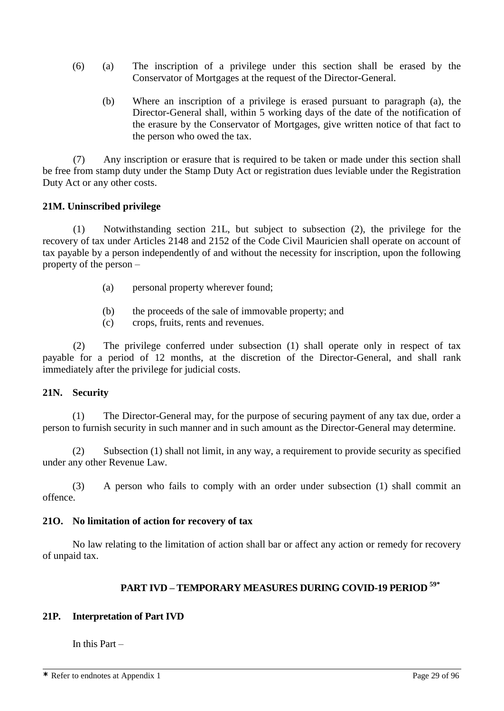- (6) (a) The inscription of a privilege under this section shall be erased by the Conservator of Mortgages at the request of the Director-General.
	- (b) Where an inscription of a privilege is erased pursuant to paragraph (a), the Director-General shall, within 5 working days of the date of the notification of the erasure by the Conservator of Mortgages, give written notice of that fact to the person who owed the tax.

(7) Any inscription or erasure that is required to be taken or made under this section shall be free from stamp duty under the Stamp Duty Act or registration dues leviable under the Registration Duty Act or any other costs.

#### **21M. Uninscribed privilege**

(1) Notwithstanding section 21L, but subject to subsection (2), the privilege for the recovery of tax under Articles 2148 and 2152 of the Code Civil Mauricien shall operate on account of tax payable by a person independently of and without the necessity for inscription, upon the following property of the person –

- (a) personal property wherever found;
- (b) the proceeds of the sale of immovable property; and
- (c) crops, fruits, rents and revenues.

(2) The privilege conferred under subsection (1) shall operate only in respect of tax payable for a period of 12 months, at the discretion of the Director-General, and shall rank immediately after the privilege for judicial costs.

#### **21N. Security**

(1) The Director-General may, for the purpose of securing payment of any tax due, order a person to furnish security in such manner and in such amount as the Director-General may determine.

(2) Subsection (1) shall not limit, in any way, a requirement to provide security as specified under any other Revenue Law.

(3) A person who fails to comply with an order under subsection (1) shall commit an offence.

#### **21O. No limitation of action for recovery of tax**

No law relating to the limitation of action shall bar or affect any action or remedy for recovery of unpaid tax.

## **PART IVD – TEMPORARY MEASURES DURING COVID-19 PERIOD 59\***

### **21P. Interpretation of Part IVD**

In this Part –

**\*** Refer to endnotes at Appendix 1 Page 29 of 96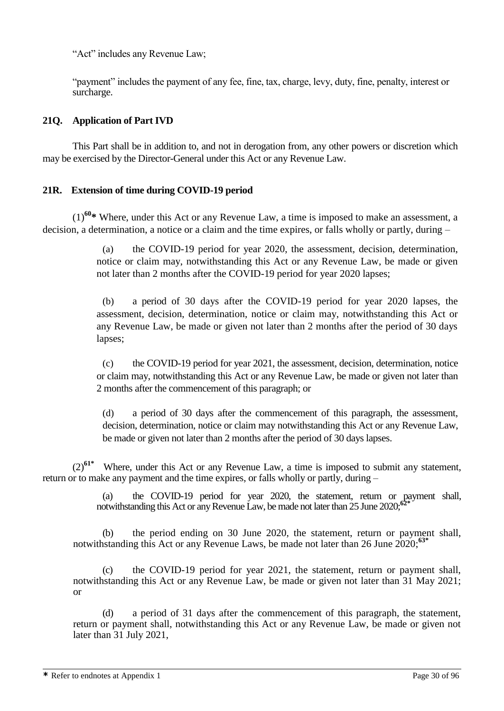"Act" includes any Revenue Law;

"payment" includes the payment of any fee, fine, tax, charge, levy, duty, fine, penalty, interest or surcharge.

### **21Q. Application of Part IVD**

This Part shall be in addition to, and not in derogation from, any other powers or discretion which may be exercised by the Director-General under this Act or any Revenue Law.

### **21R. Extension of time during COVID-19 period**

(1)**<sup>60</sup>\*** Where, under this Act or any Revenue Law, a time is imposed to make an assessment, a decision, a determination, a notice or a claim and the time expires, or falls wholly or partly, during –

> (a) the COVID-19 period for year 2020, the assessment, decision, determination, notice or claim may, notwithstanding this Act or any Revenue Law, be made or given not later than 2 months after the COVID-19 period for year 2020 lapses;

> (b) a period of 30 days after the COVID-19 period for year 2020 lapses, the assessment, decision, determination, notice or claim may, notwithstanding this Act or any Revenue Law, be made or given not later than 2 months after the period of 30 days lapses;

> (c) the COVID-19 period for year 2021, the assessment, decision, determination, notice or claim may, notwithstanding this Act or any Revenue Law, be made or given not later than 2 months after the commencement of this paragraph; or

(d) a period of 30 days after the commencement of this paragraph, the assessment, decision, determination, notice or claim may notwithstanding this Act or any Revenue Law, be made or given not later than 2 months after the period of 30 days lapses.

(2)**61\*** Where, under this Act or any Revenue Law, a time is imposed to submit any statement, return or to make any payment and the time expires, or falls wholly or partly, during –

> (a) the COVID-19 period for year 2020, the statement, return or payment shall, notwithstanding this Act or any Revenue Law, be made not later than 25 June 2020;**62\***

(b) the period ending on 30 June 2020, the statement, return or payment shall, notwithstanding this Act or any Revenue Laws, be made not later than 26 June 2020; **63\***

(c) the COVID-19 period for year 2021, the statement, return or payment shall, notwithstanding this Act or any Revenue Law, be made or given not later than 31 May 2021; or

(d) a period of 31 days after the commencement of this paragraph, the statement, return or payment shall, notwithstanding this Act or any Revenue Law, be made or given not later than 31 July 2021,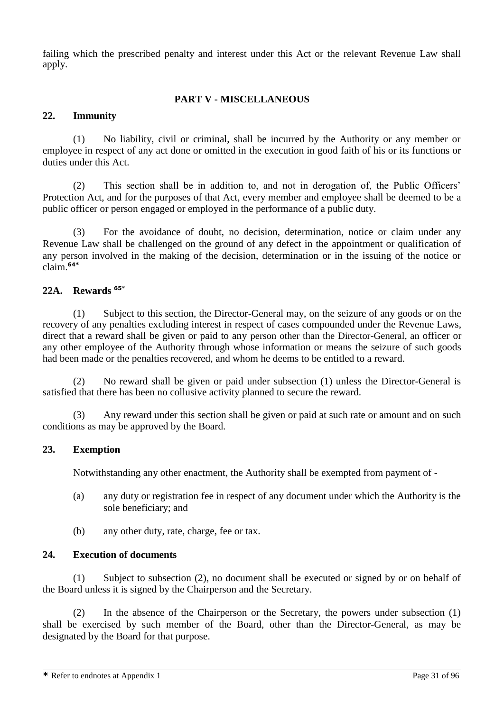failing which the prescribed penalty and interest under this Act or the relevant Revenue Law shall apply.

### **PART V - MISCELLANEOUS**

### **22. Immunity**

(1) No liability, civil or criminal, shall be incurred by the Authority or any member or employee in respect of any act done or omitted in the execution in good faith of his or its functions or duties under this Act.

(2) This section shall be in addition to, and not in derogation of, the Public Officers' Protection Act, and for the purposes of that Act, every member and employee shall be deemed to be a public officer or person engaged or employed in the performance of a public duty.

(3) For the avoidance of doubt, no decision, determination, notice or claim under any Revenue Law shall be challenged on the ground of any defect in the appointment or qualification of any person involved in the making of the decision, determination or in the issuing of the notice or claim.**64\***

#### **22A. Rewards <sup>65</sup>**\*

(1) Subject to this section, the Director-General may, on the seizure of any goods or on the recovery of any penalties excluding interest in respect of cases compounded under the Revenue Laws, direct that a reward shall be given or paid to any person other than the Director-General, an officer or any other employee of the Authority through whose information or means the seizure of such goods had been made or the penalties recovered, and whom he deems to be entitled to a reward.

(2) No reward shall be given or paid under subsection (1) unless the Director-General is satisfied that there has been no collusive activity planned to secure the reward.

(3) Any reward under this section shall be given or paid at such rate or amount and on such conditions as may be approved by the Board.

#### **23. Exemption**

Notwithstanding any other enactment, the Authority shall be exempted from payment of -

- (a) any duty or registration fee in respect of any document under which the Authority is the sole beneficiary; and
- (b) any other duty, rate, charge, fee or tax.

#### **24. Execution of documents**

(1) Subject to subsection (2), no document shall be executed or signed by or on behalf of the Board unless it is signed by the Chairperson and the Secretary.

(2) In the absence of the Chairperson or the Secretary, the powers under subsection (1) shall be exercised by such member of the Board, other than the Director-General, as may be designated by the Board for that purpose.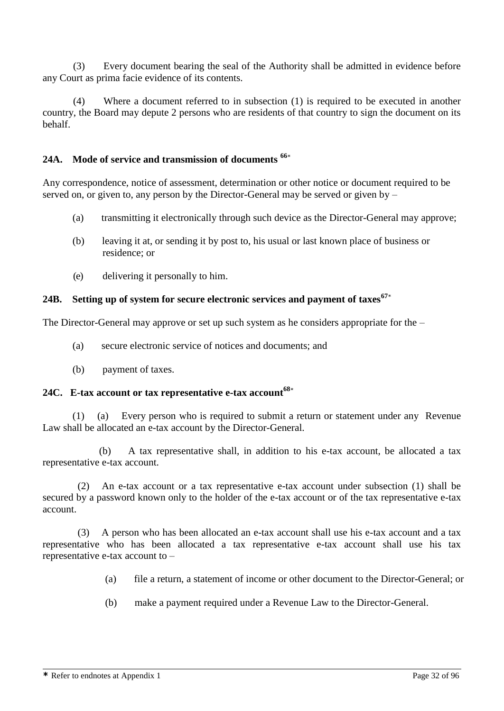(3) Every document bearing the seal of the Authority shall be admitted in evidence before any Court as prima facie evidence of its contents.

(4) Where a document referred to in subsection (1) is required to be executed in another country, the Board may depute 2 persons who are residents of that country to sign the document on its behalf.

### **24A. Mode of service and transmission of documents <sup>66</sup>**\*

Any correspondence, notice of assessment, determination or other notice or document required to be served on, or given to, any person by the Director-General may be served or given by –

- (a) transmitting it electronically through such device as the Director-General may approve;
- (b) leaving it at, or sending it by post to, his usual or last known place of business or residence; or
- (e) delivering it personally to him.

### **24B. Setting up of system for secure electronic services and payment of taxes<sup>67</sup>**\*

The Director-General may approve or set up such system as he considers appropriate for the –

- (a) secure electronic service of notices and documents; and
- (b) payment of taxes.

# **24C. E-tax account or tax representative e-tax account<sup>68</sup>**\*

(1) (a) Every person who is required to submit a return or statement under any Revenue Law shall be allocated an e-tax account by the Director-General.

(b) A tax representative shall, in addition to his e-tax account, be allocated a tax representative e-tax account.

 (2) An e-tax account or a tax representative e-tax account under subsection (1) shall be secured by a password known only to the holder of the e-tax account or of the tax representative e-tax account.

 (3) A person who has been allocated an e-tax account shall use his e-tax account and a tax representative who has been allocated a tax representative e-tax account shall use his tax representative e-tax account to –

- (a) file a return, a statement of income or other document to the Director-General; or
- (b) make a payment required under a Revenue Law to the Director-General.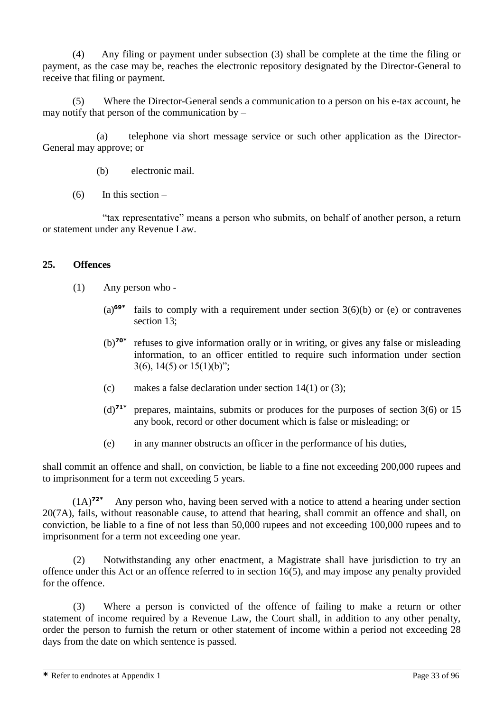(4) Any filing or payment under subsection (3) shall be complete at the time the filing or payment, as the case may be, reaches the electronic repository designated by the Director-General to receive that filing or payment.

(5) Where the Director-General sends a communication to a person on his e-tax account, he may notify that person of the communication by –

(a) telephone via short message service or such other application as the Director-General may approve; or

- (b) electronic mail.
- $(6)$  In this section –

"tax representative" means a person who submits, on behalf of another person, a return or statement under any Revenue Law.

#### **25. Offences**

- (1) Any person who
	- (a)**69\*** fails to comply with a requirement under section  $3(6)(b)$  or (e) or contravenes section 13;
	- (b)**70\*** refuses to give information orally or in writing, or gives any false or misleading information, to an officer entitled to require such information under section  $3(6)$ ,  $14(5)$  or  $15(1)(b)$ ";
	- (c) makes a false declaration under section  $14(1)$  or  $(3)$ ;
	- (d)**71\*** prepares, maintains, submits or produces for the purposes of section 3(6) or 15 any book, record or other document which is false or misleading; or
	- (e) in any manner obstructs an officer in the performance of his duties,

shall commit an offence and shall, on conviction, be liable to a fine not exceeding 200,000 rupees and to imprisonment for a term not exceeding 5 years.

(1A)**72\*** Any person who, having been served with a notice to attend a hearing under section 20(7A), fails, without reasonable cause, to attend that hearing, shall commit an offence and shall, on conviction, be liable to a fine of not less than 50,000 rupees and not exceeding 100,000 rupees and to imprisonment for a term not exceeding one year.

(2) Notwithstanding any other enactment, a Magistrate shall have jurisdiction to try an offence under this Act or an offence referred to in section 16(5), and may impose any penalty provided for the offence.

(3) Where a person is convicted of the offence of failing to make a return or other statement of income required by a Revenue Law, the Court shall, in addition to any other penalty, order the person to furnish the return or other statement of income within a period not exceeding 28 days from the date on which sentence is passed.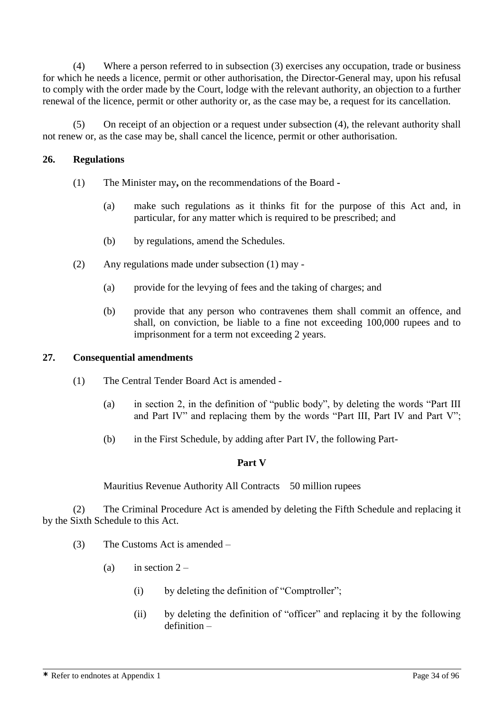(4) Where a person referred to in subsection (3) exercises any occupation, trade or business for which he needs a licence, permit or other authorisation, the Director-General may, upon his refusal to comply with the order made by the Court, lodge with the relevant authority, an objection to a further renewal of the licence, permit or other authority or, as the case may be, a request for its cancellation.

(5) On receipt of an objection or a request under subsection (4), the relevant authority shall not renew or, as the case may be, shall cancel the licence, permit or other authorisation.

### **26. Regulations**

- (1) The Minister may**,** on the recommendations of the Board **-**
	- (a) make such regulations as it thinks fit for the purpose of this Act and, in particular, for any matter which is required to be prescribed; and
	- (b) by regulations, amend the Schedules.
- (2) Any regulations made under subsection (1) may
	- (a) provide for the levying of fees and the taking of charges; and
	- (b) provide that any person who contravenes them shall commit an offence, and shall, on conviction, be liable to a fine not exceeding 100,000 rupees and to imprisonment for a term not exceeding 2 years.

#### **27. Consequential amendments**

- (1) The Central Tender Board Act is amended
	- (a) in section 2, in the definition of "public body", by deleting the words "Part III and Part IV" and replacing them by the words "Part III, Part IV and Part V";
	- (b) in the First Schedule, by adding after Part IV, the following Part-

#### **Part V**

Mauritius Revenue Authority All Contracts 50 million rupees

(2) The Criminal Procedure Act is amended by deleting the Fifth Schedule and replacing it by the Sixth Schedule to this Act.

- (3) The Customs Act is amended
	- (a) in section  $2 -$ 
		- (i) by deleting the definition of "Comptroller";
		- (ii) by deleting the definition of "officer" and replacing it by the following definition –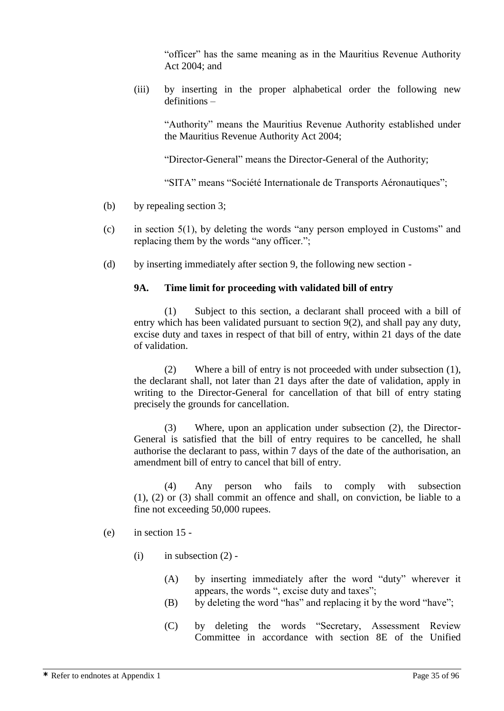"officer" has the same meaning as in the Mauritius Revenue Authority Act 2004; and

(iii) by inserting in the proper alphabetical order the following new definitions –

"Authority" means the Mauritius Revenue Authority established under the Mauritius Revenue Authority Act 2004;

"Director-General" means the Director-General of the Authority;

"SITA" means "Société Internationale de Transports Aéronautiques";

- (b) by repealing section 3;
- (c) in section 5(1), by deleting the words "any person employed in Customs" and replacing them by the words "any officer.";
- (d) by inserting immediately after section 9, the following new section -

#### **9A. Time limit for proceeding with validated bill of entry**

(1) Subject to this section, a declarant shall proceed with a bill of entry which has been validated pursuant to section 9(2), and shall pay any duty, excise duty and taxes in respect of that bill of entry, within 21 days of the date of validation.

(2) Where a bill of entry is not proceeded with under subsection (1), the declarant shall, not later than 21 days after the date of validation, apply in writing to the Director-General for cancellation of that bill of entry stating precisely the grounds for cancellation.

(3) Where, upon an application under subsection (2), the Director-General is satisfied that the bill of entry requires to be cancelled, he shall authorise the declarant to pass, within 7 days of the date of the authorisation, an amendment bill of entry to cancel that bill of entry.

(4) Any person who fails to comply with subsection (1), (2) or (3) shall commit an offence and shall, on conviction, be liable to a fine not exceeding 50,000 rupees.

#### (e) in section 15 -

- $(i)$  in subsection  $(2)$  -
	- (A) by inserting immediately after the word "duty" wherever it appears, the words ", excise duty and taxes";
	- (B) by deleting the word "has" and replacing it by the word "have";
	- (C) by deleting the words "Secretary, Assessment Review Committee in accordance with section 8E of the Unified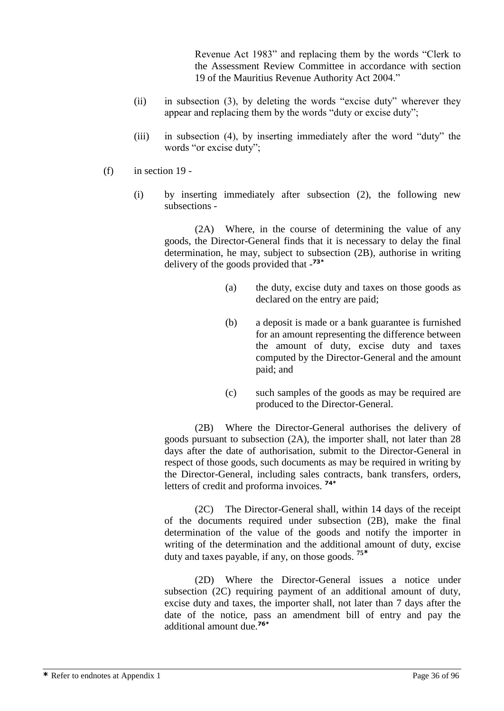Revenue Act 1983" and replacing them by the words "Clerk to the Assessment Review Committee in accordance with section 19 of the Mauritius Revenue Authority Act 2004."

- (ii) in subsection (3), by deleting the words "excise duty" wherever they appear and replacing them by the words "duty or excise duty";
- (iii) in subsection (4), by inserting immediately after the word "duty" the words "or excise duty";
- (f) in section 19
	- (i) by inserting immediately after subsection (2), the following new subsections -

(2A) Where, in the course of determining the value of any goods, the Director-General finds that it is necessary to delay the final determination, he may, subject to subsection (2B), authorise in writing delivery of the goods provided that - **73\***

- (a) the duty, excise duty and taxes on those goods as declared on the entry are paid;
- (b) a deposit is made or a bank guarantee is furnished for an amount representing the difference between the amount of duty, excise duty and taxes computed by the Director-General and the amount paid; and
- (c) such samples of the goods as may be required are produced to the Director-General.

(2B) Where the Director-General authorises the delivery of goods pursuant to subsection (2A), the importer shall, not later than 28 days after the date of authorisation, submit to the Director-General in respect of those goods, such documents as may be required in writing by the Director-General, including sales contracts, bank transfers, orders, letters of credit and proforma invoices. **74\***

(2C) The Director-General shall, within 14 days of the receipt of the documents required under subsection (2B), make the final determination of the value of the goods and notify the importer in writing of the determination and the additional amount of duty, excise duty and taxes payable, if any, on those goods. **<sup>75</sup>\***

(2D) Where the Director-General issues a notice under subsection (2C) requiring payment of an additional amount of duty, excise duty and taxes, the importer shall, not later than 7 days after the date of the notice, pass an amendment bill of entry and pay the additional amount due.**76\***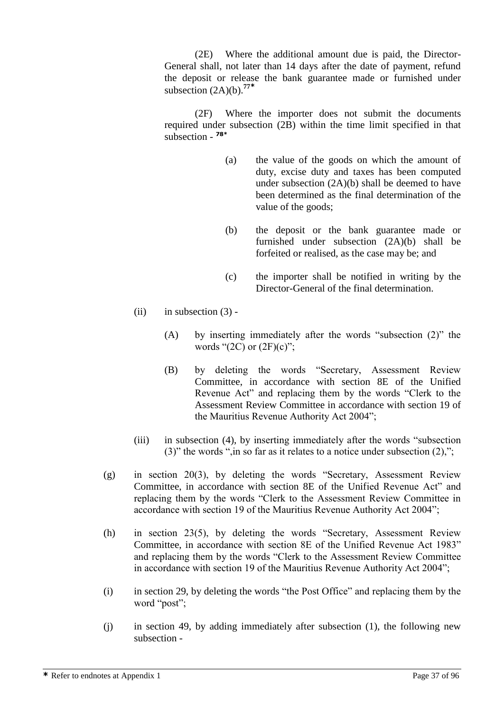(2E) Where the additional amount due is paid, the Director-General shall, not later than 14 days after the date of payment, refund the deposit or release the bank guarantee made or furnished under subsection (2A)(b).**<sup>77</sup>\***

(2F) Where the importer does not submit the documents required under subsection (2B) within the time limit specified in that subsection - **78\***

- (a) the value of the goods on which the amount of duty, excise duty and taxes has been computed under subsection (2A)(b) shall be deemed to have been determined as the final determination of the value of the goods;
- (b) the deposit or the bank guarantee made or furnished under subsection (2A)(b) shall be forfeited or realised, as the case may be; and
- (c) the importer shall be notified in writing by the Director-General of the final determination.
- (ii) in subsection  $(3)$  -
	- (A) by inserting immediately after the words "subsection (2)" the words " $(2C)$  or  $(2F)(c)$ ";
	- (B) by deleting the words "Secretary, Assessment Review Committee, in accordance with section 8E of the Unified Revenue Act" and replacing them by the words "Clerk to the Assessment Review Committee in accordance with section 19 of the Mauritius Revenue Authority Act 2004";
- (iii) in subsection (4), by inserting immediately after the words "subsection (3)" the words ", in so far as it relates to a notice under subsection  $(2)$ ,";
- (g) in section 20(3), by deleting the words "Secretary, Assessment Review Committee, in accordance with section 8E of the Unified Revenue Act" and replacing them by the words "Clerk to the Assessment Review Committee in accordance with section 19 of the Mauritius Revenue Authority Act 2004";
- (h) in section 23(5), by deleting the words "Secretary, Assessment Review Committee, in accordance with section 8E of the Unified Revenue Act 1983" and replacing them by the words "Clerk to the Assessment Review Committee in accordance with section 19 of the Mauritius Revenue Authority Act 2004";
- (i) in section 29, by deleting the words "the Post Office" and replacing them by the word "post";
- (j) in section 49, by adding immediately after subsection (1), the following new subsection -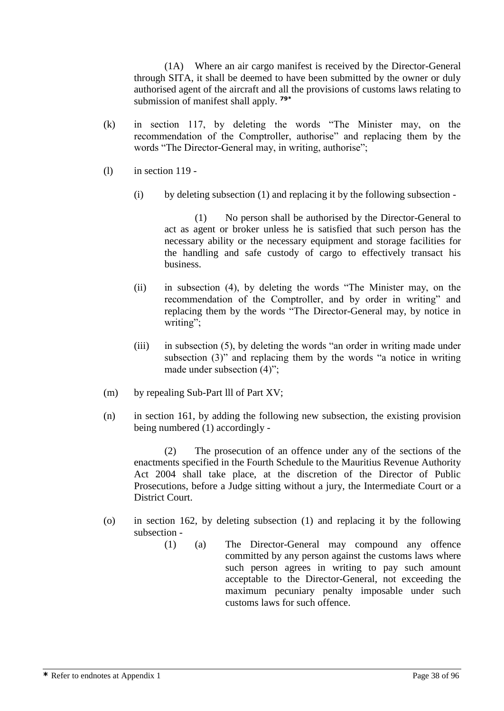(1A) Where an air cargo manifest is received by the Director-General through SITA, it shall be deemed to have been submitted by the owner or duly authorised agent of the aircraft and all the provisions of customs laws relating to submission of manifest shall apply. **79\***

- (k) in section 117, by deleting the words "The Minister may, on the recommendation of the Comptroller, authorise" and replacing them by the words "The Director-General may, in writing, authorise";
- (l) in section 119
	- $(i)$  by deleting subsection  $(1)$  and replacing it by the following subsection -

(1) No person shall be authorised by the Director-General to act as agent or broker unless he is satisfied that such person has the necessary ability or the necessary equipment and storage facilities for the handling and safe custody of cargo to effectively transact his business.

- (ii) in subsection (4), by deleting the words "The Minister may, on the recommendation of the Comptroller, and by order in writing" and replacing them by the words "The Director-General may, by notice in writing";
- (iii) in subsection (5), by deleting the words "an order in writing made under subsection (3)" and replacing them by the words "a notice in writing made under subsection (4)";
- (m) by repealing Sub-Part lll of Part XV;
- (n) in section 161, by adding the following new subsection, the existing provision being numbered (1) accordingly -

(2) The prosecution of an offence under any of the sections of the enactments specified in the Fourth Schedule to the Mauritius Revenue Authority Act 2004 shall take place, at the discretion of the Director of Public Prosecutions, before a Judge sitting without a jury, the Intermediate Court or a District Court.

- (o) in section 162, by deleting subsection (1) and replacing it by the following subsection -
	- (1) (a) The Director-General may compound any offence committed by any person against the customs laws where such person agrees in writing to pay such amount acceptable to the Director-General, not exceeding the maximum pecuniary penalty imposable under such customs laws for such offence.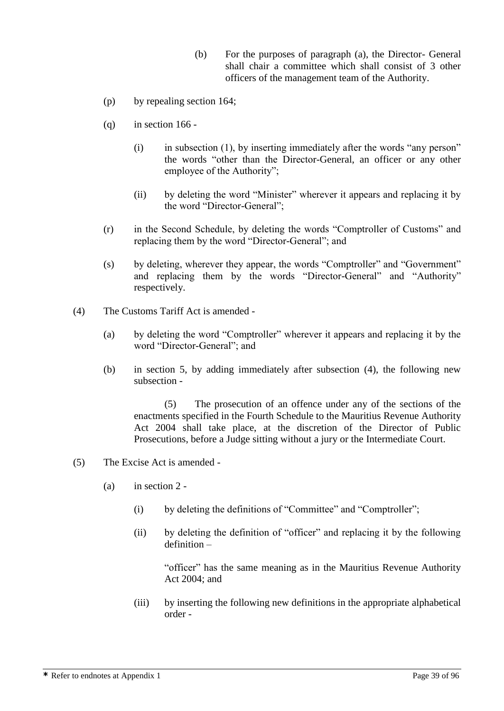- (b) For the purposes of paragraph (a), the Director- General shall chair a committee which shall consist of 3 other officers of the management team of the Authority.
- (p) by repealing section 164;
- $(q)$  in section 166 -
	- (i) in subsection (1), by inserting immediately after the words "any person" the words "other than the Director-General, an officer or any other employee of the Authority";
	- (ii) by deleting the word "Minister" wherever it appears and replacing it by the word "Director-General";
- (r) in the Second Schedule, by deleting the words "Comptroller of Customs" and replacing them by the word "Director-General"; and
- (s) by deleting, wherever they appear, the words "Comptroller" and "Government" and replacing them by the words "Director-General" and "Authority" respectively.
- (4) The Customs Tariff Act is amended
	- (a) by deleting the word "Comptroller" wherever it appears and replacing it by the word "Director-General"; and
	- (b) in section 5, by adding immediately after subsection (4), the following new subsection -

(5) The prosecution of an offence under any of the sections of the enactments specified in the Fourth Schedule to the Mauritius Revenue Authority Act 2004 shall take place, at the discretion of the Director of Public Prosecutions, before a Judge sitting without a jury or the Intermediate Court.

- (5) The Excise Act is amended
	- (a) in section 2
		- (i) by deleting the definitions of "Committee" and "Comptroller";
		- (ii) by deleting the definition of "officer" and replacing it by the following definition –

"officer" has the same meaning as in the Mauritius Revenue Authority Act 2004; and

(iii) by inserting the following new definitions in the appropriate alphabetical order -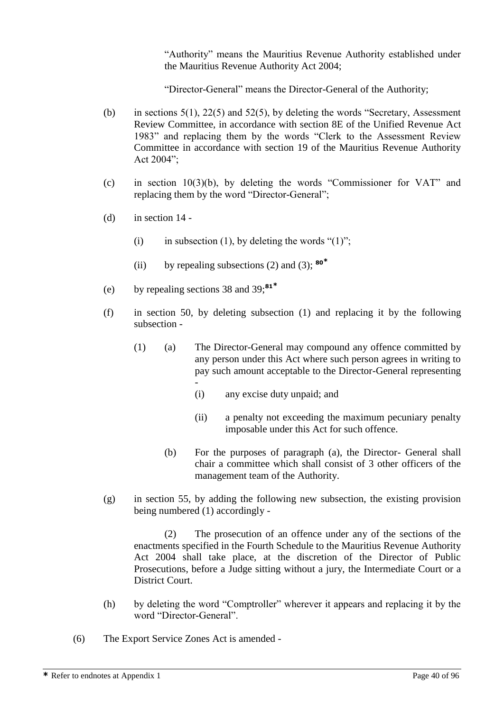"Authority" means the Mauritius Revenue Authority established under the Mauritius Revenue Authority Act 2004;

"Director-General" means the Director-General of the Authority;

- (b) in sections  $5(1)$ ,  $22(5)$  and  $52(5)$ , by deleting the words "Secretary, Assessment Review Committee, in accordance with section 8E of the Unified Revenue Act 1983" and replacing them by the words "Clerk to the Assessment Review Committee in accordance with section 19 of the Mauritius Revenue Authority Act 2004";
- (c) in section 10(3)(b), by deleting the words "Commissioner for VAT" and replacing them by the word "Director-General";
- (d) in section  $14$  -
	- (i) in subsection (1), by deleting the words " $(1)$ ";
	- (ii) by repealing subsections (2) and (3); **<sup>80</sup>\***
- (e) by repealing sections 38 and 39;**<sup>81</sup>\***
- (f) in section 50, by deleting subsection (1) and replacing it by the following subsection -
	- (1) (a) The Director-General may compound any offence committed by any person under this Act where such person agrees in writing to pay such amount acceptable to the Director-General representing -
		- (i) any excise duty unpaid; and
		- (ii) a penalty not exceeding the maximum pecuniary penalty imposable under this Act for such offence.
		- (b) For the purposes of paragraph (a), the Director- General shall chair a committee which shall consist of 3 other officers of the management team of the Authority.
- (g) in section 55, by adding the following new subsection, the existing provision being numbered (1) accordingly -

(2) The prosecution of an offence under any of the sections of the enactments specified in the Fourth Schedule to the Mauritius Revenue Authority Act 2004 shall take place, at the discretion of the Director of Public Prosecutions, before a Judge sitting without a jury, the Intermediate Court or a District Court.

- (h) by deleting the word "Comptroller" wherever it appears and replacing it by the word "Director-General".
- (6) The Export Service Zones Act is amended -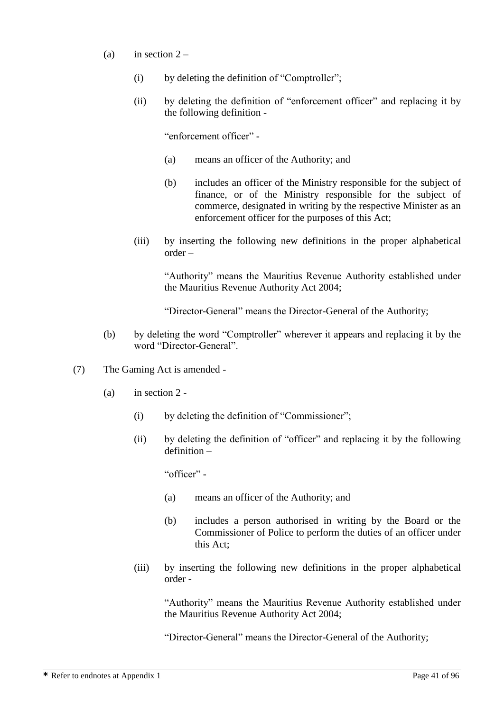- (a) in section  $2 -$ 
	- (i) by deleting the definition of "Comptroller";
	- (ii) by deleting the definition of "enforcement officer" and replacing it by the following definition -

"enforcement officer" -

- (a) means an officer of the Authority; and
- (b) includes an officer of the Ministry responsible for the subject of finance, or of the Ministry responsible for the subject of commerce, designated in writing by the respective Minister as an enforcement officer for the purposes of this Act;
- (iii) by inserting the following new definitions in the proper alphabetical order –

"Authority" means the Mauritius Revenue Authority established under the Mauritius Revenue Authority Act 2004;

"Director-General" means the Director-General of the Authority;

- (b) by deleting the word "Comptroller" wherever it appears and replacing it by the word "Director-General".
- (7) The Gaming Act is amended
	- (a) in section 2
		- (i) by deleting the definition of "Commissioner";
		- (ii) by deleting the definition of "officer" and replacing it by the following definition –

"officer" -

- (a) means an officer of the Authority; and
- (b) includes a person authorised in writing by the Board or the Commissioner of Police to perform the duties of an officer under this Act;
- (iii) by inserting the following new definitions in the proper alphabetical order -

"Authority" means the Mauritius Revenue Authority established under the Mauritius Revenue Authority Act 2004;

"Director-General" means the Director-General of the Authority;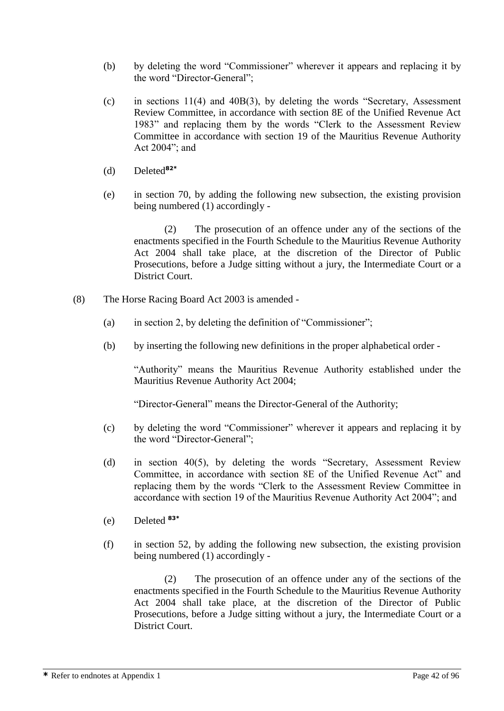- (b) by deleting the word "Commissioner" wherever it appears and replacing it by the word "Director-General";
- (c) in sections 11(4) and 40B(3), by deleting the words "Secretary, Assessment Review Committee, in accordance with section 8E of the Unified Revenue Act 1983" and replacing them by the words "Clerk to the Assessment Review Committee in accordance with section 19 of the Mauritius Revenue Authority Act 2004"; and
- (d) Deleted**82\***
- (e) in section 70, by adding the following new subsection, the existing provision being numbered (1) accordingly -

(2) The prosecution of an offence under any of the sections of the enactments specified in the Fourth Schedule to the Mauritius Revenue Authority Act 2004 shall take place, at the discretion of the Director of Public Prosecutions, before a Judge sitting without a jury, the Intermediate Court or a District Court.

- (8) The Horse Racing Board Act 2003 is amended
	- (a) in section 2, by deleting the definition of "Commissioner";
	- (b) by inserting the following new definitions in the proper alphabetical order -

"Authority" means the Mauritius Revenue Authority established under the Mauritius Revenue Authority Act 2004;

"Director-General" means the Director-General of the Authority;

- (c) by deleting the word "Commissioner" wherever it appears and replacing it by the word "Director-General";
- (d) in section 40(5), by deleting the words "Secretary, Assessment Review Committee, in accordance with section 8E of the Unified Revenue Act" and replacing them by the words "Clerk to the Assessment Review Committee in accordance with section 19 of the Mauritius Revenue Authority Act 2004"; and
- (e) Deleted **83\***
- (f) in section 52, by adding the following new subsection, the existing provision being numbered (1) accordingly -

(2) The prosecution of an offence under any of the sections of the enactments specified in the Fourth Schedule to the Mauritius Revenue Authority Act 2004 shall take place, at the discretion of the Director of Public Prosecutions, before a Judge sitting without a jury, the Intermediate Court or a District Court.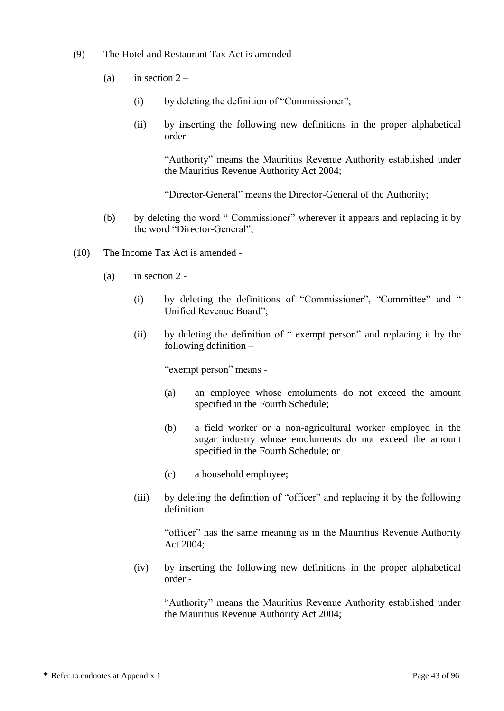- (9) The Hotel and Restaurant Tax Act is amended
	- (a) in section  $2 -$ 
		- (i) by deleting the definition of "Commissioner";
		- (ii) by inserting the following new definitions in the proper alphabetical order -

"Authority" means the Mauritius Revenue Authority established under the Mauritius Revenue Authority Act 2004;

"Director-General" means the Director-General of the Authority;

- (b) by deleting the word " Commissioner" wherever it appears and replacing it by the word "Director-General";
- (10) The Income Tax Act is amended
	- (a) in section 2
		- (i) by deleting the definitions of "Commissioner", "Committee" and " Unified Revenue Board";
		- (ii) by deleting the definition of " exempt person" and replacing it by the following definition –

"exempt person" means -

- (a) an employee whose emoluments do not exceed the amount specified in the Fourth Schedule;
- (b) a field worker or a non-agricultural worker employed in the sugar industry whose emoluments do not exceed the amount specified in the Fourth Schedule; or
- (c) a household employee;
- (iii) by deleting the definition of "officer" and replacing it by the following definition -

"officer" has the same meaning as in the Mauritius Revenue Authority Act 2004;

(iv) by inserting the following new definitions in the proper alphabetical order -

"Authority" means the Mauritius Revenue Authority established under the Mauritius Revenue Authority Act 2004;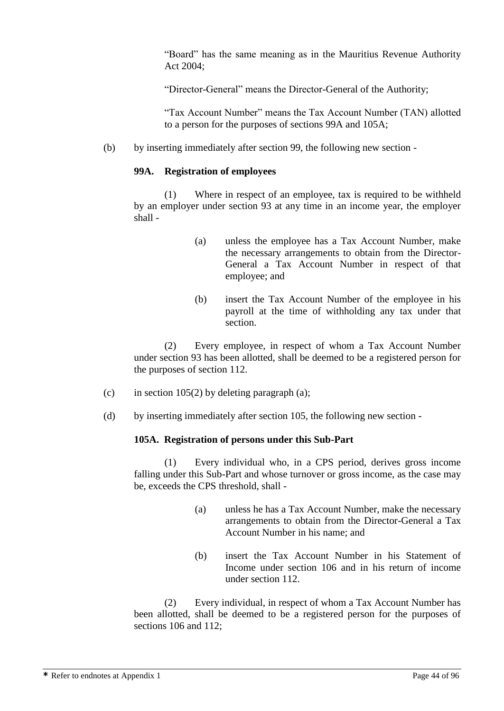"Board" has the same meaning as in the Mauritius Revenue Authority Act 2004;

"Director-General" means the Director-General of the Authority;

"Tax Account Number" means the Tax Account Number (TAN) allotted to a person for the purposes of sections 99A and 105A;

(b) by inserting immediately after section 99, the following new section -

## **99A. Registration of employees**

(1) Where in respect of an employee, tax is required to be withheld by an employer under section 93 at any time in an income year, the employer shall -

- (a) unless the employee has a Tax Account Number, make the necessary arrangements to obtain from the Director-General a Tax Account Number in respect of that employee; and
- (b) insert the Tax Account Number of the employee in his payroll at the time of withholding any tax under that section.

(2) Every employee, in respect of whom a Tax Account Number under section 93 has been allotted, shall be deemed to be a registered person for the purposes of section 112.

- (c) in section  $105(2)$  by deleting paragraph (a);
- (d) by inserting immediately after section 105, the following new section -

#### **105A. Registration of persons under this Sub-Part**

(1) Every individual who, in a CPS period, derives gross income falling under this Sub-Part and whose turnover or gross income, as the case may be, exceeds the CPS threshold, shall -

- (a) unless he has a Tax Account Number, make the necessary arrangements to obtain from the Director-General a Tax Account Number in his name; and
- (b) insert the Tax Account Number in his Statement of Income under section 106 and in his return of income under section 112.

(2) Every individual, in respect of whom a Tax Account Number has been allotted, shall be deemed to be a registered person for the purposes of sections 106 and 112;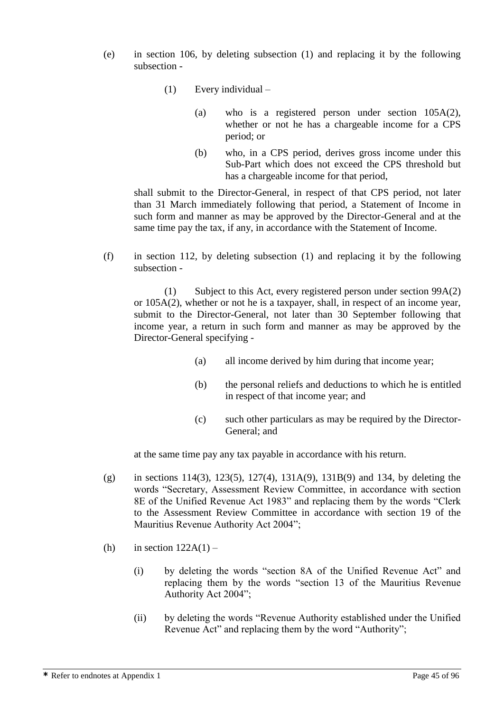- (e) in section 106, by deleting subsection (1) and replacing it by the following subsection -
	- (1) Every individual
		- (a) who is a registered person under section 105A(2), whether or not he has a chargeable income for a CPS period; or
		- (b) who, in a CPS period, derives gross income under this Sub-Part which does not exceed the CPS threshold but has a chargeable income for that period,

shall submit to the Director-General, in respect of that CPS period, not later than 31 March immediately following that period, a Statement of Income in such form and manner as may be approved by the Director-General and at the same time pay the tax, if any, in accordance with the Statement of Income.

(f) in section 112, by deleting subsection (1) and replacing it by the following subsection -

(1) Subject to this Act, every registered person under section 99A(2) or 105A(2), whether or not he is a taxpayer, shall, in respect of an income year, submit to the Director-General, not later than 30 September following that income year, a return in such form and manner as may be approved by the Director-General specifying -

- (a) all income derived by him during that income year;
- (b) the personal reliefs and deductions to which he is entitled in respect of that income year; and
- (c) such other particulars as may be required by the Director-General; and

at the same time pay any tax payable in accordance with his return.

- (g) in sections 114(3), 123(5), 127(4), 131A(9), 131B(9) and 134, by deleting the words "Secretary, Assessment Review Committee, in accordance with section 8E of the Unified Revenue Act 1983" and replacing them by the words "Clerk to the Assessment Review Committee in accordance with section 19 of the Mauritius Revenue Authority Act 2004";
- (h) in section  $122A(1)$ 
	- (i) by deleting the words "section 8A of the Unified Revenue Act" and replacing them by the words "section 13 of the Mauritius Revenue Authority Act 2004";
	- (ii) by deleting the words "Revenue Authority established under the Unified Revenue Act" and replacing them by the word "Authority";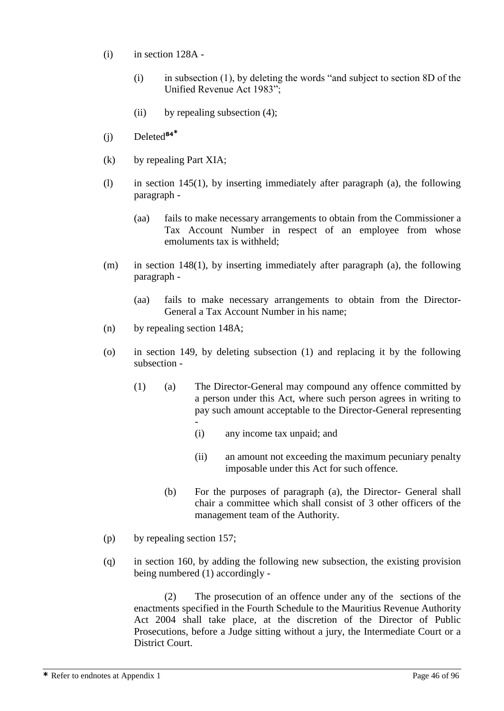- (i) in section 128A
	- (i) in subsection (1), by deleting the words "and subject to section 8D of the Unified Revenue Act 1983";
	- (ii) by repealing subsection  $(4)$ ;
- (j) Deleted**<sup>84</sup>\***
- (k) by repealing Part XIA;
- (l) in section 145(1), by inserting immediately after paragraph (a), the following paragraph -
	- (aa) fails to make necessary arrangements to obtain from the Commissioner a Tax Account Number in respect of an employee from whose emoluments tax is withheld;
- (m) in section 148(1), by inserting immediately after paragraph (a), the following paragraph -
	- (aa) fails to make necessary arrangements to obtain from the Director-General a Tax Account Number in his name;
- (n) by repealing section 148A;
- (o) in section 149, by deleting subsection (1) and replacing it by the following subsection -
	- (1) (a) The Director-General may compound any offence committed by a person under this Act, where such person agrees in writing to pay such amount acceptable to the Director-General representing -
		- (i) any income tax unpaid; and
		- (ii) an amount not exceeding the maximum pecuniary penalty imposable under this Act for such offence.
		- (b) For the purposes of paragraph (a), the Director- General shall chair a committee which shall consist of 3 other officers of the management team of the Authority.
- (p) by repealing section 157;
- (q) in section 160, by adding the following new subsection, the existing provision being numbered (1) accordingly -

(2) The prosecution of an offence under any of the sections of the enactments specified in the Fourth Schedule to the Mauritius Revenue Authority Act 2004 shall take place, at the discretion of the Director of Public Prosecutions, before a Judge sitting without a jury, the Intermediate Court or a District Court.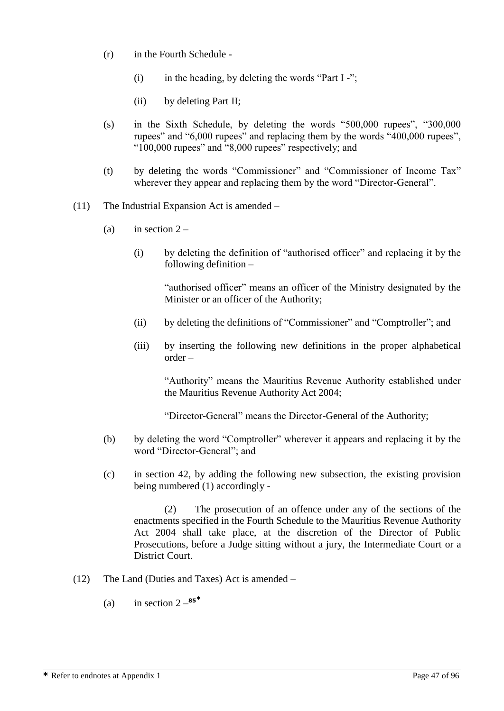- (r) in the Fourth Schedule
	- (i) in the heading, by deleting the words "Part  $I -$ ";
	- (ii) by deleting Part II;
- (s) in the Sixth Schedule, by deleting the words "500,000 rupees", "300,000 rupees" and "6,000 rupees" and replacing them by the words "400,000 rupees", "100,000 rupees" and "8,000 rupees" respectively; and
- (t) by deleting the words "Commissioner" and "Commissioner of Income Tax" wherever they appear and replacing them by the word "Director-General".
- (11) The Industrial Expansion Act is amended
	- (a) in section  $2 -$ 
		- (i) by deleting the definition of "authorised officer" and replacing it by the following definition –

"authorised officer" means an officer of the Ministry designated by the Minister or an officer of the Authority;

- (ii) by deleting the definitions of "Commissioner" and "Comptroller"; and
- (iii) by inserting the following new definitions in the proper alphabetical order –

"Authority" means the Mauritius Revenue Authority established under the Mauritius Revenue Authority Act 2004;

"Director-General" means the Director-General of the Authority;

- (b) by deleting the word "Comptroller" wherever it appears and replacing it by the word "Director-General"; and
- (c) in section 42, by adding the following new subsection, the existing provision being numbered (1) accordingly -

(2) The prosecution of an offence under any of the sections of the enactments specified in the Fourth Schedule to the Mauritius Revenue Authority Act 2004 shall take place, at the discretion of the Director of Public Prosecutions, before a Judge sitting without a jury, the Intermediate Court or a District Court.

- (12) The Land (Duties and Taxes) Act is amended
	- (a) in section  $2 85$ <sup>\*</sup>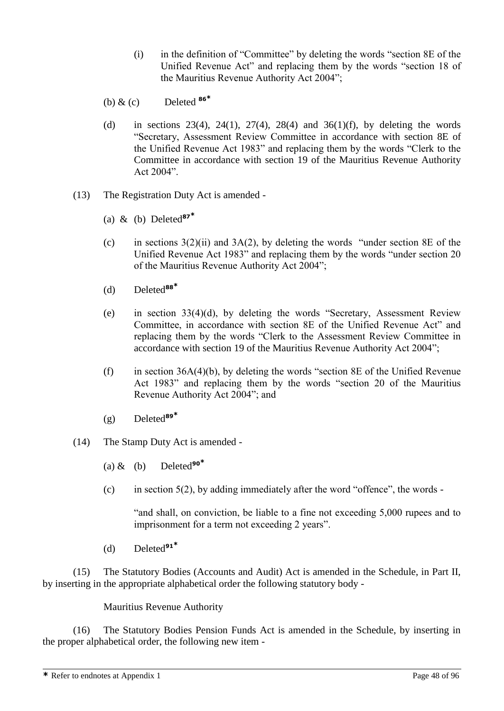- (i) in the definition of "Committee" by deleting the words "section 8E of the Unified Revenue Act" and replacing them by the words "section 18 of the Mauritius Revenue Authority Act 2004";
- (b) & (c) Deleted **<sup>86</sup>\***
- (d) in sections 23(4), 24(1), 27(4), 28(4) and 36(1)(f), by deleting the words "Secretary, Assessment Review Committee in accordance with section 8E of the Unified Revenue Act 1983" and replacing them by the words "Clerk to the Committee in accordance with section 19 of the Mauritius Revenue Authority Act 2004".
- (13) The Registration Duty Act is amended
	- (a) & (b) Deleted**<sup>87</sup>\***
	- (c) in sections  $3(2)(ii)$  and  $3A(2)$ , by deleting the words "under section 8E of the Unified Revenue Act 1983" and replacing them by the words "under section 20 of the Mauritius Revenue Authority Act 2004";
	- (d) Deleted**<sup>88</sup>\***
	- (e) in section 33(4)(d), by deleting the words "Secretary, Assessment Review Committee, in accordance with section 8E of the Unified Revenue Act" and replacing them by the words "Clerk to the Assessment Review Committee in accordance with section 19 of the Mauritius Revenue Authority Act 2004";
	- (f) in section  $36A(4)(b)$ , by deleting the words "section 8E of the Unified Revenue Act 1983" and replacing them by the words "section 20 of the Mauritius Revenue Authority Act 2004"; and
	- (g) Deleted**<sup>89</sup>\***
- (14) The Stamp Duty Act is amended
	- (a)  $\&$  (b) Deleted<sup>90\*</sup>
	- (c) in section  $5(2)$ , by adding immediately after the word "offence", the words -

"and shall, on conviction, be liable to a fine not exceeding 5,000 rupees and to imprisonment for a term not exceeding 2 years".

(d) Deleted**<sup>91</sup>\***

(15) The Statutory Bodies (Accounts and Audit) Act is amended in the Schedule, in Part II, by inserting in the appropriate alphabetical order the following statutory body -

Mauritius Revenue Authority

(16) The Statutory Bodies Pension Funds Act is amended in the Schedule, by inserting in the proper alphabetical order, the following new item -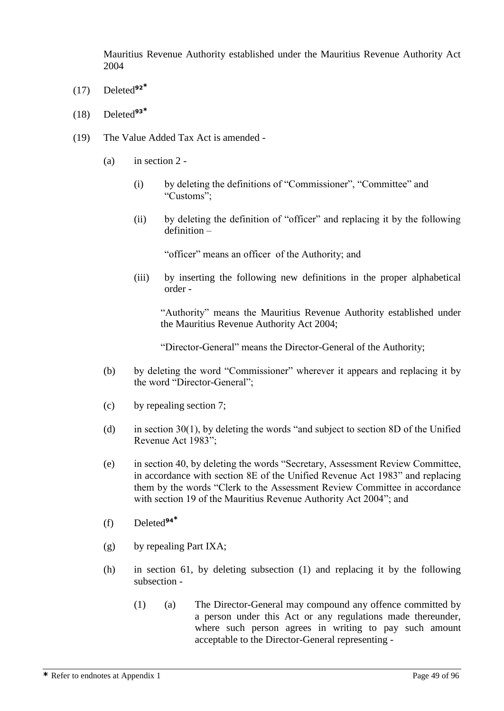Mauritius Revenue Authority established under the Mauritius Revenue Authority Act 2004

- (17) Deleted**<sup>92</sup>\***
- (18) Deleted**<sup>93</sup>\***
- (19) The Value Added Tax Act is amended
	- (a) in section 2
		- (i) by deleting the definitions of "Commissioner", "Committee" and "Customs";
		- (ii) by deleting the definition of "officer" and replacing it by the following definition –

"officer" means an officer of the Authority; and

(iii) by inserting the following new definitions in the proper alphabetical order -

"Authority" means the Mauritius Revenue Authority established under the Mauritius Revenue Authority Act 2004;

"Director-General" means the Director-General of the Authority;

- (b) by deleting the word "Commissioner" wherever it appears and replacing it by the word "Director-General";
- (c) by repealing section 7;
- (d) in section 30(1), by deleting the words "and subject to section 8D of the Unified Revenue Act 1983";
- (e) in section 40, by deleting the words "Secretary, Assessment Review Committee, in accordance with section 8E of the Unified Revenue Act 1983" and replacing them by the words "Clerk to the Assessment Review Committee in accordance with section 19 of the Mauritius Revenue Authority Act 2004"; and
- (f) Deleted**<sup>94</sup>\***
- (g) by repealing Part IXA;
- (h) in section 61, by deleting subsection (1) and replacing it by the following subsection -
	- (1) (a) The Director-General may compound any offence committed by a person under this Act or any regulations made thereunder, where such person agrees in writing to pay such amount acceptable to the Director-General representing -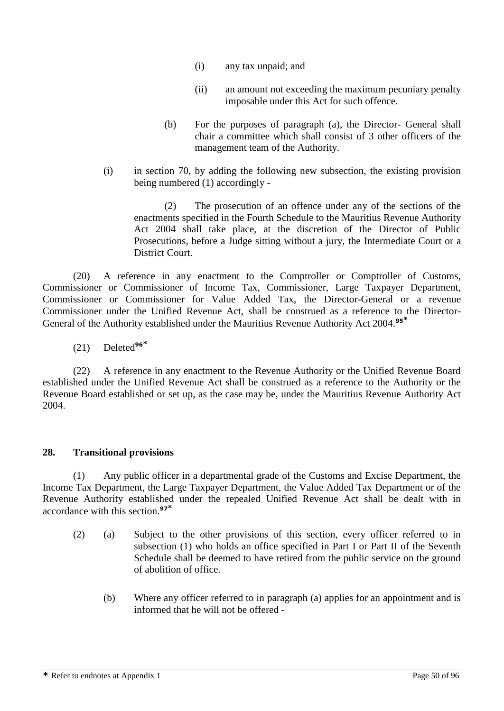- (i) any tax unpaid; and
- (ii) an amount not exceeding the maximum pecuniary penalty imposable under this Act for such offence.
- (b) For the purposes of paragraph (a), the Director- General shall chair a committee which shall consist of 3 other officers of the management team of the Authority.
- (i) in section 70, by adding the following new subsection, the existing provision being numbered (1) accordingly -

(2) The prosecution of an offence under any of the sections of the enactments specified in the Fourth Schedule to the Mauritius Revenue Authority Act 2004 shall take place, at the discretion of the Director of Public Prosecutions, before a Judge sitting without a jury, the Intermediate Court or a District Court.

(20) A reference in any enactment to the Comptroller or Comptroller of Customs, Commissioner or Commissioner of Income Tax, Commissioner, Large Taxpayer Department, Commissioner or Commissioner for Value Added Tax, the Director-General or a revenue Commissioner under the Unified Revenue Act, shall be construed as a reference to the Director-General of the Authority established under the Mauritius Revenue Authority Act 2004.**<sup>95</sup>\***

(21) Deleted**<sup>96</sup>\***

(22) A reference in any enactment to the Revenue Authority or the Unified Revenue Board established under the Unified Revenue Act shall be construed as a reference to the Authority or the Revenue Board established or set up, as the case may be, under the Mauritius Revenue Authority Act 2004.

# **28. Transitional provisions**

(1) Any public officer in a departmental grade of the Customs and Excise Department, the Income Tax Department, the Large Taxpayer Department, the Value Added Tax Department or of the Revenue Authority established under the repealed Unified Revenue Act shall be dealt with in accordance with this section.**<sup>97</sup>\***

- (2) (a) Subject to the other provisions of this section, every officer referred to in subsection (1) who holds an office specified in Part I or Part II of the Seventh Schedule shall be deemed to have retired from the public service on the ground of abolition of office.
	- (b) Where any officer referred to in paragraph (a) applies for an appointment and is informed that he will not be offered -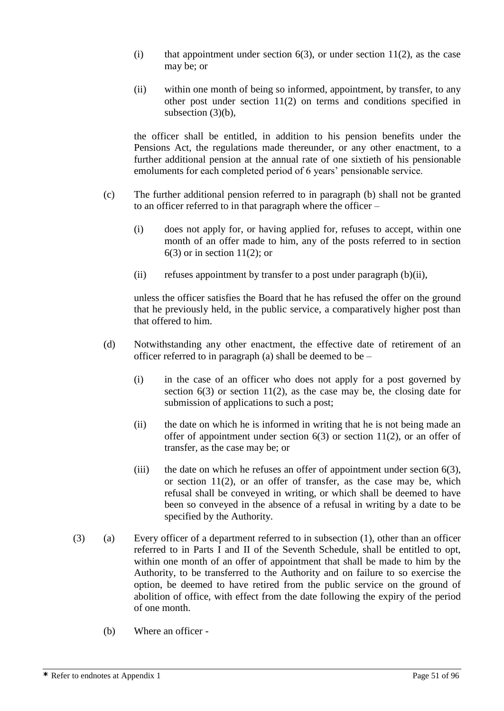- (i) that appointment under section  $6(3)$ , or under section  $11(2)$ , as the case may be; or
- (ii) within one month of being so informed, appointment, by transfer, to any other post under section 11(2) on terms and conditions specified in subsection (3)(b).

the officer shall be entitled, in addition to his pension benefits under the Pensions Act, the regulations made thereunder, or any other enactment, to a further additional pension at the annual rate of one sixtieth of his pensionable emoluments for each completed period of 6 years' pensionable service.

- (c) The further additional pension referred to in paragraph (b) shall not be granted to an officer referred to in that paragraph where the officer –
	- (i) does not apply for, or having applied for, refuses to accept, within one month of an offer made to him, any of the posts referred to in section  $6(3)$  or in section 11(2); or
	- (ii) refuses appointment by transfer to a post under paragraph  $(b)(ii)$ ,

unless the officer satisfies the Board that he has refused the offer on the ground that he previously held, in the public service, a comparatively higher post than that offered to him.

- (d) Notwithstanding any other enactment, the effective date of retirement of an officer referred to in paragraph (a) shall be deemed to be  $-$ 
	- (i) in the case of an officer who does not apply for a post governed by section  $6(3)$  or section  $11(2)$ , as the case may be, the closing date for submission of applications to such a post;
	- (ii) the date on which he is informed in writing that he is not being made an offer of appointment under section  $6(3)$  or section 11(2), or an offer of transfer, as the case may be; or
	- (iii) the date on which he refuses an offer of appointment under section  $6(3)$ , or section 11(2), or an offer of transfer, as the case may be, which refusal shall be conveyed in writing, or which shall be deemed to have been so conveyed in the absence of a refusal in writing by a date to be specified by the Authority.
- (3) (a) Every officer of a department referred to in subsection (1), other than an officer referred to in Parts I and II of the Seventh Schedule, shall be entitled to opt, within one month of an offer of appointment that shall be made to him by the Authority, to be transferred to the Authority and on failure to so exercise the option, be deemed to have retired from the public service on the ground of abolition of office, with effect from the date following the expiry of the period of one month.
	- (b) Where an officer -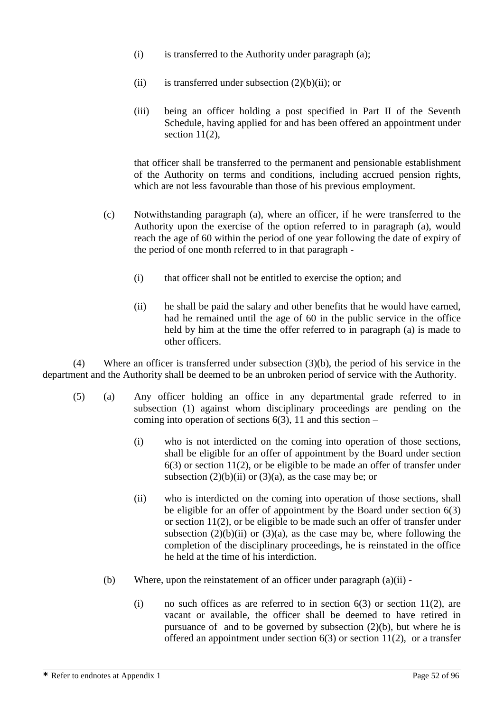- (i) is transferred to the Authority under paragraph (a);
- (ii) is transferred under subsection  $(2)(b)(ii)$ ; or
- (iii) being an officer holding a post specified in Part II of the Seventh Schedule, having applied for and has been offered an appointment under section 11(2).

that officer shall be transferred to the permanent and pensionable establishment of the Authority on terms and conditions, including accrued pension rights, which are not less favourable than those of his previous employment.

- (c) Notwithstanding paragraph (a), where an officer, if he were transferred to the Authority upon the exercise of the option referred to in paragraph (a), would reach the age of 60 within the period of one year following the date of expiry of the period of one month referred to in that paragraph -
	- (i) that officer shall not be entitled to exercise the option; and
	- (ii) he shall be paid the salary and other benefits that he would have earned, had he remained until the age of 60 in the public service in the office held by him at the time the offer referred to in paragraph (a) is made to other officers.

(4) Where an officer is transferred under subsection (3)(b), the period of his service in the department and the Authority shall be deemed to be an unbroken period of service with the Authority.

- (5) (a) Any officer holding an office in any departmental grade referred to in subsection (1) against whom disciplinary proceedings are pending on the coming into operation of sections  $6(3)$ , 11 and this section –
	- (i) who is not interdicted on the coming into operation of those sections, shall be eligible for an offer of appointment by the Board under section 6(3) or section 11(2), or be eligible to be made an offer of transfer under subsection  $(2)(b)(ii)$  or  $(3)(a)$ , as the case may be; or
	- (ii) who is interdicted on the coming into operation of those sections, shall be eligible for an offer of appointment by the Board under section 6(3) or section 11(2), or be eligible to be made such an offer of transfer under subsection  $(2)(b)(ii)$  or  $(3)(a)$ , as the case may be, where following the completion of the disciplinary proceedings, he is reinstated in the office he held at the time of his interdiction.
	- (b) Where, upon the reinstatement of an officer under paragraph (a)(ii)
		- (i) no such offices as are referred to in section  $6(3)$  or section 11(2), are vacant or available, the officer shall be deemed to have retired in pursuance of and to be governed by subsection  $(2)(b)$ , but where he is offered an appointment under section  $6(3)$  or section  $11(2)$ , or a transfer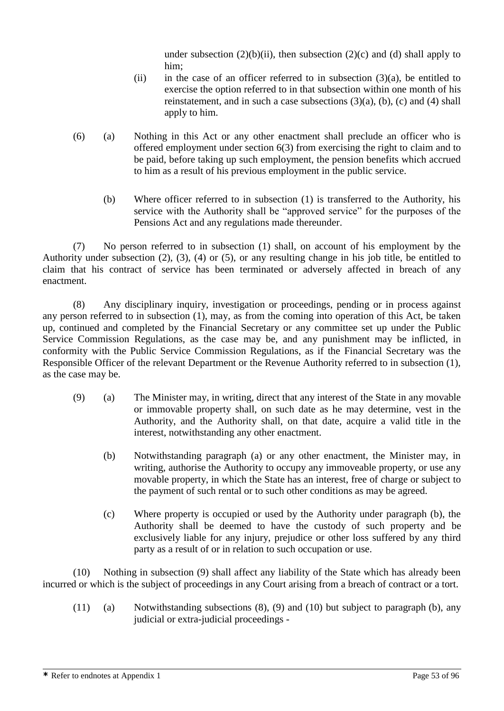under subsection  $(2)(b)(ii)$ , then subsection  $(2)(c)$  and  $(d)$  shall apply to him;

- (ii) in the case of an officer referred to in subsection  $(3)(a)$ , be entitled to exercise the option referred to in that subsection within one month of his reinstatement, and in such a case subsections  $(3)(a)$ ,  $(b)$ ,  $(c)$  and  $(4)$  shall apply to him.
- (6) (a) Nothing in this Act or any other enactment shall preclude an officer who is offered employment under section 6(3) from exercising the right to claim and to be paid, before taking up such employment, the pension benefits which accrued to him as a result of his previous employment in the public service.
	- (b) Where officer referred to in subsection (1) is transferred to the Authority, his service with the Authority shall be "approved service" for the purposes of the Pensions Act and any regulations made thereunder.

(7) No person referred to in subsection (1) shall, on account of his employment by the Authority under subsection (2), (3), (4) or (5), or any resulting change in his job title, be entitled to claim that his contract of service has been terminated or adversely affected in breach of any enactment.

(8) Any disciplinary inquiry, investigation or proceedings, pending or in process against any person referred to in subsection (1), may, as from the coming into operation of this Act, be taken up, continued and completed by the Financial Secretary or any committee set up under the Public Service Commission Regulations, as the case may be, and any punishment may be inflicted, in conformity with the Public Service Commission Regulations, as if the Financial Secretary was the Responsible Officer of the relevant Department or the Revenue Authority referred to in subsection (1), as the case may be.

- (9) (a) The Minister may, in writing, direct that any interest of the State in any movable or immovable property shall, on such date as he may determine, vest in the Authority, and the Authority shall, on that date, acquire a valid title in the interest, notwithstanding any other enactment.
	- (b) Notwithstanding paragraph (a) or any other enactment, the Minister may, in writing, authorise the Authority to occupy any immoveable property, or use any movable property, in which the State has an interest, free of charge or subject to the payment of such rental or to such other conditions as may be agreed.
	- (c) Where property is occupied or used by the Authority under paragraph (b), the Authority shall be deemed to have the custody of such property and be exclusively liable for any injury, prejudice or other loss suffered by any third party as a result of or in relation to such occupation or use.

(10) Nothing in subsection (9) shall affect any liability of the State which has already been incurred or which is the subject of proceedings in any Court arising from a breach of contract or a tort.

(11) (a) Notwithstanding subsections (8), (9) and (10) but subject to paragraph (b), any judicial or extra-judicial proceedings -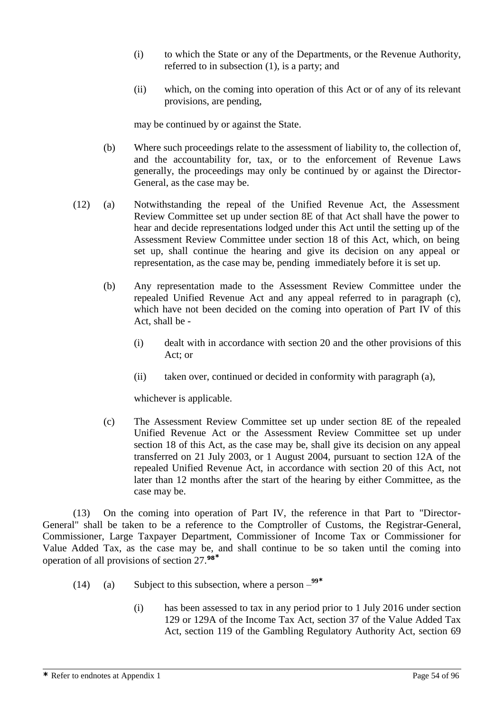- (i) to which the State or any of the Departments, or the Revenue Authority, referred to in subsection (1), is a party; and
- (ii) which, on the coming into operation of this Act or of any of its relevant provisions, are pending,

may be continued by or against the State.

- (b) Where such proceedings relate to the assessment of liability to, the collection of, and the accountability for, tax, or to the enforcement of Revenue Laws generally, the proceedings may only be continued by or against the Director-General, as the case may be.
- (12) (a) Notwithstanding the repeal of the Unified Revenue Act, the Assessment Review Committee set up under section 8E of that Act shall have the power to hear and decide representations lodged under this Act until the setting up of the Assessment Review Committee under section 18 of this Act, which, on being set up, shall continue the hearing and give its decision on any appeal or representation, as the case may be, pending immediately before it is set up.
	- (b) Any representation made to the Assessment Review Committee under the repealed Unified Revenue Act and any appeal referred to in paragraph (c), which have not been decided on the coming into operation of Part IV of this Act, shall be -
		- (i) dealt with in accordance with section 20 and the other provisions of this Act; or
		- (ii) taken over, continued or decided in conformity with paragraph (a),

whichever is applicable.

(c) The Assessment Review Committee set up under section 8E of the repealed Unified Revenue Act or the Assessment Review Committee set up under section 18 of this Act, as the case may be, shall give its decision on any appeal transferred on 21 July 2003, or 1 August 2004, pursuant to section 12A of the repealed Unified Revenue Act, in accordance with section 20 of this Act, not later than 12 months after the start of the hearing by either Committee, as the case may be.

(13) On the coming into operation of Part IV, the reference in that Part to "Director-General" shall be taken to be a reference to the Comptroller of Customs, the Registrar-General, Commissioner, Large Taxpayer Department, Commissioner of Income Tax or Commissioner for Value Added Tax, as the case may be, and shall continue to be so taken until the coming into operation of all provisions of section 27.**<sup>98</sup>\***

- (14) (a) Subject to this subsection, where a person **99\***
	- (i) has been assessed to tax in any period prior to 1 July 2016 under section 129 or 129A of the Income Tax Act, section 37 of the Value Added Tax Act, section 119 of the Gambling Regulatory Authority Act, section 69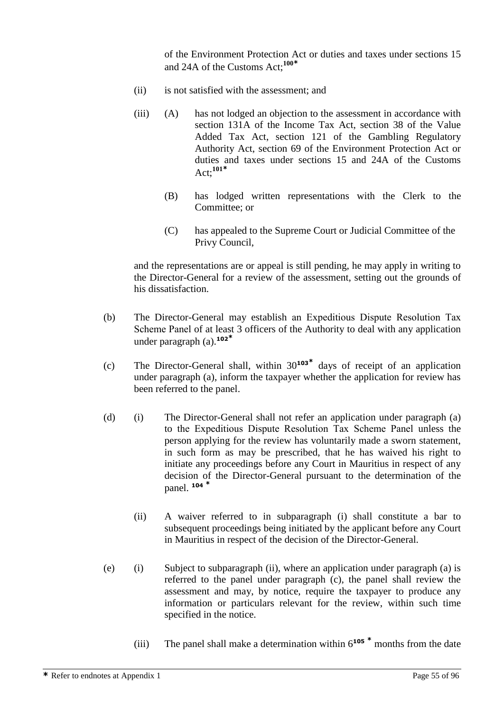of the Environment Protection Act or duties and taxes under sections 15 and 24A of the Customs Act; **100\***

- (ii) is not satisfied with the assessment; and
- (iii) (A) has not lodged an objection to the assessment in accordance with section 131A of the Income Tax Act, section 38 of the Value Added Tax Act, section 121 of the Gambling Regulatory Authority Act, section 69 of the Environment Protection Act or duties and taxes under sections 15 and 24A of the Customs Act; **101\***
	- (B) has lodged written representations with the Clerk to the Committee; or
	- (C) has appealed to the Supreme Court or Judicial Committee of the Privy Council,

and the representations are or appeal is still pending, he may apply in writing to the Director-General for a review of the assessment, setting out the grounds of his dissatisfaction.

- (b) The Director-General may establish an Expeditious Dispute Resolution Tax Scheme Panel of at least 3 officers of the Authority to deal with any application under paragraph (a).**<sup>102</sup>\***
- (c) The Director-General shall, within 30**<sup>103</sup>\*** days of receipt of an application under paragraph (a), inform the taxpayer whether the application for review has been referred to the panel.
- (d) (i) The Director-General shall not refer an application under paragraph (a) to the Expeditious Dispute Resolution Tax Scheme Panel unless the person applying for the review has voluntarily made a sworn statement, in such form as may be prescribed, that he has waived his right to initiate any proceedings before any Court in Mauritius in respect of any decision of the Director-General pursuant to the determination of the panel. **<sup>104</sup> \***
	- (ii) A waiver referred to in subparagraph (i) shall constitute a bar to subsequent proceedings being initiated by the applicant before any Court in Mauritius in respect of the decision of the Director-General.
- (e) (i) Subject to subparagraph (ii), where an application under paragraph (a) is referred to the panel under paragraph (c), the panel shall review the assessment and may, by notice, require the taxpayer to produce any information or particulars relevant for the review, within such time specified in the notice.
	- (iii) The panel shall make a determination within 6**<sup>105</sup> \*** months from the date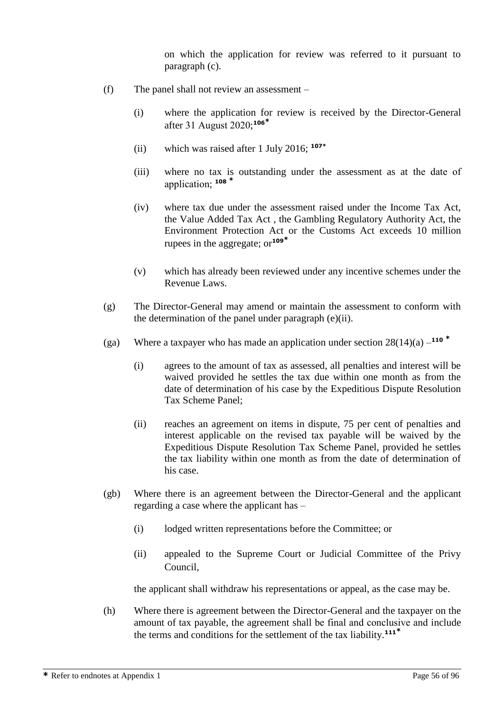on which the application for review was referred to it pursuant to paragraph (c).

- (f) The panel shall not review an assessment
	- (i) where the application for review is received by the Director-General after 31 August 2020; **106\***
	- (ii) which was raised after 1 July 2016; **107\***
	- (iii) where no tax is outstanding under the assessment as at the date of application; **<sup>108</sup> \***
	- (iv) where tax due under the assessment raised under the Income Tax Act, the Value Added Tax Act , the Gambling Regulatory Authority Act, the Environment Protection Act or the Customs Act exceeds 10 million rupees in the aggregate; or**<sup>109</sup>\***
	- (v) which has already been reviewed under any incentive schemes under the Revenue Laws.
- (g) The Director-General may amend or maintain the assessment to conform with the determination of the panel under paragraph (e)(ii).
- (ga) Where a taxpayer who has made an application under section 28(14)(a) **110 \***
	- (i) agrees to the amount of tax as assessed, all penalties and interest will be waived provided he settles the tax due within one month as from the date of determination of his case by the Expeditious Dispute Resolution Tax Scheme Panel;
	- (ii) reaches an agreement on items in dispute, 75 per cent of penalties and interest applicable on the revised tax payable will be waived by the Expeditious Dispute Resolution Tax Scheme Panel, provided he settles the tax liability within one month as from the date of determination of his case.
- (gb) Where there is an agreement between the Director-General and the applicant regarding a case where the applicant has –
	- (i) lodged written representations before the Committee; or
	- (ii) appealed to the Supreme Court or Judicial Committee of the Privy Council,

the applicant shall withdraw his representations or appeal, as the case may be.

(h) Where there is agreement between the Director-General and the taxpayer on the amount of tax payable, the agreement shall be final and conclusive and include the terms and conditions for the settlement of the tax liability.**111\***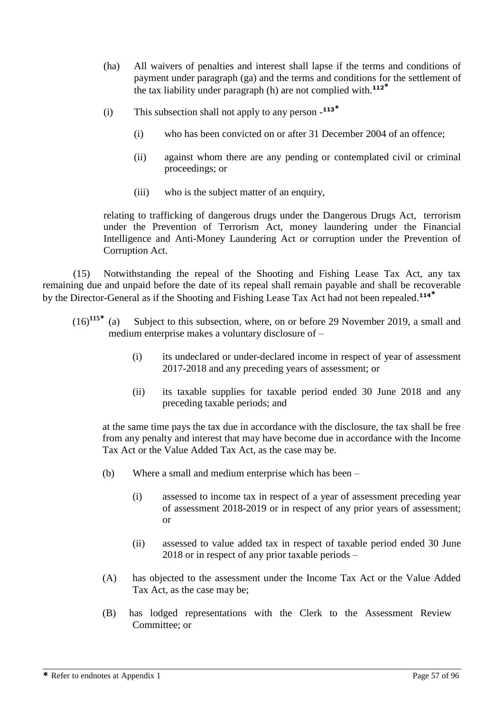- (ha) All waivers of penalties and interest shall lapse if the terms and conditions of payment under paragraph (ga) and the terms and conditions for the settlement of the tax liability under paragraph (h) are not complied with.**<sup>112</sup>\***
- (i) This subsection shall not apply to any person **113\***
	- (i) who has been convicted on or after 31 December 2004 of an offence;
	- (ii) against whom there are any pending or contemplated civil or criminal proceedings; or
	- (iii) who is the subject matter of an enquiry,

relating to trafficking of dangerous drugs under the Dangerous Drugs Act, terrorism under the Prevention of Terrorism Act, money laundering under the Financial Intelligence and Anti-Money Laundering Act or corruption under the Prevention of Corruption Act.

(15) Notwithstanding the repeal of the Shooting and Fishing Lease Tax Act, any tax remaining due and unpaid before the date of its repeal shall remain payable and shall be recoverable by the Director-General as if the Shooting and Fishing Lease Tax Act had not been repealed.**<sup>114</sup>\***

- $(16)^{115*}$  (a) Subiect to this subsection, where, on or before 29 November 2019, a small and medium enterprise makes a voluntary disclosure of –
	- (i) its undeclared or under-declared income in respect of year of assessment 2017-2018 and any preceding years of assessment; or
	- (ii) its taxable supplies for taxable period ended 30 June 2018 and any preceding taxable periods; and

at the same time pays the tax due in accordance with the disclosure, the tax shall be free from any penalty and interest that may have become due in accordance with the Income Tax Act or the Value Added Tax Act, as the case may be.

- (b) Where a small and medium enterprise which has been
	- (i) assessed to income tax in respect of a year of assessment preceding year of assessment 2018-2019 or in respect of any prior years of assessment; or
	- (ii) assessed to value added tax in respect of taxable period ended 30 June 2018 or in respect of any prior taxable periods –
- (A) has objected to the assessment under the Income Tax Act or the Value Added Tax Act, as the case may be;
- (B) has lodged representations with the Clerk to the Assessment Review Committee; or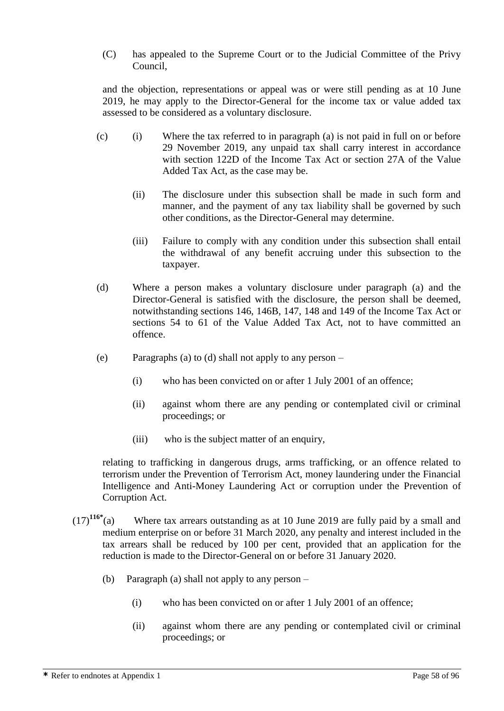(C) has appealed to the Supreme Court or to the Judicial Committee of the Privy Council,

and the objection, representations or appeal was or were still pending as at 10 June 2019, he may apply to the Director-General for the income tax or value added tax assessed to be considered as a voluntary disclosure.

- (c) (i) Where the tax referred to in paragraph (a) is not paid in full on or before 29 November 2019, any unpaid tax shall carry interest in accordance with section 122D of the Income Tax Act or section 27A of the Value Added Tax Act, as the case may be.
	- (ii) The disclosure under this subsection shall be made in such form and manner, and the payment of any tax liability shall be governed by such other conditions, as the Director-General may determine.
	- (iii) Failure to comply with any condition under this subsection shall entail the withdrawal of any benefit accruing under this subsection to the taxpayer.
- (d) Where a person makes a voluntary disclosure under paragraph (a) and the Director-General is satisfied with the disclosure, the person shall be deemed, notwithstanding sections 146, 146B, 147, 148 and 149 of the Income Tax Act or sections 54 to 61 of the Value Added Tax Act, not to have committed an offence.
- (e) Paragraphs (a) to (d) shall not apply to any person
	- (i) who has been convicted on or after 1 July 2001 of an offence;
	- (ii) against whom there are any pending or contemplated civil or criminal proceedings; or
	- (iii) who is the subject matter of an enquiry,

relating to trafficking in dangerous drugs, arms trafficking, or an offence related to terrorism under the Prevention of Terrorism Act, money laundering under the Financial Intelligence and Anti-Money Laundering Act or corruption under the Prevention of Corruption Act.

- $(17)^{116*}$ (a) Where tax arrears outstanding as at 10 June 2019 are fully paid by a small and medium enterprise on or before 31 March 2020, any penalty and interest included in the tax arrears shall be reduced by 100 per cent, provided that an application for the reduction is made to the Director-General on or before 31 January 2020.
	- (b) Paragraph (a) shall not apply to any person
		- (i) who has been convicted on or after 1 July 2001 of an offence;
		- (ii) against whom there are any pending or contemplated civil or criminal proceedings; or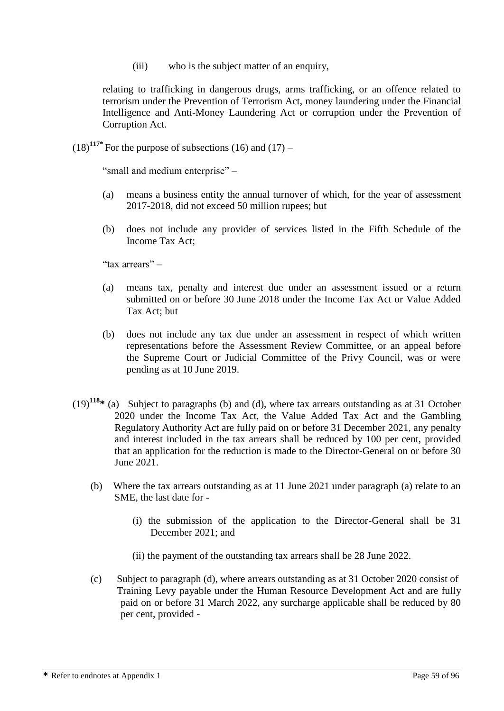(iii) who is the subject matter of an enquiry,

relating to trafficking in dangerous drugs, arms trafficking, or an offence related to terrorism under the Prevention of Terrorism Act, money laundering under the Financial Intelligence and Anti-Money Laundering Act or corruption under the Prevention of Corruption Act.

 $(18)^{117}$ <sup>\*</sup> For the purpose of subsections (16) and (17) –

"small and medium enterprise" –

- (a) means a business entity the annual turnover of which, for the year of assessment 2017-2018, did not exceed 50 million rupees; but
- (b) does not include any provider of services listed in the Fifth Schedule of the Income Tax Act;

"tax arrears" –

- (a) means tax, penalty and interest due under an assessment issued or a return submitted on or before 30 June 2018 under the Income Tax Act or Value Added Tax Act; but
- (b) does not include any tax due under an assessment in respect of which written representations before the Assessment Review Committee, or an appeal before the Supreme Court or Judicial Committee of the Privy Council, was or were pending as at 10 June 2019.
- (19)**<sup>118</sup>\*** (a) Subject to paragraphs (b) and (d), where tax arrears outstanding as at 31 October 2020 under the Income Tax Act, the Value Added Tax Act and the Gambling Regulatory Authority Act are fully paid on or before 31 December 2021, any penalty and interest included in the tax arrears shall be reduced by 100 per cent, provided that an application for the reduction is made to the Director-General on or before 30 June 2021.
	- (b) Where the tax arrears outstanding as at 11 June 2021 under paragraph (a) relate to an SME, the last date for -
		- (i) the submission of the application to the Director-General shall be 31 December 2021; and
		- (ii) the payment of the outstanding tax arrears shall be 28 June 2022.
	- (c) Subject to paragraph (d), where arrears outstanding as at 31 October 2020 consist of Training Levy payable under the Human Resource Development Act and are fully paid on or before 31 March 2022, any surcharge applicable shall be reduced by 80 per cent, provided -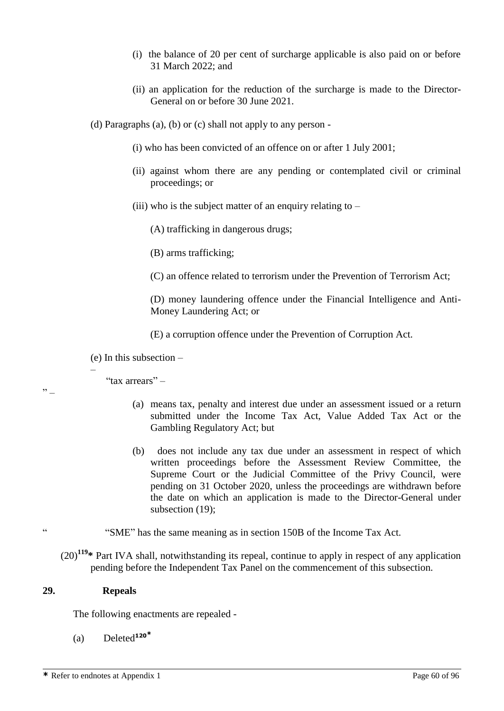- (i) the balance of 20 per cent of surcharge applicable is also paid on or before 31 March 2022; and
- (ii) an application for the reduction of the surcharge is made to the Director-General on or before 30 June 2021.

(d) Paragraphs (a), (b) or (c) shall not apply to any person -

- (i) who has been convicted of an offence on or after 1 July 2001;
- (ii) against whom there are any pending or contemplated civil or criminal proceedings; or
- (iii) who is the subject matter of an enquiry relating to  $-$

(A) trafficking in dangerous drugs;

(B) arms trafficking;

(C) an offence related to terrorism under the Prevention of Terrorism Act;

 (D) money laundering offence under the Financial Intelligence and Anti-Money Laundering Act; or

(E) a corruption offence under the Prevention of Corruption Act.

(e) In this subsection –

"tax arrears" –

–

"

- (a) means tax, penalty and interest due under an assessment issued or a return submitted under the Income Tax Act, Value Added Tax Act or the Gambling Regulatory Act; but
- (b) does not include any tax due under an assessment in respect of which written proceedings before the Assessment Review Committee, the Supreme Court or the Judicial Committee of the Privy Council, were pending on 31 October 2020, unless the proceedings are withdrawn before the date on which an application is made to the Director-General under subsection (19);
- " "SME" has the same meaning as in section 150B of the Income Tax Act.

(20)**<sup>119</sup>\*** Part IVA shall, notwithstanding its repeal, continue to apply in respect of any application pending before the Independent Tax Panel on the commencement of this subsection.

#### **29. Repeals**

The following enactments are repealed -

(a) Deleted**<sup>120</sup>\***

**\*** Refer to endnotes at Appendix 1 Page 60 of 96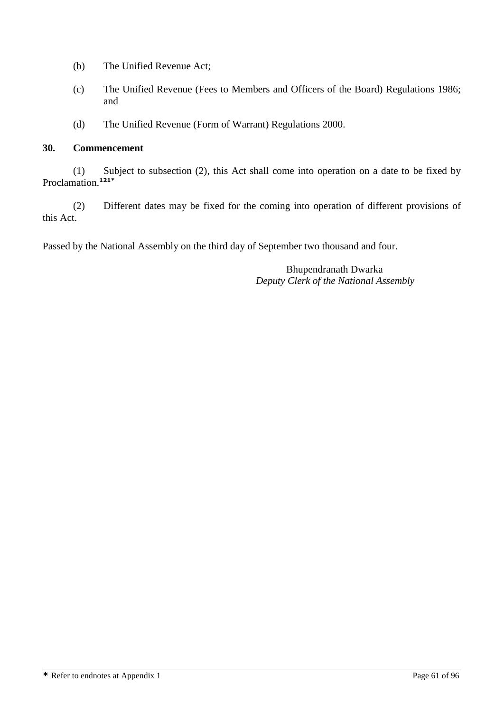- (b) The Unified Revenue Act;
- (c) The Unified Revenue (Fees to Members and Officers of the Board) Regulations 1986; and
- (d) The Unified Revenue (Form of Warrant) Regulations 2000.

#### **30. Commencement**

(1) Subject to subsection (2), this Act shall come into operation on a date to be fixed by Proclamation.**121\***

(2) Different dates may be fixed for the coming into operation of different provisions of this Act.

Passed by the National Assembly on the third day of September two thousand and four.

Bhupendranath Dwarka *Deputy Clerk of the National Assembly*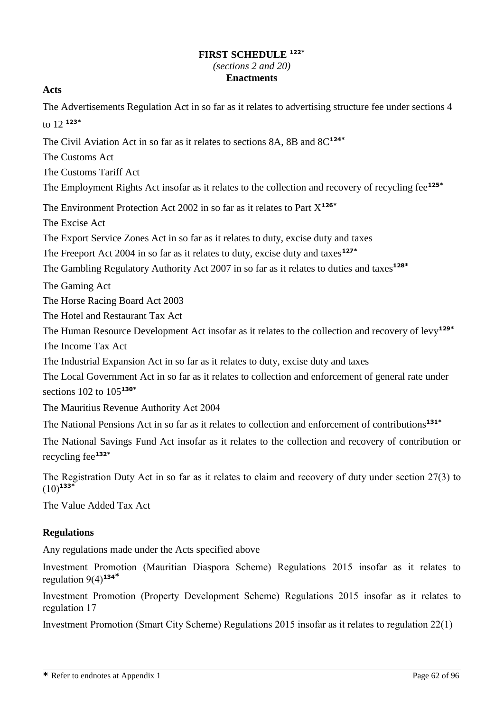# **FIRST SCHEDULE 122\*** *(sections 2 and 20)* **Enactments**

# **Acts**

The Advertisements Regulation Act in so far as it relates to advertising structure fee under sections 4 to 12 **123\***

The Civil Aviation Act in so far as it relates to sections 8A, 8B and 8C**124\***

The Customs Act

The Customs Tariff Act

The Employment Rights Act insofar as it relates to the collection and recovery of recycling fee**125\***

The Environment Protection Act 2002 in so far as it relates to Part X**126\***

The Excise Act

The Export Service Zones Act in so far as it relates to duty, excise duty and taxes

The Freeport Act 2004 in so far as it relates to duty, excise duty and taxes**127\***

The Gambling Regulatory Authority Act 2007 in so far as it relates to duties and taxes**128\***

The Gaming Act

The Horse Racing Board Act 2003

The Hotel and Restaurant Tax Act

The Human Resource Development Act insofar as it relates to the collection and recovery of levy**129\***

The Income Tax Act

The Industrial Expansion Act in so far as it relates to duty, excise duty and taxes

The Local Government Act in so far as it relates to collection and enforcement of general rate under sections 102 to 105**130\***

The Mauritius Revenue Authority Act 2004

The National Pensions Act in so far as it relates to collection and enforcement of contributions**131\***

The National Savings Fund Act insofar as it relates to the collection and recovery of contribution or recycling fee**132\***

The Registration Duty Act in so far as it relates to claim and recovery of duty under section 27(3) to  $(10)^{133*}$ 

The Value Added Tax Act

# **Regulations**

Any regulations made under the Acts specified above

Investment Promotion (Mauritian Diaspora Scheme) Regulations 2015 insofar as it relates to regulation 9(4)**<sup>134</sup>\***

Investment Promotion (Property Development Scheme) Regulations 2015 insofar as it relates to regulation 17

Investment Promotion (Smart City Scheme) Regulations 2015 insofar as it relates to regulation 22(1)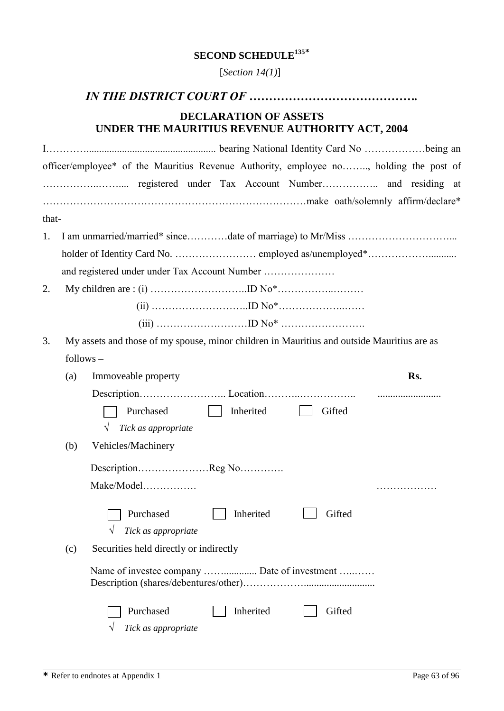# **SECOND SCHEDULE<sup>135</sup>\***

[*Section 14(1)*]

# *IN THE DISTRICT COURT OF …………………………………….*

# **DECLARATION OF ASSETS UNDER THE MAURITIUS REVENUE AUTHORITY ACT, 2004**

|       |             | officer/employee* of the Mauritius Revenue Authority, employee no, holding the post of     |     |
|-------|-------------|--------------------------------------------------------------------------------------------|-----|
|       |             |                                                                                            |     |
|       |             |                                                                                            |     |
| that- |             |                                                                                            |     |
| 1.    |             |                                                                                            |     |
|       |             |                                                                                            |     |
|       |             | and registered under under Tax Account Number                                              |     |
| 2.    |             |                                                                                            |     |
|       |             |                                                                                            |     |
|       |             |                                                                                            |     |
| 3.    |             | My assets and those of my spouse, minor children in Mauritius and outside Mauritius are as |     |
|       | $follows -$ |                                                                                            |     |
|       | (a)         | Immoveable property                                                                        | Rs. |
|       |             |                                                                                            |     |
|       |             | Purchased<br>Inherited<br>Gifted                                                           |     |
|       |             | Tick as appropriate<br>$\sqrt{}$                                                           |     |
|       | (b)         | Vehicles/Machinery                                                                         |     |
|       |             | DescriptionReg No                                                                          |     |
|       |             | Make/Model                                                                                 |     |
|       |             | Inherited<br>Gifted<br>Purchased                                                           |     |
|       |             | Tick as appropriate<br>V                                                                   |     |
|       | (c)         | Securities held directly or indirectly                                                     |     |
|       |             | Name of investee company  Date of investment                                               |     |
|       |             | Purchased<br>Inherited<br>Gifted                                                           |     |
|       |             | Tick as appropriate                                                                        |     |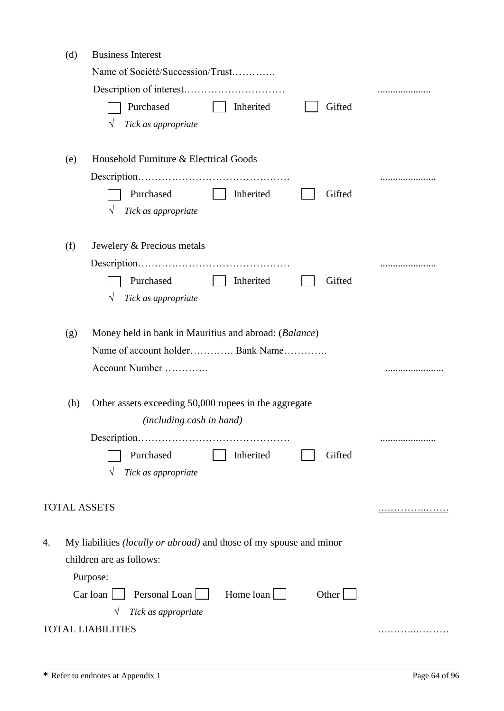|    | (d) | <b>Business Interest</b>                                                   |   |
|----|-----|----------------------------------------------------------------------------|---|
|    |     | Name of Société/Succession/Trust                                           |   |
|    |     |                                                                            |   |
|    |     | Purchased<br>Gifted<br>Inherited                                           |   |
|    |     | Tick as appropriate                                                        |   |
|    |     |                                                                            |   |
|    | (e) | Household Furniture & Electrical Goods                                     |   |
|    |     |                                                                            |   |
|    |     | Purchased<br>Inherited<br>Gifted                                           |   |
|    |     | Tick as appropriate                                                        |   |
|    | (f) | Jewelery & Precious metals                                                 |   |
|    |     |                                                                            |   |
|    |     | Purchased<br>Inherited<br>Gifted                                           |   |
|    |     | Tick as appropriate<br>V                                                   |   |
|    |     |                                                                            |   |
|    | (g) | Money held in bank in Mauritius and abroad: (Balance)                      |   |
|    |     | Name of account holder Bank Name                                           |   |
|    |     | Account Number                                                             | . |
|    |     |                                                                            |   |
|    | (h) | Other assets exceeding 50,000 rupees in the aggregate                      |   |
|    |     | (including cash in hand)                                                   |   |
|    |     |                                                                            |   |
|    |     | Purchased<br>Inherited<br>Gifted<br>Tick as appropriate                    |   |
|    |     |                                                                            |   |
|    |     | <b>TOTAL ASSETS</b>                                                        |   |
|    |     |                                                                            |   |
| 4. |     | My liabilities <i>(locally or abroad)</i> and those of my spouse and minor |   |
|    |     | children are as follows:                                                   |   |
|    |     | Purpose:                                                                   |   |
|    |     | Home loan<br>Personal Loan<br>Car loan<br>Other                            |   |
|    |     | Tick as appropriate                                                        |   |
|    |     | <b>TOTAL LIABILITIES</b>                                                   | . |
|    |     |                                                                            |   |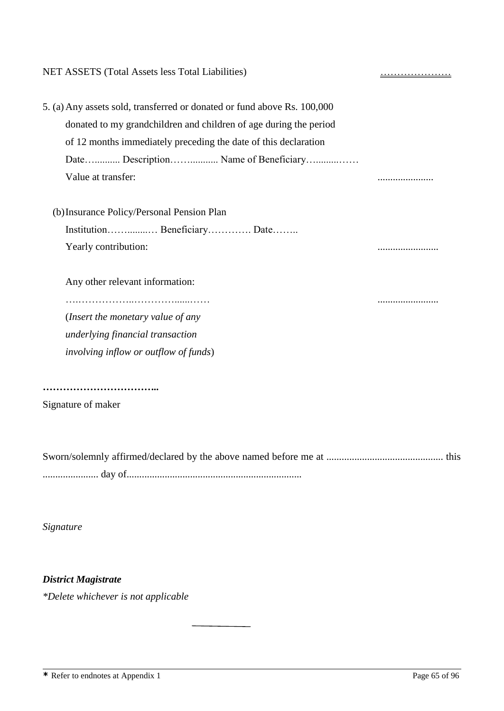| NET ASSETS (Total Assets less Total Liabilities)                         | <u>.</u> |
|--------------------------------------------------------------------------|----------|
| 5. (a) Any assets sold, transferred or donated or fund above Rs. 100,000 |          |
| donated to my grandchildren and children of age during the period        |          |
| of 12 months immediately preceding the date of this declaration          |          |
| Date Description Name of Beneficiary                                     |          |
| Value at transfer:                                                       |          |
| (b) Insurance Policy/Personal Pension Plan                               |          |
| Institution Beneficiary Date                                             |          |
| Yearly contribution:                                                     |          |
| Any other relevant information:                                          |          |
| (Insert the monetary value of any                                        |          |
| underlying financial transaction                                         |          |
| <i>involving inflow or outflow of funds)</i>                             |          |
|                                                                          |          |
| Signature of maker                                                       |          |
|                                                                          |          |

Sworn/solemnly affirmed/declared by the above named before me at .............................................. this ...................... day of.....................................................................

*Signature*

*District Magistrate*

*\*Delete whichever is not applicable*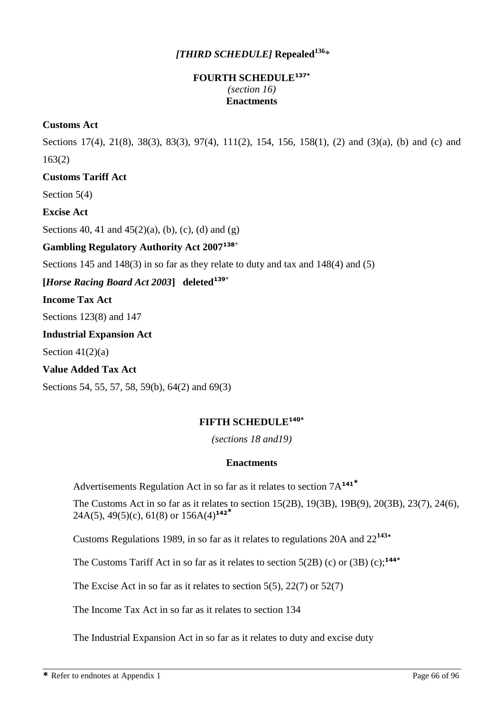# *[THIRD SCHEDULE]* **Repealed<sup>136</sup>**\*

# **FOURTH SCHEDULE137\*** *(section 16)*  **Enactments**

## **Customs Act**

Sections 17(4), 21(8), 38(3), 83(3), 97(4), 111(2), 154, 156, 158(1), (2) and (3)(a), (b) and (c) and 163(2)

## **Customs Tariff Act**

Section 5(4)

**Excise Act**

Sections 40, 41 and  $45(2)(a)$ , (b), (c), (d) and (g)

# **Gambling Regulatory Authority Act 2007<sup>138</sup>**\*

Sections 145 and 148(3) in so far as they relate to duty and tax and 148(4) and (5)

**[***Horse Racing Board Act 2003***] deleted<sup>139</sup>**\*

**Income Tax Act**

Sections 123(8) and 147

#### **Industrial Expansion Act**

Section  $41(2)(a)$ 

**Value Added Tax Act**

Sections 54, 55, 57, 58, 59(b), 64(2) and 69(3)

# **FIFTH SCHEDULE140\***

*(sections 18 and19)*

#### **Enactments**

Advertisements Regulation Act in so far as it relates to section 7A**<sup>141</sup>\***

The Customs Act in so far as it relates to section 15(2B), 19(3B), 19B(9), 20(3B), 23(7), 24(6), 24A(5), 49(5)(c), 61(8) or 156A(4)**<sup>142</sup>\***

Customs Regulations 1989, in so far as it relates to regulations 20A and 22**<sup>143</sup>\***

The Customs Tariff Act in so far as it relates to section 5(2B) (c) or (3B) (c);**144\***

The Excise Act in so far as it relates to section  $5(5)$ ,  $22(7)$  or  $52(7)$ 

The Income Tax Act in so far as it relates to section 134

The Industrial Expansion Act in so far as it relates to duty and excise duty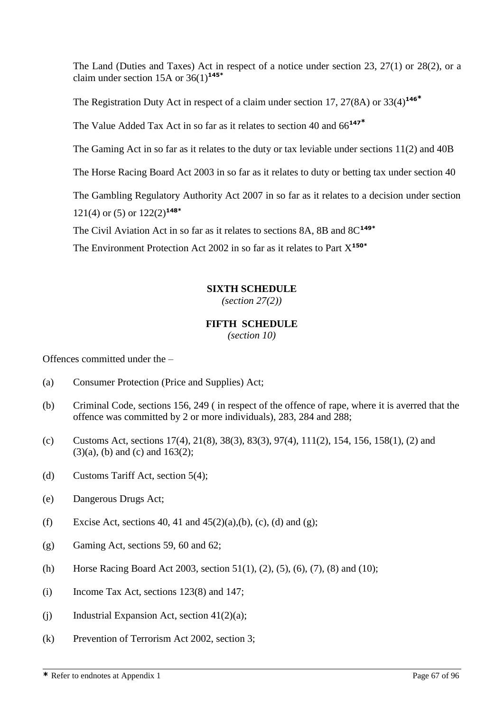The Land (Duties and Taxes) Act in respect of a notice under section 23, 27(1) or 28(2), or a claim under section 15A or 36(1)**145\***

The Registration Duty Act in respect of a claim under section 17, 27(8A) or 33(4)**<sup>146</sup>\***

The Value Added Tax Act in so far as it relates to section 40 and 66**<sup>147</sup>\***

The Gaming Act in so far as it relates to the duty or tax leviable under sections  $11(2)$  and  $40B$ 

The Horse Racing Board Act 2003 in so far as it relates to duty or betting tax under section 40

The Gambling Regulatory Authority Act 2007 in so far as it relates to a decision under section 121(4) or (5) or 122(2)**148\***

The Civil Aviation Act in so far as it relates to sections 8A, 8B and 8C**149\***

The Environment Protection Act 2002 in so far as it relates to Part X**150\***

## **SIXTH SCHEDULE**

*(section 27(2))*

## **FIFTH SCHEDULE**

*(section 10)*

Offences committed under the –

- (a) Consumer Protection (Price and Supplies) Act;
- (b) Criminal Code, sections 156, 249 ( in respect of the offence of rape, where it is averred that the offence was committed by 2 or more individuals), 283, 284 and 288;
- (c) Customs Act, sections  $17(4)$ ,  $21(8)$ ,  $38(3)$ ,  $83(3)$ ,  $97(4)$ ,  $111(2)$ ,  $154$ ,  $156$ ,  $158(1)$ ,  $(2)$  and  $(3)(a)$ , (b) and (c) and 163(2);
- (d) Customs Tariff Act, section 5(4);
- (e) Dangerous Drugs Act;
- (f) Excise Act, sections 40, 41 and  $45(2)(a)$ , (b), (c), (d) and (g);
- (g) Gaming Act, sections 59, 60 and 62;
- (h) Horse Racing Board Act 2003, section 51(1), (2), (5), (6), (7), (8) and (10);
- (i) Income Tax Act, sections 123(8) and 147;
- (i) Industrial Expansion Act, section  $41(2)(a)$ ;
- (k) Prevention of Terrorism Act 2002, section 3;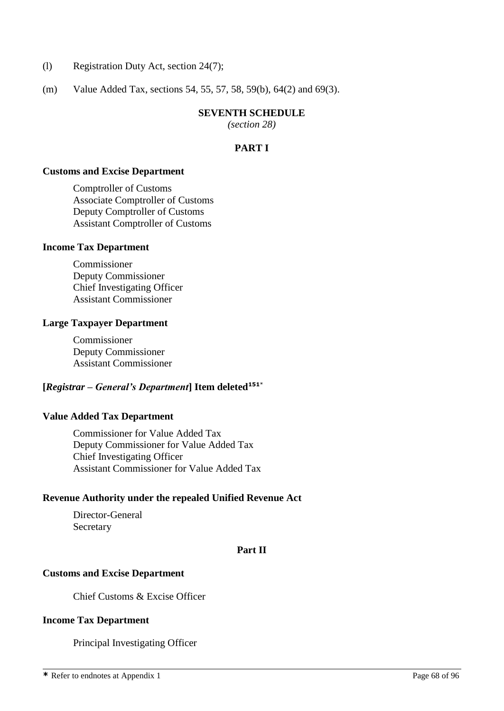- (l) Registration Duty Act, section 24(7);
- (m) Value Added Tax, sections 54, 55, 57, 58, 59(b), 64(2) and 69(3).

#### **SEVENTH SCHEDULE**

*(section 28)*

# **PART I**

#### **Customs and Excise Department**

Comptroller of Customs Associate Comptroller of Customs Deputy Comptroller of Customs Assistant Comptroller of Customs

#### **Income Tax Department**

Commissioner Deputy Commissioner Chief Investigating Officer Assistant Commissioner

#### **Large Taxpayer Department**

Commissioner Deputy Commissioner Assistant Commissioner

# **[***Registrar – General's Department***] Item deleted<sup>151</sup>**\*

# **Value Added Tax Department**

Commissioner for Value Added Tax Deputy Commissioner for Value Added Tax Chief Investigating Officer Assistant Commissioner for Value Added Tax

#### **Revenue Authority under the repealed Unified Revenue Act**

Director-General Secretary

#### **Part II**

#### **Customs and Excise Department**

Chief Customs & Excise Officer

#### **Income Tax Department**

Principal Investigating Officer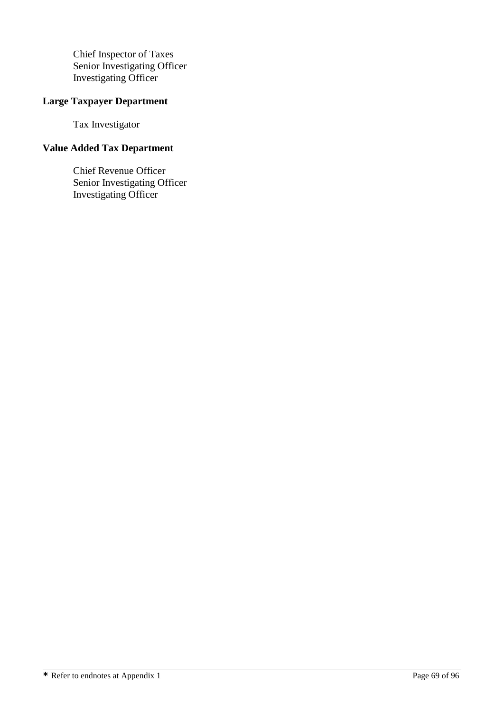Chief Inspector of Taxes Senior Investigating Officer Investigating Officer

# **Large Taxpayer Department**

Tax Investigator

# **Value Added Tax Department**

Chief Revenue Officer Senior Investigating Officer Investigating Officer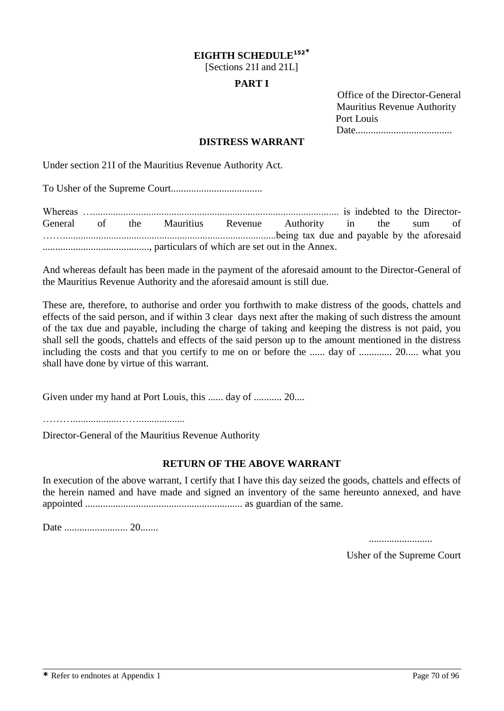#### **EIGHTH SCHEDULE<sup>152</sup>\***

[Sections 21I and 21L]

#### **PART I**

 Office of the Director-General Mauritius Revenue Authority Port Louis Date......................................

#### **DISTRESS WARRANT**

Under section 21I of the Mauritius Revenue Authority Act.

To Usher of the Supreme Court....................................

Whereas …................................................................................................. is indebted to the Director-General of the Mauritius Revenue Authority in the sum of ……....................................................................................being tax due and payable by the aforesaid .........................................., particulars of which are set out in the Annex.

And whereas default has been made in the payment of the aforesaid amount to the Director-General of the Mauritius Revenue Authority and the aforesaid amount is still due.

These are, therefore, to authorise and order you forthwith to make distress of the goods, chattels and effects of the said person, and if within 3 clear days next after the making of such distress the amount of the tax due and payable, including the charge of taking and keeping the distress is not paid, you shall sell the goods, chattels and effects of the said person up to the amount mentioned in the distress including the costs and that you certify to me on or before the ...... day of ............. 20..... what you shall have done by virtue of this warrant.

Given under my hand at Port Louis, this ...... day of ........... 20....

………..................……..................

Director-General of the Mauritius Revenue Authority

#### **RETURN OF THE ABOVE WARRANT**

In execution of the above warrant, I certify that I have this day seized the goods, chattels and effects of the herein named and have made and signed an inventory of the same hereunto annexed, and have appointed .............................................................. as guardian of the same.

Date ......................... 20.......

.........................

Usher of the Supreme Court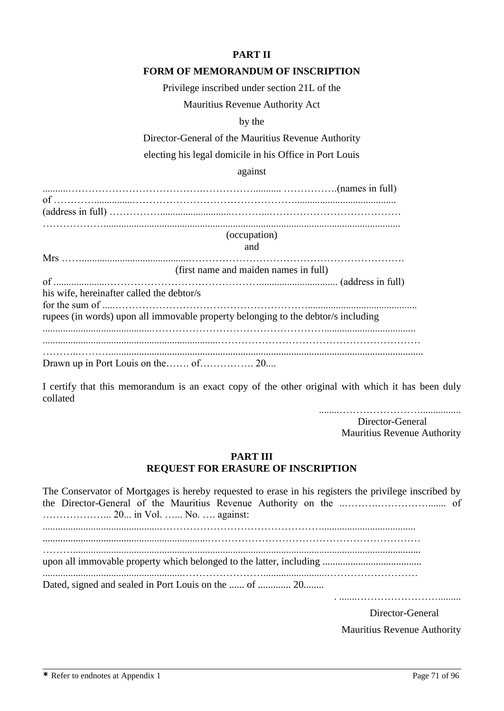## **PART II**

#### **FORM OF MEMORANDUM OF INSCRIPTION**

Privilege inscribed under section 21L of the

Mauritius Revenue Authority Act

by the

Director-General of the Mauritius Revenue Authority

electing his legal domicile in his Office in Port Louis

against

..........………………………………….……………........... …………….(names in full) of …………...............…………………………………………........................................ (address in full) ……………............................………...………………………………… ……………….....................................................................................................................

> (occupation) and

|                                           | (first name and maiden names in full)                                             |
|-------------------------------------------|-----------------------------------------------------------------------------------|
|                                           |                                                                                   |
| his wife, hereinafter called the debtor/s |                                                                                   |
|                                           |                                                                                   |
|                                           | rupees (in words) upon all immovable property belonging to the debtor/s including |
|                                           |                                                                                   |
|                                           |                                                                                   |
|                                           |                                                                                   |
|                                           |                                                                                   |

I certify that this memorandum is an exact copy of the other original with which it has been duly collated

........……………………................

Director-General Mauritius Revenue Authority

#### **PART III REQUEST FOR ERASURE OF INSCRIPTION**

The Conservator of Mortgages is hereby requested to erase in his registers the privilege inscribed by the Director-General of the Mauritius Revenue Authority on the ..……….……………....... of ………………... 20... in Vol. …... No. …. against:

..............................................…………………………………………..................................... .................................................................……………………………………………………… ………......................................................................................................................................... upon all immovable property which belonged to the latter, including ....................................... .......................................................…………………….........................……………………… Dated, signed and sealed in Port Louis on the ...... of ............... 20........

. .......…………………….........

Director-General Mauritius Revenue Authority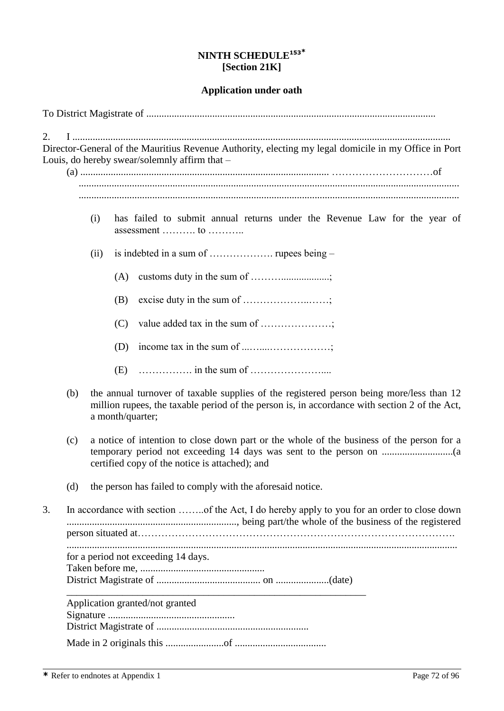# **NINTH SCHEDULE<sup>153</sup>\* [Section 21K]**

#### **Application under oath**

To District Magistrate of ..................................................................................................................

2. I ..................................................................................................................................................... Director-General of the Mauritius Revenue Authority, electing my legal domicile in my Office in Port Louis, do hereby swear/solemnly affirm that –

(a) .................................................................................................. …………………………of ......................................................................................................................................................

- (i) has failed to submit annual returns under the Revenue Law for the year of assessment ………. to ………..
- (ii) is indebted in a sum of ………………. rupees being
	- (A) customs duty in the sum of ………...................;
	- (B) excise duty in the sum of ………………..……;
	- (C) value added tax in the sum of …………………;
	- (D) income tax in the sum of  $\dots\dots\dots\dots\dots\dots\dots$
	- (E) ……………. in the sum of …………………....
- (b) the annual turnover of taxable supplies of the registered person being more/less than 12 million rupees, the taxable period of the person is, in accordance with section 2 of the Act, a month/quarter;
- (c) a notice of intention to close down part or the whole of the business of the person for a temporary period not exceeding 14 days was sent to the person on ............................(a certified copy of the notice is attached); and
- (d) the person has failed to comply with the aforesaid notice.

| 3. | In accordance with section of the Act, I do hereby apply to you for an order to close down |  |  |  |  |
|----|--------------------------------------------------------------------------------------------|--|--|--|--|
|    |                                                                                            |  |  |  |  |
|    | for a period not exceeding 14 days.                                                        |  |  |  |  |
|    |                                                                                            |  |  |  |  |
|    |                                                                                            |  |  |  |  |
|    | Application granted/not granted                                                            |  |  |  |  |
|    |                                                                                            |  |  |  |  |
|    |                                                                                            |  |  |  |  |
|    |                                                                                            |  |  |  |  |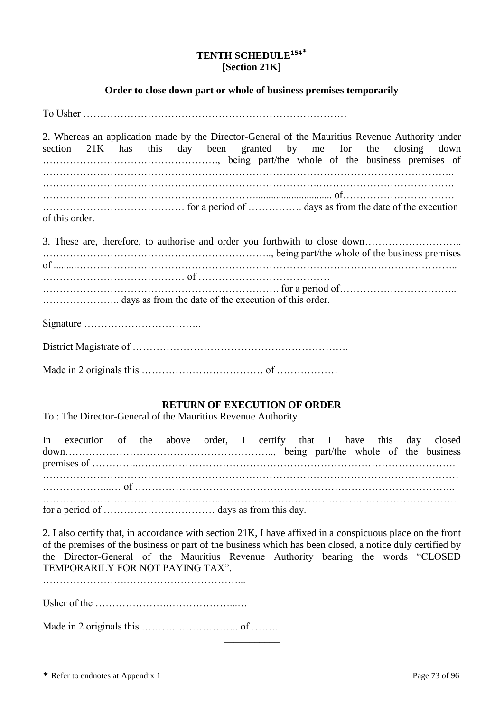# **TENTH SCHEDULE<sup>154</sup>\* [Section 21K]**

# **Order to close down part or whole of business premises temporarily**

To Usher ……………………………………………………………………

2. Whereas an application made by the Director-General of the Mauritius Revenue Authority under section 21K has this day been granted by me for the closing down ……………………………………………., being part/the whole of the business premises of ………………………………………………………………………………………………………….. ……………………………………………………………………….…………………………………. ……………………………………………………….............................. of…………………………… …………………………………… for a period of ……………. days as from the date of the execution of this order.

3. These are, therefore, to authorise and order you forthwith to close down……………………….. ………………………………………………………….., being part/the whole of the business premises of .........………………………………………………………………………………………………….. …………………………………… of ………………………………… ……………………………………………………………. for a period of…………………………….. ………………….. days as from the date of the execution of this order. Signature ……………………………..

District Magistrate of ……………………………………………………….

Made in 2 originals this ……………………………… of ………………

# **RETURN OF EXECUTION OF ORDER**

To : The Director-General of the Mauritius Revenue Authority

In execution of the above order, I certify that I have this day closed down…………………………………………………….., being part/the whole of the business premises of …………..…………………………………………………………………………………. …………………………………………………………………………………………………………… ………………...… of ………………………………………………………………………………….. ……………………………………………..……………………………………………………………. for a period of …………………………… days as from this day.

2. I also certify that, in accordance with section 21K, I have affixed in a conspicuous place on the front of the premises of the business or part of the business which has been closed, a notice duly certified by the Director-General of the Mauritius Revenue Authority bearing the words "CLOSED TEMPORARILY FOR NOT PAYING TAX".

…………………….……………………………...

Usher of the ………………….………………...…

Made in 2 originals this ……………………….. of ……… \_\_\_\_\_\_\_\_\_\_\_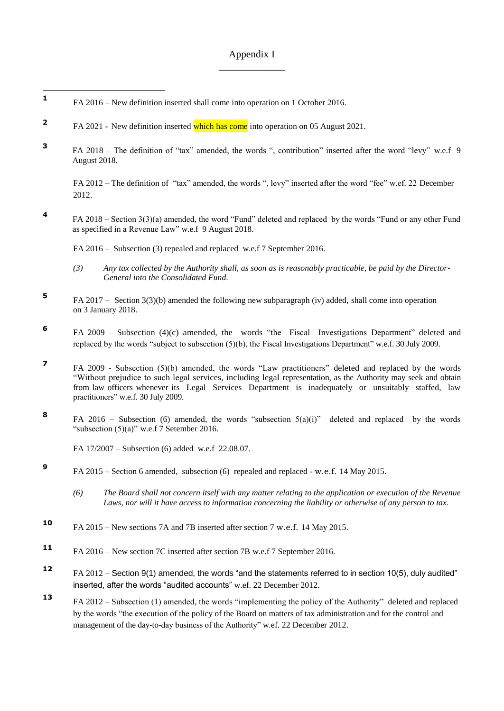# Appendix I \_\_\_\_\_\_\_\_\_\_\_\_\_

**1** FA 2016 – New definition inserted shall come into operation on 1 October 2016.

 $\overline{a}$ 

- **2** FA 2021 - New definition inserted which has come into operation on 05 August 2021.
- **3** FA 2018 – The definition of "tax" amended, the words ", contribution" inserted after the word "levy" w.e.f 9 August 2018.

FA 2012 – The definition of "tax" amended, the words ", levy" inserted after the word "fee" w.ef. 22 December 2012.

**4** FA 2018 – Section 3(3)(a) amended, the word "Fund" deleted and replaced by the words "Fund or any other Fund as specified in a Revenue Law" w.e.f 9 August 2018.

FA 2016 – Subsection (3) repealed and replaced w.e.f 7 September 2016.

- *(3) Any tax collected by the Authority shall, as soon as is reasonably practicable, be paid by the Director-General into the Consolidated Fund.*
- **5** FA 2017 – Section 3(3)(b) amended the following new subparagraph (iv) added, shall come into operation on 3 January 2018.
- **6** FA 2009 – Subsection (4)(c) amended, the words "the Fiscal Investigations Department" deleted and replaced by the words "subject to subsection (5)(b), the Fiscal Investigations Department" w.e.f. 30 July 2009.
- **7** FA 2009 - Subsection (5)(b) amended, the words "Law practitioners" deleted and replaced by the words "Without prejudice to such legal services, including legal representation, as the Authority may seek and obtain from law officers whenever its Legal Services Department is inadequately or unsuitably staffed, law practitioners" w.e.f. 30 July 2009.
- **8** FA 2016 – Subsection (6) amended, the words "subsection  $5(a)(i)$ " deleted and replaced by the words "subsection (5)(a)" w.e.f 7 Setember 2016.

FA 17/2007 – Subsection (6) added w.e.f 22.08.07.

- **9** FA 2015 – Section 6 amended, subsection (6) repealed and replaced - w.e.f. 14 May 2015.
	- *(6) The Board shall not concern itself with any matter relating to the application or execution of the Revenue Laws, nor will it have access to information concerning the liability or otherwise of any person to tax.*
- **<sup>10</sup>** FA 2015 New sections 7A and 7B inserted after section 7 w.e.f. 14 May 2015.
- **<sup>11</sup>** FA 2016 New section 7C inserted after section 7B w.e.f 7 September 2016.
- **<sup>12</sup>** FA 2012 Section 9(1) amended, the words "and the statements referred to in section 10(5), duly audited" inserted, after the words "audited accounts" w.ef. 22 December 2012.
- **<sup>13</sup>** FA 2012 Subsection (1) amended, the words "implementing the policy of the Authority" deleted and replaced by the words "the execution of the policy of the Board on matters of tax administration and for the control and management of the day-to-day business of the Authority" w.ef. 22 December 2012.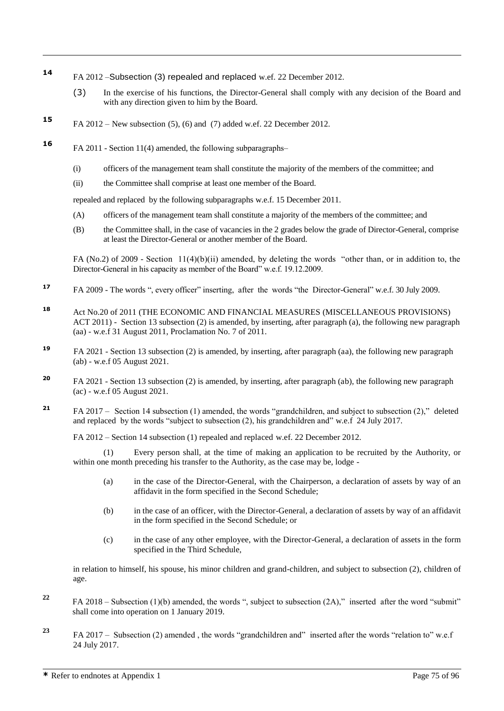- **<sup>14</sup>** FA 2012 –Subsection (3) repealed and replaced w.ef. 22 December 2012.
	- (3) In the exercise of his functions, the Director-General shall comply with any decision of the Board and with any direction given to him by the Board.
- **<sup>15</sup>** FA 2012 New subsection (5), (6) and (7) added w.ef. 22 December 2012.
- **16** FA 2011 Section 11(4) amended, the following subparagraphs–

 $\overline{a}$ 

- (i) officers of the management team shall constitute the majority of the members of the committee; and
- (ii) the Committee shall comprise at least one member of the Board.

repealed and replaced by the following subparagraphs w.e.f. 15 December 2011.

- (A) officers of the management team shall constitute a majority of the members of the committee; and
- (B) the Committee shall, in the case of vacancies in the 2 grades below the grade of Director-General, comprise at least the Director-General or another member of the Board.

FA (No.2) of 2009 - Section 11(4)(b)(ii) amended, by deleting the words "other than, or in addition to, the Director-General in his capacity as member of the Board" w.e.f. 19.12.2009.

- **<sup>17</sup>** FA 2009 The words ", every officer" inserting, after the words "the Director-General" w.e.f. 30 July 2009.
- **<sup>18</sup>** Act No.20 of 2011 (THE ECONOMIC AND FINANCIAL MEASURES (MISCELLANEOUS PROVISIONS) ACT 2011) - Section 13 subsection (2) is amended, by inserting, after paragraph (a), the following new paragraph (aa) - w.e.f 31 August 2011, Proclamation No. 7 of 2011.
- **19** FA 2021 - Section 13 subsection (2) is amended, by inserting, after paragraph (aa), the following new paragraph (ab) - w.e.f 05 August 2021.
- **<sup>20</sup>** FA 2021 Section 13 subsection (2) is amended, by inserting, after paragraph (ab), the following new paragraph (ac) - w.e.f 05 August 2021.
- **<sup>21</sup>** FA 2017 Section 14 subsection (1) amended, the words "grandchildren, and subject to subsection (2)," deleted and replaced by the words "subject to subsection (2), his grandchildren and" w.e.f 24 July 2017.

FA 2012 – Section 14 subsection (1) repealed and replaced w.ef. 22 December 2012.

Every person shall, at the time of making an application to be recruited by the Authority, or within one month preceding his transfer to the Authority, as the case may be, lodge -

- (a) in the case of the Director-General, with the Chairperson, a declaration of assets by way of an affidavit in the form specified in the Second Schedule;
- (b) in the case of an officer, with the Director-General, a declaration of assets by way of an affidavit in the form specified in the Second Schedule; or
- (c) in the case of any other employee, with the Director-General, a declaration of assets in the form specified in the Third Schedule,

in relation to himself, his spouse, his minor children and grand-children, and subject to subsection (2), children of age.

- **<sup>22</sup>** FA 2018 Subsection (1)(b) amended, the words ", subject to subsection (2A)," inserted after the word "submit" shall come into operation on 1 January 2019.
- **<sup>23</sup>** FA 2017 Subsection (2) amended , the words "grandchildren and" inserted after the words "relation to" w.e.f 24 July 2017.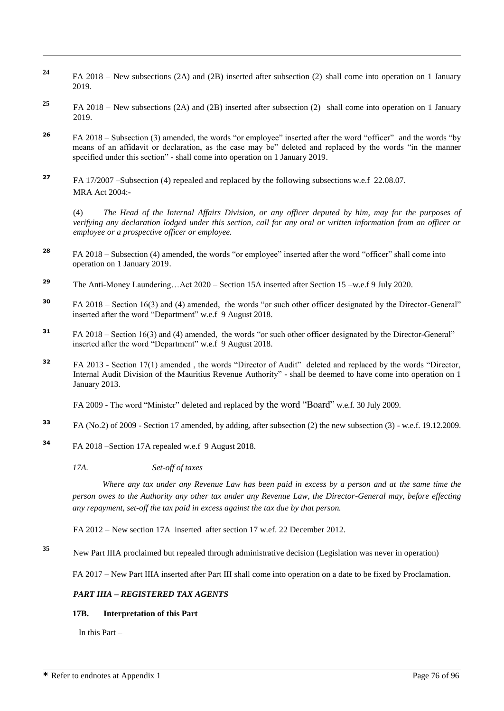- **<sup>24</sup>** FA 2018 New subsections (2A) and (2B) inserted after subsection (2) shall come into operation on 1 January 2019.
- **<sup>25</sup>** FA 2018 New subsections (2A) and (2B) inserted after subsection (2) shall come into operation on 1 January 2019.
- **<sup>26</sup>** FA 2018 Subsection (3) amended, the words "or employee" inserted after the word "officer" and the words "by means of an affidavit or declaration, as the case may be" deleted and replaced by the words "in the manner specified under this section" - shall come into operation on 1 January 2019.
- **<sup>27</sup>** FA 17/2007 –Subsection (4) repealed and replaced by the following subsections w.e.f 22.08.07. MRA Act 2004:-

(4) *The Head of the Internal Affairs Division, or any officer deputed by him, may for the purposes of verifying any declaration lodged under this section, call for any oral or written information from an officer or employee or a prospective officer or employee.*

- **<sup>28</sup>** FA 2018 Subsection (4) amended, the words "or employee" inserted after the word "officer" shall come into operation on 1 January 2019.
- **<sup>29</sup>** The Anti-Money Laundering…Act 2020 Section 15A inserted after Section 15 –w.e.f 9 July 2020.
- **<sup>30</sup>** FA 2018 Section 16(3) and (4) amended, the words "or such other officer designated by the Director-General" inserted after the word "Department" w.e.f 9 August 2018.
- **<sup>31</sup>** FA 2018 Section 16(3) and (4) amended, the words "or such other officer designated by the Director-General" inserted after the word "Department" w.e.f 9 August 2018.
- **<sup>32</sup>** FA 2013 Section 17(1) amended , the words "Director of Audit" deleted and replaced by the words "Director, Internal Audit Division of the Mauritius Revenue Authority" - shall be deemed to have come into operation on 1 January 2013.

FA 2009 - The word "Minister" deleted and replaced by the word "Board" w.e.f. 30 July 2009.

- **<sup>33</sup>** FA (No.2) of 2009 Section 17 amended, by adding, after subsection (2) the new subsection (3) w.e.f. 19.12.2009.
- **<sup>34</sup>** FA 2018 –Section 17A repealed w.e.f 9 August 2018.

*17A. Set-off of taxes*

*Where any tax under any Revenue Law has been paid in excess by a person and at the same time the person owes to the Authority any other tax under any Revenue Law, the Director-General may, before effecting any repayment, set-off the tax paid in excess against the tax due by that person.*

FA 2012 – New section 17A inserted after section 17 w.ef. 22 December 2012.

**<sup>35</sup>** New Part IIIA proclaimed but repealed through administrative decision (Legislation was never in operation)

FA 2017 – New Part IIIA inserted after Part III shall come into operation on a date to be fixed by Proclamation.

## *PART IIIA – REGISTERED TAX AGENTS*

# **17B. Interpretation of this Part**

In this Part –

 $\overline{a}$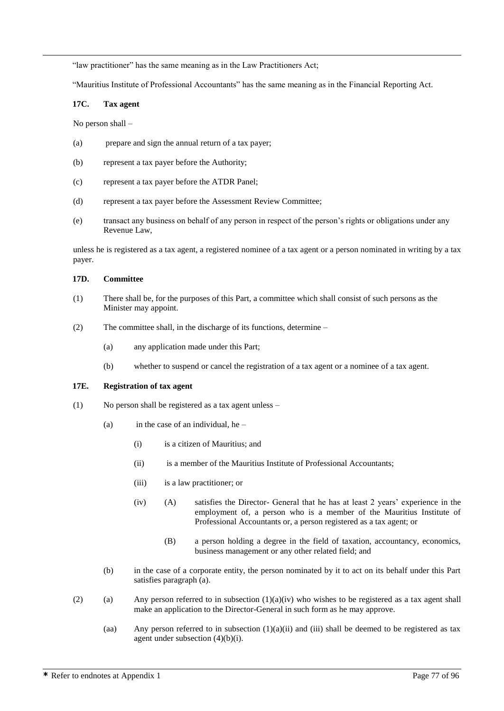"law practitioner" has the same meaning as in the Law Practitioners Act;

"Mauritius Institute of Professional Accountants" has the same meaning as in the Financial Reporting Act.

# **17C. Tax agent**

No person shall –

 $\overline{a}$ 

- (a) prepare and sign the annual return of a tax payer;
- (b) represent a tax payer before the Authority;
- (c) represent a tax payer before the ATDR Panel;
- (d) represent a tax payer before the Assessment Review Committee;
- (e) transact any business on behalf of any person in respect of the person's rights or obligations under any Revenue Law,

unless he is registered as a tax agent, a registered nominee of a tax agent or a person nominated in writing by a tax payer.

### **17D. Committee**

- (1) There shall be, for the purposes of this Part, a committee which shall consist of such persons as the Minister may appoint.
- (2) The committee shall, in the discharge of its functions, determine
	- (a) any application made under this Part;
	- (b) whether to suspend or cancel the registration of a tax agent or a nominee of a tax agent.

### **17E. Registration of tax agent**

- (1) No person shall be registered as a tax agent unless
	- (a) in the case of an individual, he
		- (i) is a citizen of Mauritius; and
		- (ii) is a member of the Mauritius Institute of Professional Accountants;
		- (iii) is a law practitioner; or
		- (iv) (A) satisfies the Director- General that he has at least 2 years' experience in the employment of, a person who is a member of the Mauritius Institute of Professional Accountants or, a person registered as a tax agent; or
			- (B) a person holding a degree in the field of taxation, accountancy, economics, business management or any other related field; and
	- (b) in the case of a corporate entity, the person nominated by it to act on its behalf under this Part satisfies paragraph (a).
- (2) (a) Any person referred to in subsection  $(1)(a)(iv)$  who wishes to be registered as a tax agent shall make an application to the Director-General in such form as he may approve.
	- (aa) Any person referred to in subsection  $(1)(a)(ii)$  and (iii) shall be deemed to be registered as tax agent under subsection (4)(b)(i).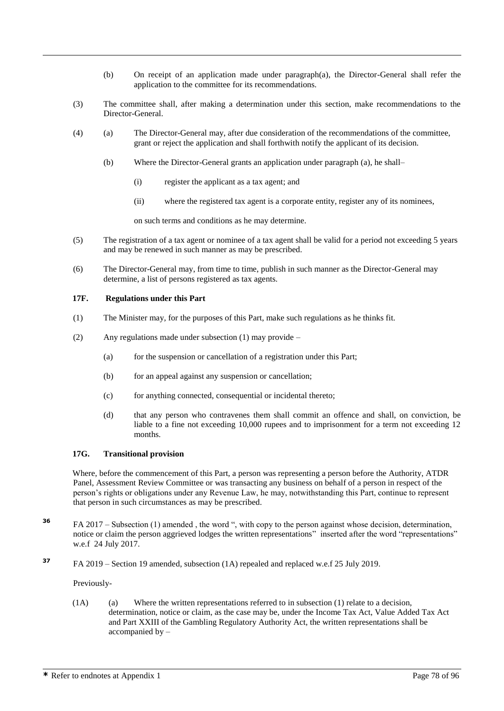- (b) On receipt of an application made under paragraph(a), the Director-General shall refer the application to the committee for its recommendations.
- (3) The committee shall, after making a determination under this section, make recommendations to the Director-General.
- (4) (a) The Director-General may, after due consideration of the recommendations of the committee, grant or reject the application and shall forthwith notify the applicant of its decision.
	- (b) Where the Director-General grants an application under paragraph (a), he shall–
		- (i) register the applicant as a tax agent; and
		- (ii) where the registered tax agent is a corporate entity, register any of its nominees,

on such terms and conditions as he may determine.

- (5) The registration of a tax agent or nominee of a tax agent shall be valid for a period not exceeding 5 years and may be renewed in such manner as may be prescribed.
- (6) The Director-General may, from time to time, publish in such manner as the Director-General may determine, a list of persons registered as tax agents.

### **17F. Regulations under this Part**

 $\overline{a}$ 

- (1) The Minister may, for the purposes of this Part, make such regulations as he thinks fit.
- (2) Any regulations made under subsection (1) may provide
	- (a) for the suspension or cancellation of a registration under this Part;
	- (b) for an appeal against any suspension or cancellation;
	- (c) for anything connected, consequential or incidental thereto;
	- (d) that any person who contravenes them shall commit an offence and shall, on conviction, be liable to a fine not exceeding 10,000 rupees and to imprisonment for a term not exceeding 12 months.

### **17G. Transitional provision**

Where, before the commencement of this Part, a person was representing a person before the Authority, ATDR Panel, Assessment Review Committee or was transacting any business on behalf of a person in respect of the person's rights or obligations under any Revenue Law, he may, notwithstanding this Part, continue to represent that person in such circumstances as may be prescribed.

- **<sup>36</sup>** FA 2017 Subsection (1) amended , the word ", with copy to the person against whose decision, determination, notice or claim the person aggrieved lodges the written representations" inserted after the word "representations" w.e.f 24 July 2017.
- **<sup>37</sup>** FA 2019 Section 19 amended, subsection (1A) repealed and replaced w.e.f 25 July 2019.

Previously-

 $(1)$  (a) Where the written representations referred to in subsection  $(1)$  relate to a decision, determination, notice or claim, as the case may be, under the Income Tax Act, Value Added Tax Act and Part XXIII of the Gambling Regulatory Authority Act, the written representations shall be accompanied by –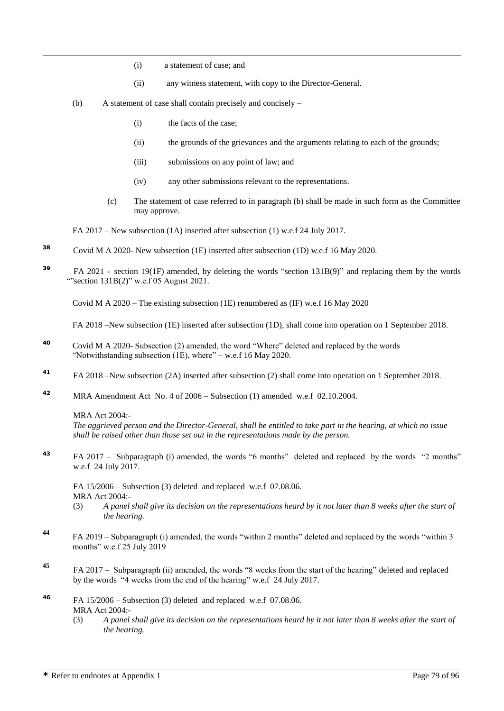- (i) a statement of case; and
- (ii) any witness statement, with copy to the Director-General.
- (b) A statement of case shall contain precisely and concisely
	- (i) the facts of the case;
	- (ii) the grounds of the grievances and the arguments relating to each of the grounds;
	- (iii) submissions on any point of law; and
	- (iv) any other submissions relevant to the representations.
	- (c) The statement of case referred to in paragraph (b) shall be made in such form as the Committee may approve.

FA 2017 – New subsection (1A) inserted after subsection (1) w.e.f 24 July 2017.

- **<sup>38</sup>** Covid M A 2020- New subsection (1E) inserted after subsection (1D) w.e.f 16 May 2020.
- **39** FA 2021 - section 19(1F) amended, by deleting the words "section 131B(9)" and replacing them by the words ""section  $131B(2)$ " w.e.f 05 August 2021.

Covid M A 2020 – The existing subsection (1E) renumbered as (IF) w.e.f 16 May 2020

FA 2018 –New subsection (1E) inserted after subsection (1D), shall come into operation on 1 September 2018.

- **<sup>40</sup>** Covid M A 2020- Subsection (2) amended, the word "Where" deleted and replaced by the words "Notwithstanding subsection (1E), where" – w.e.f 16 May 2020.
- **<sup>41</sup>** FA 2018 –New subsection (2A) inserted after subsection (2) shall come into operation on 1 September 2018.
- **<sup>42</sup>** MRA Amendment Act No. 4 of 2006 Subsection (1) amended w.e.f 02.10.2004.

MRA Act 2004:-

 $\overline{a}$ 

*The aggrieved person and the Director-General, shall be entitled to take part in the hearing, at which no issue shall be raised other than those set out in the representations made by the person.*

**<sup>43</sup>** FA 2017 – Subparagraph (i) amended, the words "6 months" deleted and replaced by the words "2 months" w.e.f 24 July 2017.

FA 15/2006 – Subsection (3) deleted and replaced w.e.f 07.08.06. MRA Act 2004:-

- (3) *A panel shall give its decision on the representations heard by it not later than 8 weeks after the start of the hearing.*
- **<sup>44</sup>** FA 2019 Subparagraph (i) amended, the words "within 2 months" deleted and replaced by the words "within 3 months" w.e.f 25 July 2019
- **<sup>45</sup>** FA 2017 Subparagraph (ii) amended, the words "8 weeks from the start of the hearing" deleted and replaced by the words "4 weeks from the end of the hearing" w.e.f 24 July 2017.
- **<sup>46</sup>** FA 15/2006 Subsection (3) deleted and replaced w.e.f 07.08.06. MRA Act 2004:-
	- (3) *A panel shall give its decision on the representations heard by it not later than 8 weeks after the start of the hearing.*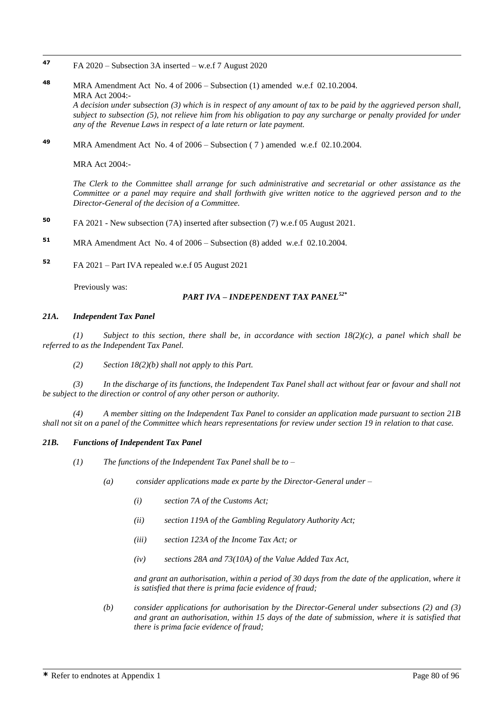- 47 **<sup>47</sup>** FA 2020 – Subsection 3A inserted – w.e.f 7 August 2020
- **<sup>48</sup>** MRA Amendment Act No. 4 of 2006 Subsection (1) amended w.e.f 02.10.2004. MRA Act 2004:- *A decision under subsection (3) which is in respect of any amount of tax to be paid by the aggrieved person shall, subject to subsection (5), not relieve him from his obligation to pay any surcharge or penalty provided for under any of the Revenue Laws in respect of a late return or late payment.*
- **<sup>49</sup>** MRA Amendment Act No. 4 of 2006 Subsection ( 7 ) amended w.e.f 02.10.2004.

MRA Act 2004:-

*The Clerk to the Committee shall arrange for such administrative and secretarial or other assistance as the Committee or a panel may require and shall forthwith give written notice to the aggrieved person and to the Director-General of the decision of a Committee.*

- **<sup>50</sup>** FA 2021 New subsection (7A) inserted after subsection (7) w.e.f 05 August 2021.
- **<sup>51</sup>** MRA Amendment Act No. 4 of 2006 Subsection (8) added w.e.f 02.10.2004.
- **<sup>52</sup>** FA 2021 Part IVA repealed w.e.f 05 August 2021

Previously was:

# *PART IVA – INDEPENDENT TAX PANEL52\**

#### *21A. Independent Tax Panel*

*(1) Subject to this section, there shall be, in accordance with section 18(2)(c), a panel which shall be referred to as the Independent Tax Panel.*

*(2) Section 18(2)(b) shall not apply to this Part.*

*(3) In the discharge of its functions, the Independent Tax Panel shall act without fear or favour and shall not be subject to the direction or control of any other person or authority.*

*(4) A member sitting on the Independent Tax Panel to consider an application made pursuant to section 21B shall not sit on a panel of the Committee which hears representations for review under section 19 in relation to that case.*

#### *21B. Functions of Independent Tax Panel*

*(1) The functions of the Independent Tax Panel shall be to –*

- *(a) consider applications made ex parte by the Director-General under –*
	- *(i) section 7A of the Customs Act;*
	- *(ii) section 119A of the Gambling Regulatory Authority Act;*
	- *(iii) section 123A of the Income Tax Act; or*
	- *(iv) sections 28A and 73(10A) of the Value Added Tax Act,*

*and grant an authorisation, within a period of 30 days from the date of the application, where it is satisfied that there is prima facie evidence of fraud;*

*(b) consider applications for authorisation by the Director-General under subsections (2) and (3) and grant an authorisation, within 15 days of the date of submission, where it is satisfied that there is prima facie evidence of fraud;*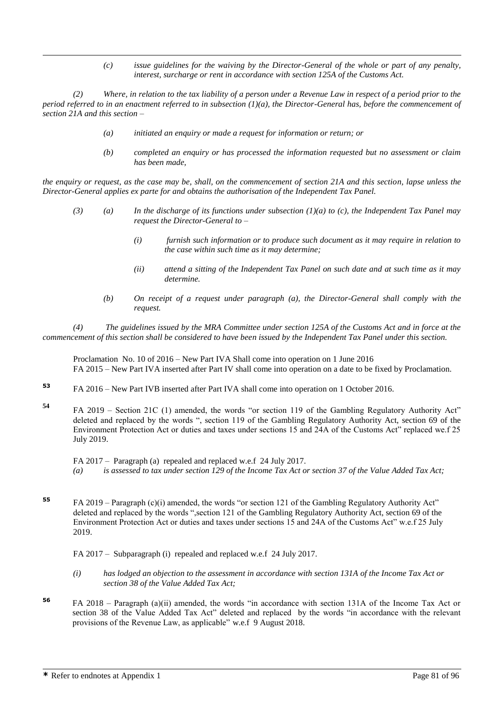*(c) issue guidelines for the waiving by the Director-General of the whole or part of any penalty, interest, surcharge or rent in accordance with section 125A of the Customs Act.*

*(2) Where, in relation to the tax liability of a person under a Revenue Law in respect of a period prior to the period referred to in an enactment referred to in subsection (1)(a), the Director-General has, before the commencement of section 21A and this section –*

- *(a) initiated an enquiry or made a request for information or return; or*
- *(b) completed an enquiry or has processed the information requested but no assessment or claim has been made,*

*the enquiry or request, as the case may be, shall, on the commencement of section 21A and this section, lapse unless the Director-General applies ex parte for and obtains the authorisation of the Independent Tax Panel.*

- *(3) (a) In the discharge of its functions under subsection (1)(a) to (c), the Independent Tax Panel may request the Director-General to –*
	- *(i) furnish such information or to produce such document as it may require in relation to the case within such time as it may determine;*
	- *(ii) attend a sitting of the Independent Tax Panel on such date and at such time as it may determine.*
	- *(b) On receipt of a request under paragraph (a), the Director-General shall comply with the request.*

*(4) The guidelines issued by the MRA Committee under section 125A of the Customs Act and in force at the commencement of this section shall be considered to have been issued by the Independent Tax Panel under this section.*

Proclamation No. 10 of 2016 – New Part IVA Shall come into operation on 1 June 2016 FA 2015 – New Part IVA inserted after Part IV shall come into operation on a date to be fixed by Proclamation.

**<sup>53</sup>** FA 2016 – New Part IVB inserted after Part IVA shall come into operation on 1 October 2016.

**<sup>54</sup>** FA 2019 – Section 21C (1) amended, the words "or section 119 of the Gambling Regulatory Authority Act" deleted and replaced by the words ", section 119 of the Gambling Regulatory Authority Act, section 69 of the Environment Protection Act or duties and taxes under sections 15 and 24A of the Customs Act" replaced we.f 25 July 2019.

FA 2017 – Paragraph (a) repealed and replaced w.e.f 24 July 2017. *(a) is assessed to tax under section 129 of the Income Tax Act or section 37 of the Value Added Tax Act;*

- **<sup>55</sup>** FA 2019 Paragraph (c)(i) amended, the words "or section 121 of the Gambling Regulatory Authority Act" deleted and replaced by the words ",section 121 of the Gambling Regulatory Authority Act, section 69 of the Environment Protection Act or duties and taxes under sections 15 and 24A of the Customs Act" w.e.f 25 July 2019.
	- FA 2017 Subparagraph (i) repealed and replaced w.e.f 24 July 2017.
	- *(i) has lodged an objection to the assessment in accordance with section 131A of the Income Tax Act or section 38 of the Value Added Tax Act;*
- **<sup>56</sup>** FA 2018 Paragraph (a)(ii) amended, the words "in accordance with section 131A of the Income Tax Act or section 38 of the Value Added Tax Act" deleted and replaced by the words "in accordance with the relevant provisions of the Revenue Law, as applicable" w.e.f 9 August 2018.

 $\overline{a}$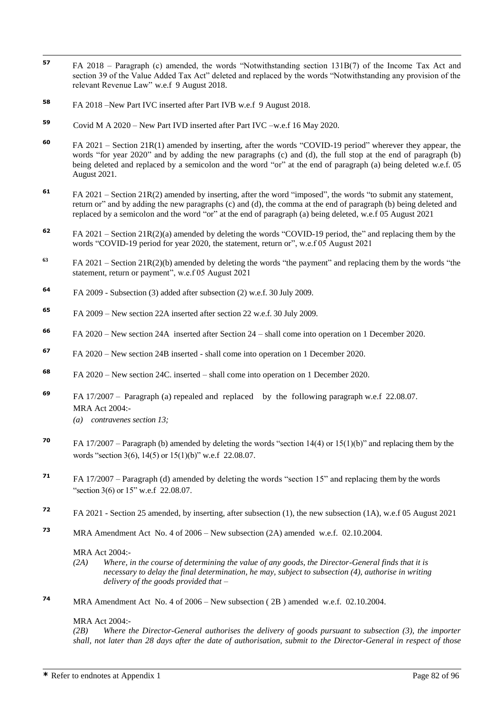- 57 **<sup>57</sup>** FA 2018 – Paragraph (c) amended, the words "Notwithstanding section 131B(7) of the Income Tax Act and section 39 of the Value Added Tax Act" deleted and replaced by the words "Notwithstanding any provision of the relevant Revenue Law" w.e.f 9 August 2018.
- **<sup>58</sup>** FA 2018 –New Part IVC inserted after Part IVB w.e.f 9 August 2018.
- **<sup>59</sup>** Covid M A 2020 New Part IVD inserted after Part IVC –w.e.f 16 May 2020.
- **<sup>60</sup>** FA 2021 Section 21R(1) amended by inserting, after the words "COVID-19 period" wherever they appear, the words "for year 2020" and by adding the new paragraphs (c) and (d), the full stop at the end of paragraph (b) being deleted and replaced by a semicolon and the word "or" at the end of paragraph (a) being deleted w.e.f. 05 August 2021.
- **<sup>61</sup>** FA 2021 Section 21R(2) amended by inserting, after the word "imposed", the words "to submit any statement, return or" and by adding the new paragraphs (c) and (d), the comma at the end of paragraph (b) being deleted and replaced by a semicolon and the word "or" at the end of paragraph (a) being deleted, w.e.f 05 August 2021
- **<sup>62</sup>** FA 2021 Section 21R(2)(a) amended by deleting the words "COVID-19 period, the" and replacing them by the words "COVID-19 period for year 2020, the statement, return or", w.e.f 05 August 2021
- **<sup>63</sup>** FA 2021 Section 21R(2)(b) amended by deleting the words "the payment" and replacing them by the words "the statement, return or payment", w.e.f 05 August 2021
- **<sup>64</sup>** FA 2009 Subsection (3) added after subsection (2) w.e.f. 30 July 2009.
- **<sup>65</sup>** FA 2009 New section 22A inserted after section 22 w.e.f. 30 July 2009.
- **<sup>66</sup>** FA 2020 New section 24A inserted after Section 24 shall come into operation on 1 December 2020.
- **<sup>67</sup>** FA 2020 New section 24B inserted shall come into operation on 1 December 2020.
- **<sup>68</sup>** FA 2020 New section 24C. inserted shall come into operation on 1 December 2020.
- **<sup>69</sup>** FA 17/2007 Paragraph (a) repealed and replaced by the following paragraph w.e.f 22.08.07. MRA Act 2004:-
	- *(a) contravenes section 13;*
- **<sup>70</sup>** FA 17/2007 Paragraph (b) amended by deleting the words "section 14(4) or 15(1)(b)" and replacing them by the words "section 3(6), 14(5) or 15(1)(b)" w.e.f 22.08.07.
- **<sup>71</sup>** FA 17/2007 Paragraph (d) amended by deleting the words "section 15" and replacing them by the words "section 3(6) or 15" w.e.f 22.08.07.
- **<sup>72</sup>** FA 2021 Section 25 amended, by inserting, after subsection (1), the new subsection (1A), w.e.f 05 August 2021
- **<sup>73</sup>** MRA Amendment Act No. 4 of 2006 New subsection (2A) amended w.e.f. 02.10.2004.

## MRA Act 2004:-

- *(2A) Where, in the course of determining the value of any goods, the Director-General finds that it is necessary to delay the final determination, he may, subject to subsection (4), authorise in writing delivery of the goods provided that –*
- **<sup>74</sup>** MRA Amendment Act No. 4 of 2006 New subsection ( 2B ) amended w.e.f. 02.10.2004.

## MRA Act 2004:-

*(2B) Where the Director-General authorises the delivery of goods pursuant to subsection (3), the importer shall, not later than 28 days after the date of authorisation, submit to the Director-General in respect of those*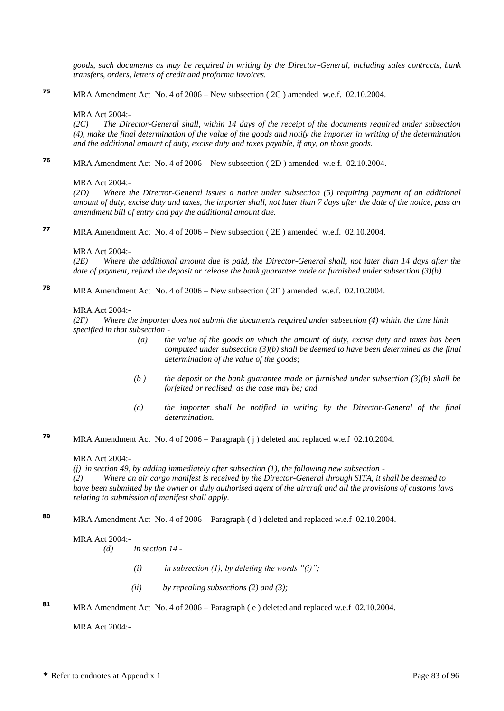*goods, such documents as may be required in writing by the Director-General, including sales contracts, bank transfers, orders, letters of credit and proforma invoices.* 

**<sup>75</sup>** MRA Amendment Act No. 4 of 2006 – New subsection ( 2C ) amended w.e.f. 02.10.2004.

# MRA Act 2004:-

 $\overline{a}$ 

*(2C) The Director-General shall, within 14 days of the receipt of the documents required under subsection (4), make the final determination of the value of the goods and notify the importer in writing of the determination and the additional amount of duty, excise duty and taxes payable, if any, on those goods.*

**<sup>76</sup>** MRA Amendment Act No. 4 of 2006 – New subsection ( 2D ) amended w.e.f. 02.10.2004.

# MRA Act 2004:-

*(2D) Where the Director-General issues a notice under subsection (5) requiring payment of an additional amount of duty, excise duty and taxes, the importer shall, not later than 7 days after the date of the notice, pass an amendment bill of entry and pay the additional amount due.*

**<sup>77</sup>** MRA Amendment Act No. 4 of 2006 – New subsection ( 2E ) amended w.e.f. 02.10.2004.

## MRA Act 2004:-

*(2E) Where the additional amount due is paid, the Director-General shall, not later than 14 days after the date of payment, refund the deposit or release the bank guarantee made or furnished under subsection (3)(b).*

**<sup>78</sup>** MRA Amendment Act No. 4 of 2006 – New subsection ( 2F ) amended w.e.f. 02.10.2004.

## MRA Act 2004:-

*(2F) Where the importer does not submit the documents required under subsection (4) within the time limit specified in that subsection -*

- *(a) the value of the goods on which the amount of duty, excise duty and taxes has been computed under subsection (3)(b) shall be deemed to have been determined as the final determination of the value of the goods;*
- *(b ) the deposit or the bank guarantee made or furnished under subsection (3)(b) shall be forfeited or realised, as the case may be; and*
- *(c) the importer shall be notified in writing by the Director-General of the final determination.*
- **<sup>79</sup>** MRA Amendment Act No. 4 of 2006 Paragraph ( j ) deleted and replaced w.e.f 02.10.2004.

## MRA Act 2004:-

*(j) in section 49, by adding immediately after subsection (1), the following new subsection -*

*(2) Where an air cargo manifest is received by the Director-General through SITA, it shall be deemed to have been submitted by the owner or duly authorised agent of the aircraft and all the provisions of customs laws relating to submission of manifest shall apply.*

**<sup>80</sup>** MRA Amendment Act No. 4 of 2006 – Paragraph ( d ) deleted and replaced w.e.f 02.10.2004.

## MRA Act 2004:-

*(d) in section 14 -*

- *(i) in subsection (1), by deleting the words "(i)";*
- *(ii) by repealing subsections (2) and (3);*
- **<sup>81</sup>** MRA Amendment Act No. 4 of 2006 Paragraph ( e ) deleted and replaced w.e.f 02.10.2004.

MRA Act 2004:-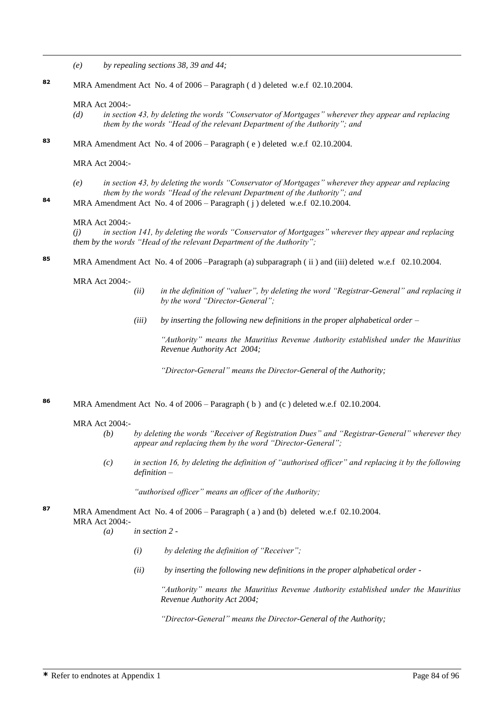- *(e) by repealing sections 38, 39 and 44;*
- **<sup>82</sup>** MRA Amendment Act No. 4 of 2006 Paragraph ( d ) deleted w.e.f 02.10.2004.

#### MRA Act 2004:-

 $\overline{a}$ 

- *(d) in section 43, by deleting the words "Conservator of Mortgages" wherever they appear and replacing them by the words "Head of the relevant Department of the Authority"; and*
- **<sup>83</sup>** MRA Amendment Act No. 4 of 2006 Paragraph ( e ) deleted w.e.f 02.10.2004.

MRA Act 2004:-

- *(e) in section 43, by deleting the words "Conservator of Mortgages" wherever they appear and replacing them by the words "Head of the relevant Department of the Authority"; and*
- 84 MRA Amendment Act No. 4 of 2006 Paragraph ( j ) deleted w.e.f 02.10.2004.

#### MRA Act 2004:-

*(j) in section 141, by deleting the words "Conservator of Mortgages" wherever they appear and replacing them by the words "Head of the relevant Department of the Authority";*

**<sup>85</sup>** MRA Amendment Act No. 4 of 2006 –Paragraph (a) subparagraph ( ii ) and (iii) deleted w.e.f 02.10.2004.

MRA Act 2004:-

- *(ii) in the definition of "valuer", by deleting the word "Registrar-General" and replacing it by the word "Director-General";*
- *(iii) by inserting the following new definitions in the proper alphabetical order –*

*"Authority" means the Mauritius Revenue Authority established under the Mauritius Revenue Authority Act 2004;*

*"Director-General" means the Director-General of the Authority;*

**<sup>86</sup>** MRA Amendment Act No. 4 of 2006 – Paragraph ( b ) and (c ) deleted w.e.f 02.10.2004.

#### MRA Act 2004:-

- *(b) by deleting the words "Receiver of Registration Dues" and "Registrar-General" wherever they appear and replacing them by the word "Director-General";*
- *(c) in section 16, by deleting the definition of "authorised officer" and replacing it by the following definition –*

*"authorised officer" means an officer of the Authority;*

**<sup>87</sup>** MRA Amendment Act No. 4 of 2006 – Paragraph ( a ) and (b) deleted w.e.f 02.10.2004. MRA Act 2004:-

- *(a) in section 2 -*
	- *(i) by deleting the definition of "Receiver";*
	- *(ii) by inserting the following new definitions in the proper alphabetical order -*

*"Authority" means the Mauritius Revenue Authority established under the Mauritius Revenue Authority Act 2004;*

*"Director-General" means the Director-General of the Authority;*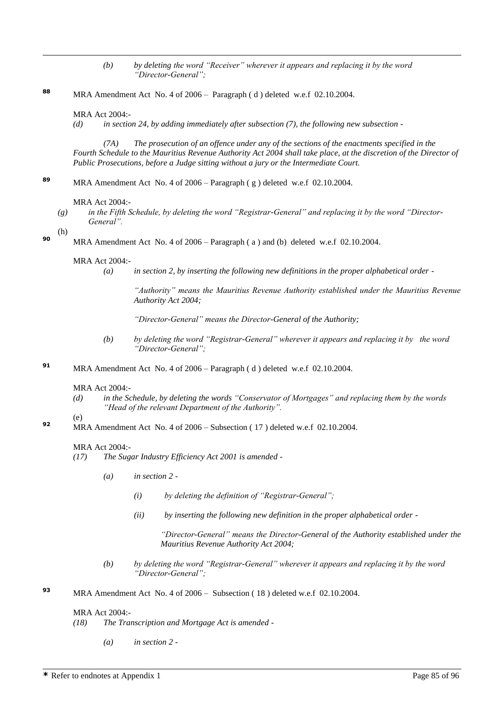*(b) by deleting the word "Receiver" wherever it appears and replacing it by the word "Director-General";*

**<sup>88</sup>** MRA Amendment Act No. 4 of 2006 – Paragraph ( d ) deleted w.e.f 02.10.2004.

#### MRA Act 2004:-

*(d) in section 24, by adding immediately after subsection (7), the following new subsection -*

*(7A) The prosecution of an offence under any of the sections of the enactments specified in the Fourth Schedule to the Mauritius Revenue Authority Act 2004 shall take place, at the discretion of the Director of Public Prosecutions, before a Judge sitting without a jury or the Intermediate Court.*

**<sup>89</sup>** MRA Amendment Act No. 4 of 2006 – Paragraph ( g ) deleted w.e.f 02.10.2004.

MRA Act 2004:-

*(g) in the Fifth Schedule, by deleting the word "Registrar-General" and replacing it by the word "Director-General".*

 $(h)$ 

 $\overline{a}$ 

**90** MRA Amendment Act No. 4 of 2006 – Paragraph (a) and (b) deleted w.e.f 02.10.2004.

#### MRA Act 2004:-

*(a) in section 2, by inserting the following new definitions in the proper alphabetical order -*

*"Authority" means the Mauritius Revenue Authority established under the Mauritius Revenue Authority Act 2004;*

*"Director-General" means the Director-General of the Authority;* 

- *(b) by deleting the word "Registrar-General" wherever it appears and replacing it by the word "Director-General";*
- **<sup>91</sup>** MRA Amendment Act No. 4 of 2006 Paragraph ( d ) deleted w.e.f 02.10.2004.

#### MRA Act 2004:-

*(d) in the Schedule, by deleting the words "Conservator of Mortgages" and replacing them by the words "Head of the relevant Department of the Authority".*

(e)

**92** MRA Amendment Act No. 4 of 2006 – Subsection (17) deleted w.e.f 02.10.2004.

#### MRA Act 2004:-

- *(17) The Sugar Industry Efficiency Act 2001 is amended -*
	- *(a) in section 2 -*
		- *(i) by deleting the definition of "Registrar-General";*
		- *(ii) by inserting the following new definition in the proper alphabetical order -*

*"Director-General" means the Director-General of the Authority established under the Mauritius Revenue Authority Act 2004;*

- *(b) by deleting the word "Registrar-General" wherever it appears and replacing it by the word "Director-General";*
- **<sup>93</sup>** MRA Amendment Act No. 4 of 2006 Subsection ( 18 ) deleted w.e.f 02.10.2004.

## MRA Act 2004:-

- *(18) The Transcription and Mortgage Act is amended -*
	- *(a) in section 2 -*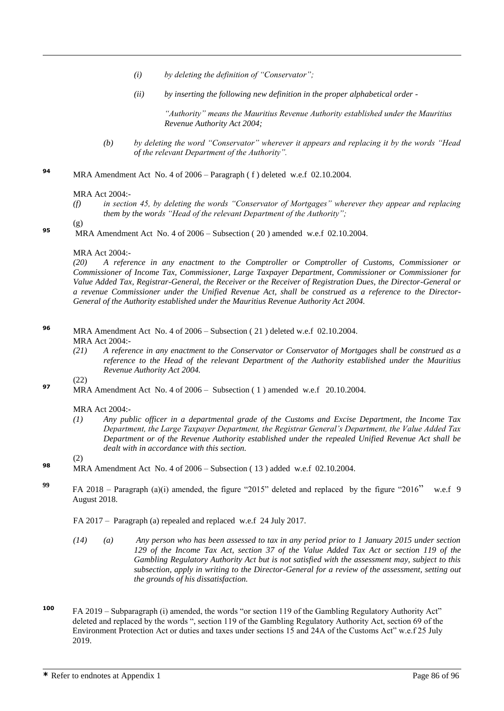- *(i) by deleting the definition of "Conservator";*
- *(ii) by inserting the following new definition in the proper alphabetical order -*

*"Authority" means the Mauritius Revenue Authority established under the Mauritius Revenue Authority Act 2004;*

- *(b) by deleting the word "Conservator" wherever it appears and replacing it by the words "Head of the relevant Department of the Authority".*
- **<sup>94</sup>** MRA Amendment Act No. 4 of 2006 Paragraph ( f ) deleted w.e.f 02.10.2004.

## MRA Act 2004:-

*(f) in section 45, by deleting the words "Conservator of Mortgages" wherever they appear and replacing them by the words "Head of the relevant Department of the Authority";*

(g)

 $\overline{a}$ 

**95** MRA Amendment Act No. 4 of 2006 – Subsection (20) amended w.e.f 02.10.2004.

# MRA Act 2004:-

*(20) A reference in any enactment to the Comptroller or Comptroller of Customs, Commissioner or Commissioner of Income Tax, Commissioner, Large Taxpayer Department, Commissioner or Commissioner for Value Added Tax, Registrar-General, the Receiver or the Receiver of Registration Dues, the Director-General or a revenue Commissioner under the Unified Revenue Act, shall be construed as a reference to the Director-General of the Authority established under the Mauritius Revenue Authority Act 2004.*

- **<sup>96</sup>** MRA Amendment Act No. 4 of 2006 Subsection ( 21 ) deleted w.e.f 02.10.2004. MRA Act 2004:-
	- *(21) A reference in any enactment to the Conservator or Conservator of Mortgages shall be construed as a reference to the Head of the relevant Department of the Authority established under the Mauritius Revenue Authority Act 2004.*

(22)

(2)

**97** MRA Amendment Act No. 4 of 2006 – Subsection (1) amended w.e.f 20.10.2004.

## MRA Act 2004:-

*(1) Any public officer in a departmental grade of the Customs and Excise Department, the Income Tax Department, the Large Taxpayer Department, the Registrar General's Department, the Value Added Tax Department or of the Revenue Authority established under the repealed Unified Revenue Act shall be dealt with in accordance with this section.* 

- **98** MRA Amendment Act No. 4 of 2006 Subsection (13) added w.e.f 02.10.2004.
- **<sup>99</sup>** FA 2018 Paragraph (a)(i) amended, the figure "2015" deleted and replaced by the figure "2016" w.e.f 9 August 2018.
	- FA 2017 Paragraph (a) repealed and replaced w.e.f 24 July 2017.
	- *(14) (a) Any person who has been assessed to tax in any period prior to 1 January 2015 under section 129 of the Income Tax Act, section 37 of the Value Added Tax Act or section 119 of the Gambling Regulatory Authority Act but is not satisfied with the assessment may, subject to this subsection, apply in writing to the Director-General for a review of the assessment, setting out the grounds of his dissatisfaction.*
- **<sup>100</sup>** FA 2019 Subparagraph (i) amended, the words "or section 119 of the Gambling Regulatory Authority Act" deleted and replaced by the words ", section 119 of the Gambling Regulatory Authority Act, section 69 of the Environment Protection Act or duties and taxes under sections 15 and 24A of the Customs Act" w.e.f 25 July 2019.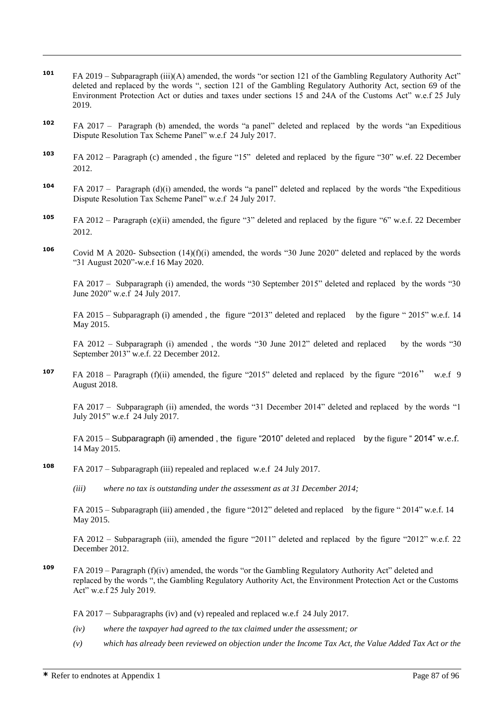- **<sup>101</sup>** FA 2019 Subparagraph (iii)(A) amended, the words "or section 121 of the Gambling Regulatory Authority Act" deleted and replaced by the words ", section 121 of the Gambling Regulatory Authority Act, section 69 of the Environment Protection Act or duties and taxes under sections 15 and 24A of the Customs Act" w.e.f 25 July 2019.
- **<sup>102</sup>** FA 2017 Paragraph (b) amended, the words "a panel" deleted and replaced by the words "an Expeditious Dispute Resolution Tax Scheme Panel" w.e.f 24 July 2017.
- **<sup>103</sup>** FA 2012 Paragraph (c) amended , the figure "15" deleted and replaced by the figure "30" w.ef. 22 December 2012.
- **<sup>104</sup>** FA 2017 Paragraph (d)(i) amended, the words "a panel" deleted and replaced by the words "the Expeditious Dispute Resolution Tax Scheme Panel" w.e.f 24 July 2017.
- **<sup>105</sup>** FA 2012 Paragraph (e)(ii) amended, the figure "3" deleted and replaced by the figure "6" w.e.f. 22 December 2012.
- **<sup>106</sup>** Covid M A 2020- Subsection (14)(f)(i) amended, the words "30 June 2020" deleted and replaced by the words "31 August 2020"-w.e.f 16 May 2020.

FA 2017 – Subparagraph (i) amended, the words "30 September 2015" deleted and replaced by the words "30 June 2020" w.e.f 24 July 2017.

FA 2015 – Subparagraph (i) amended , the figure "2013" deleted and replaced by the figure " 2015" w.e.f. 14 May 2015.

FA 2012 – Subparagraph (i) amended , the words "30 June 2012" deleted and replaced by the words "30 September 2013" w.e.f. 22 December 2012.

**<sup>107</sup>** FA 2018 – Paragraph (f)(ii) amended, the figure "2015" deleted and replaced by the figure "2016" w.e.f 9 August 2018.

FA 2017 – Subparagraph (ii) amended, the words "31 December 2014" deleted and replaced by the words "1 July 2015" w.e.f 24 July 2017.

FA 2015 – Subparagraph (ii) amended, the figure "2010" deleted and replaced by the figure "2014" w.e.f. 14 May 2015.

- **<sup>108</sup>** FA 2017 Subparagraph (iii) repealed and replaced w.e.f 24 July 2017.
	- *(iii) where no tax is outstanding under the assessment as at 31 December 2014;*

FA 2015 – Subparagraph (iii) amended , the figure "2012" deleted and replaced by the figure " 2014" w.e.f. 14 May 2015.

FA 2012 – Subparagraph (iii), amended the figure "2011" deleted and replaced by the figure "2012" w.e.f. 22 December 2012.

- **<sup>109</sup>** FA 2019 Paragraph (f)(iv) amended, the words "or the Gambling Regulatory Authority Act" deleted and replaced by the words ", the Gambling Regulatory Authority Act, the Environment Protection Act or the Customs Act" w.e.f 25 July 2019.
	- FA 2017 Subparagraphs (iv) and (v) repealed and replaced w.e.f 24 July 2017.
	- *(iv) where the taxpayer had agreed to the tax claimed under the assessment; or*
	- *(v) which has already been reviewed on objection under the Income Tax Act, the Value Added Tax Act or the*

 $\overline{a}$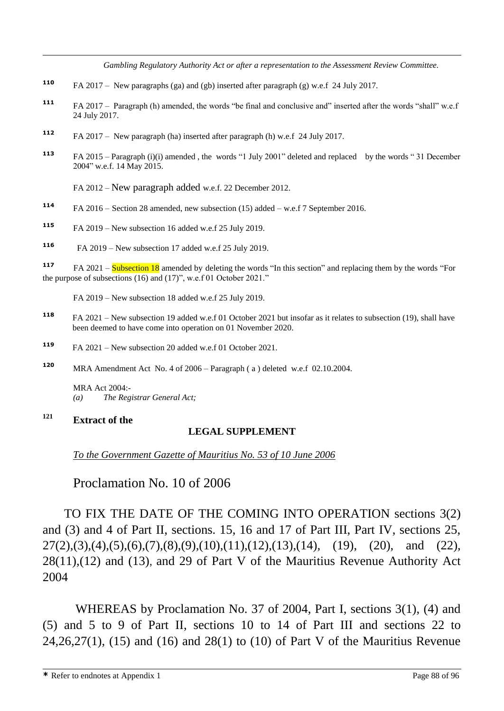*Gambling Regulatory Authority Act or after a representation to the Assessment Review Committee.* 

- **<sup>110</sup>** FA 2017 New paragraphs (ga) and (gb) inserted after paragraph (g) w.e.f 24 July 2017.
- **<sup>111</sup>** FA 2017 Paragraph (h) amended, the words "be final and conclusive and" inserted after the words "shall" w.e.f 24 July 2017.
- **<sup>112</sup>** FA 2017 New paragraph (ha) inserted after paragraph (h) w.e.f 24 July 2017.
- **<sup>113</sup>** FA 2015 Paragraph (i)(i) amended , the words "1 July 2001" deleted and replaced by the words " 31 December 2004" w.e.f. 14 May 2015.

FA 2012 – New paragraph added w.e.f. 22 December 2012.

- **<sup>114</sup>** FA 2016 Section 28 amended, new subsection (15) added w.e.f 7 September 2016.
- **<sup>115</sup>** FA 2019 New subsection 16 added w.e.f 25 July 2019.
- **116**  FA 2019 – New subsection 17 added w.e.f 25 July 2019.

**117** FA 2021 – Subsection 18 amended by deleting the words "In this section" and replacing them by the words "For the purpose of subsections (16) and (17)", w.e.f 01 October 2021."

FA 2019 – New subsection 18 added w.e.f 25 July 2019.

- **<sup>118</sup>** FA 2021 New subsection 19 added w.e.f 01 October 2021 but insofar as it relates to subsection (19), shall have been deemed to have come into operation on 01 November 2020.
- **<sup>119</sup>** FA 2021 New subsection 20 added w.e.f 01 October 2021.
- **<sup>120</sup>** MRA Amendment Act No. 4 of 2006 Paragraph ( a ) deleted w.e.f 02.10.2004.

MRA Act 2004:- *(a) The Registrar General Act;*

# **<sup>121</sup> Extract of the**

 $\overline{a}$ 

# **LEGAL SUPPLEMENT**

*To the Government Gazette of Mauritius No. 53 of 10 June 2006*

Proclamation No. 10 of 2006

TO FIX THE DATE OF THE COMING INTO OPERATION sections 3(2) and (3) and 4 of Part II, sections. 15, 16 and 17 of Part III, Part IV, sections 25,  $27(2),(3),(4),(5),(6),(7),(8),(9),(10),(11),(12),(13),(14), (19), (20),$  and (22), 28(11),(12) and (13), and 29 of Part V of the Mauritius Revenue Authority Act 2004

WHEREAS by Proclamation No. 37 of 2004, Part I, sections 3(1), (4) and (5) and 5 to 9 of Part II, sections 10 to 14 of Part III and sections 22 to 24,26,27(1), (15) and (16) and 28(1) to (10) of Part V of the Mauritius Revenue

**\*** Refer to endnotes at Appendix 1 Page 88 of 96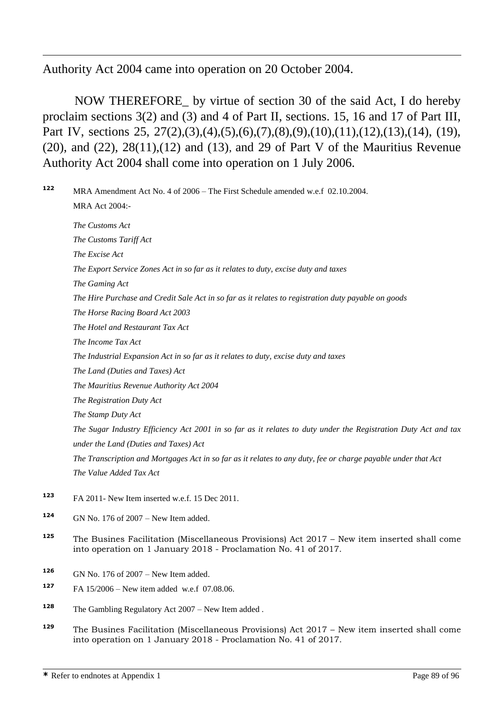Authority Act 2004 came into operation on 20 October 2004.

 $\overline{a}$ 

NOW THEREFORE\_ by virtue of section 30 of the said Act, I do hereby proclaim sections 3(2) and (3) and 4 of Part II, sections. 15, 16 and 17 of Part III, Part IV, sections 25, 27(2),(3),(4),(5),(6),(7),(8),(9),(10),(11),(12),(13),(14), (19), (20), and (22),  $28(11)$ ,  $(12)$  and  $(13)$ , and 29 of Part V of the Mauritius Revenue Authority Act 2004 shall come into operation on 1 July 2006.

**<sup>122</sup>** MRA Amendment Act No. 4 of 2006 – The First Schedule amended w.e.f 02.10.2004. MRA Act 2004:- *The Customs Act The Customs Tariff Act The Excise Act The Export Service Zones Act in so far as it relates to duty, excise duty and taxes The Gaming Act The Hire Purchase and Credit Sale Act in so far as it relates to registration duty payable on goods The Horse Racing Board Act 2003 The Hotel and Restaurant Tax Act The Income Tax Act The Industrial Expansion Act in so far as it relates to duty, excise duty and taxes The Land (Duties and Taxes) Act The Mauritius Revenue Authority Act 2004 The Registration Duty Act The Stamp Duty Act The Sugar Industry Efficiency Act 2001 in so far as it relates to duty under the Registration Duty Act and tax under the Land (Duties and Taxes) Act The Transcription and Mortgages Act in so far as it relates to any duty, fee or charge payable under that Act The Value Added Tax Act*  **<sup>123</sup>** FA 2011- New Item inserted w.e.f. 15 Dec 2011. **<sup>124</sup>** GN No. 176 of 2007 – New Item added.

- **<sup>125</sup>** The Busines Facilitation (Miscellaneous Provisions) Act 2017 New item inserted shall come into operation on 1 January 2018 - Proclamation No. 41 of 2017.
- **<sup>126</sup>** GN No. 176 of 2007 New Item added.
- **<sup>127</sup>** FA 15/2006 New item added w.e.f 07.08.06.
- **<sup>128</sup>** The Gambling Regulatory Act 2007 New Item added .
- **<sup>129</sup>** The Busines Facilitation (Miscellaneous Provisions) Act 2017 New item inserted shall come into operation on 1 January 2018 - Proclamation No. 41 of 2017.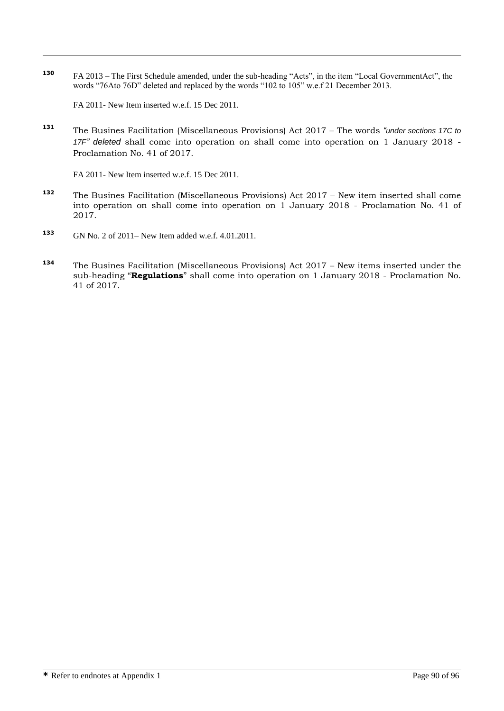**<sup>130</sup>** FA 2013 – The First Schedule amended, under the sub-heading "Acts", in the item "Local GovernmentAct", the words "76Ato 76D" deleted and replaced by the words "102 to 105" w.e.f 21 December 2013.

FA 2011- New Item inserted w.e.f. 15 Dec 2011.

 $\overline{a}$ 

**<sup>131</sup>** The Busines Facilitation (Miscellaneous Provisions) Act 2017 – The words *"under sections 17C to 17F" deleted* shall come into operation on shall come into operation on 1 January 2018 - Proclamation No. 41 of 2017.

FA 2011- New Item inserted w.e.f. 15 Dec 2011.

- **<sup>132</sup>** The Busines Facilitation (Miscellaneous Provisions) Act 2017 New item inserted shall come into operation on shall come into operation on 1 January 2018 - Proclamation No. 41 of 2017.
- **<sup>133</sup>** GN No. 2 of 2011– New Item added w.e.f. 4.01.2011.
- **<sup>134</sup>** The Busines Facilitation (Miscellaneous Provisions) Act 2017 New items inserted under the sub-heading "**Regulations**" shall come into operation on 1 January 2018 - Proclamation No. 41 of 2017.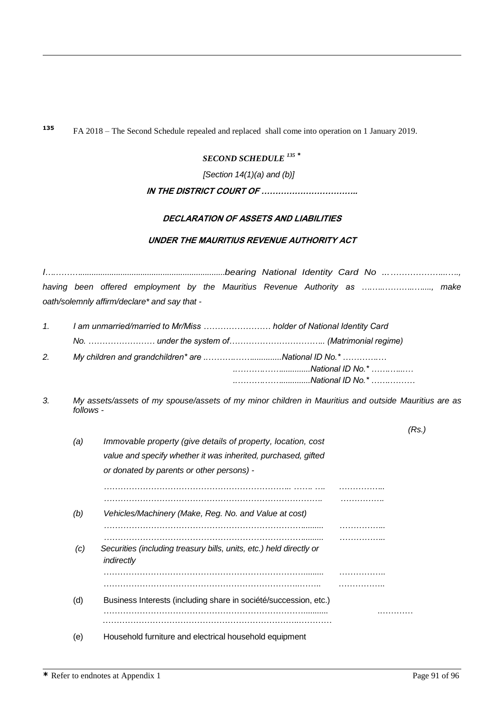**<sup>135</sup>** FA 2018 – The Second Schedule repealed and replaced shall come into operation on 1 January 2019.

# *SECOND SCHEDULE <sup>135</sup> \**

*[Section 14(1)(a) and (b)]*

# **IN THE DISTRICT COURT OF ……………………………..**

# **DECLARATION OF ASSETS AND LIABILITIES**

# **UNDER THE MAURITIUS REVENUE AUTHORITY ACT**

*I….……….................................................................bearing National Identity Card No ...………………...…., having been offered employment by the Mauritius Revenue Authority as ….…..………..…...., make oath/solemnly affirm/declare\* and say that -*

| 1 <sup>1</sup> | I am unmarried/married to Mr/Miss  holder of National Identity Card |                  |  |  |  |
|----------------|---------------------------------------------------------------------|------------------|--|--|--|
|                |                                                                     |                  |  |  |  |
|                | 2. My children and grandchildren* are National ID No.*              |                  |  |  |  |
|                |                                                                     | National ID No.* |  |  |  |
|                |                                                                     |                  |  |  |  |

*3. My assets/assets of my spouse/assets of my minor children in Mauritius and outside Mauritius are as follows -*

|     |                                                                                   | 'Rs |
|-----|-----------------------------------------------------------------------------------|-----|
| (a) | Immovable property (give details of property, location, cost                      |     |
|     | value and specify whether it was inherited, purchased, gifted                     |     |
|     | or donated by parents or other persons) -                                         |     |
|     |                                                                                   |     |
|     |                                                                                   |     |
| (b) | Vehicles/Machinery (Make, Reg. No. and Value at cost)                             |     |
|     |                                                                                   |     |
| (C) | Securities (including treasury bills, units, etc.) held directly or<br>indirectly |     |
|     |                                                                                   |     |
|     |                                                                                   |     |
| (d) | Business Interests (including share in société/succession, etc.)                  |     |
|     |                                                                                   |     |
| (e) | Household furniture and electrical household equipment                            |     |

 $\overline{a}$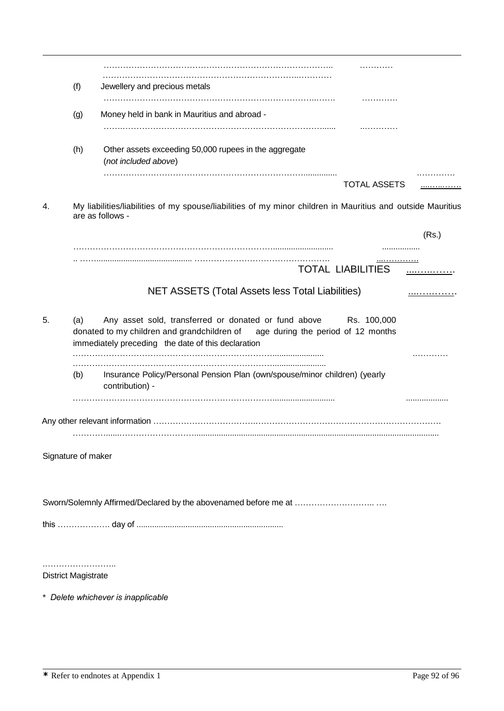|    |                                                                                                                                                                                                                    | .                                                                                             |       |  |  |  |  |  |
|----|--------------------------------------------------------------------------------------------------------------------------------------------------------------------------------------------------------------------|-----------------------------------------------------------------------------------------------|-------|--|--|--|--|--|
|    | (f)                                                                                                                                                                                                                | Jewellery and precious metals<br>.                                                            |       |  |  |  |  |  |
|    | (g)                                                                                                                                                                                                                | Money held in bank in Mauritius and abroad -<br>.                                             |       |  |  |  |  |  |
|    | (h)                                                                                                                                                                                                                | Other assets exceeding 50,000 rupees in the aggregate<br>(not included above)                 |       |  |  |  |  |  |
|    |                                                                                                                                                                                                                    | <b>TOTAL ASSETS</b>                                                                           | .     |  |  |  |  |  |
| 4. | My liabilities/liabilities of my spouse/liabilities of my minor children in Mauritius and outside Mauritius<br>are as follows -                                                                                    |                                                                                               |       |  |  |  |  |  |
|    |                                                                                                                                                                                                                    |                                                                                               | (Rs.) |  |  |  |  |  |
|    |                                                                                                                                                                                                                    | .<br><b>TOTAL LIABILITIES</b>                                                                 |       |  |  |  |  |  |
|    |                                                                                                                                                                                                                    | NET ASSETS (Total Assets less Total Liabilities)                                              |       |  |  |  |  |  |
| 5. | Any asset sold, transferred or donated or fund above Rs. 100,000<br>(a)<br>donated to my children and grandchildren of<br>age during the period of 12 months<br>immediately preceding the date of this declaration |                                                                                               |       |  |  |  |  |  |
|    | (b)                                                                                                                                                                                                                | Insurance Policy/Personal Pension Plan (own/spouse/minor children) (yearly<br>contribution) - |       |  |  |  |  |  |
|    |                                                                                                                                                                                                                    |                                                                                               |       |  |  |  |  |  |
|    | Signature of maker                                                                                                                                                                                                 |                                                                                               |       |  |  |  |  |  |
|    |                                                                                                                                                                                                                    |                                                                                               |       |  |  |  |  |  |
|    |                                                                                                                                                                                                                    |                                                                                               |       |  |  |  |  |  |
|    | <b>District Magistrate</b>                                                                                                                                                                                         |                                                                                               |       |  |  |  |  |  |
|    |                                                                                                                                                                                                                    |                                                                                               |       |  |  |  |  |  |

\* *Delete whichever is inapplicable*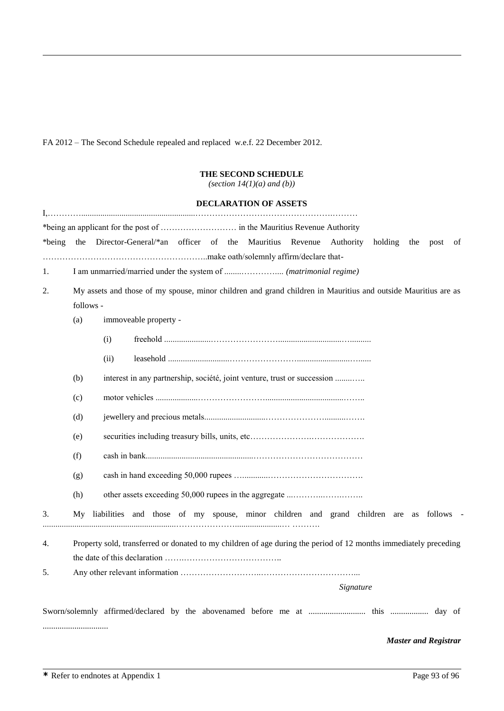FA 2012 – The Second Schedule repealed and replaced w.e.f. 22 December 2012.

 $\overline{a}$ 

# **THE SECOND SCHEDULE**

*(section 14(1)(a) and (b))*

|                                                                                                                                  |                                                                                                                  |      |                                                                                        |  |  | DECLARATION OF ASSETS |  |  |           |     |      |    |
|----------------------------------------------------------------------------------------------------------------------------------|------------------------------------------------------------------------------------------------------------------|------|----------------------------------------------------------------------------------------|--|--|-----------------------|--|--|-----------|-----|------|----|
| *being                                                                                                                           | the                                                                                                              |      | Director-General/*an officer of the Mauritius Revenue Authority                        |  |  |                       |  |  | holding   | the | post | of |
| 1.                                                                                                                               |                                                                                                                  |      |                                                                                        |  |  |                       |  |  |           |     |      |    |
| My assets and those of my spouse, minor children and grand children in Mauritius and outside Mauritius are as<br>2.<br>follows - |                                                                                                                  |      |                                                                                        |  |  |                       |  |  |           |     |      |    |
|                                                                                                                                  | (a)                                                                                                              |      | immoveable property -                                                                  |  |  |                       |  |  |           |     |      |    |
|                                                                                                                                  |                                                                                                                  | (i)  |                                                                                        |  |  |                       |  |  |           |     |      |    |
|                                                                                                                                  |                                                                                                                  | (ii) |                                                                                        |  |  |                       |  |  |           |     |      |    |
|                                                                                                                                  | (b)<br>interest in any partnership, société, joint venture, trust or succession                                  |      |                                                                                        |  |  |                       |  |  |           |     |      |    |
|                                                                                                                                  | (c)                                                                                                              |      |                                                                                        |  |  |                       |  |  |           |     |      |    |
|                                                                                                                                  | (d)                                                                                                              |      |                                                                                        |  |  |                       |  |  |           |     |      |    |
|                                                                                                                                  | (e)                                                                                                              |      |                                                                                        |  |  |                       |  |  |           |     |      |    |
|                                                                                                                                  | (f)                                                                                                              |      |                                                                                        |  |  |                       |  |  |           |     |      |    |
|                                                                                                                                  | (g)                                                                                                              |      |                                                                                        |  |  |                       |  |  |           |     |      |    |
|                                                                                                                                  | (h)                                                                                                              |      |                                                                                        |  |  |                       |  |  |           |     |      |    |
| 3.                                                                                                                               | My.                                                                                                              |      | liabilities and those of my spouse, minor children and grand children are as follows - |  |  |                       |  |  |           |     |      |    |
| 4.                                                                                                                               | Property sold, transferred or donated to my children of age during the period of 12 months immediately preceding |      |                                                                                        |  |  |                       |  |  |           |     |      |    |
| 5.                                                                                                                               |                                                                                                                  |      |                                                                                        |  |  |                       |  |  |           |     |      |    |
|                                                                                                                                  |                                                                                                                  |      |                                                                                        |  |  |                       |  |  | Signature |     |      |    |
|                                                                                                                                  |                                                                                                                  |      |                                                                                        |  |  |                       |  |  |           |     |      |    |

*Master and Registrar*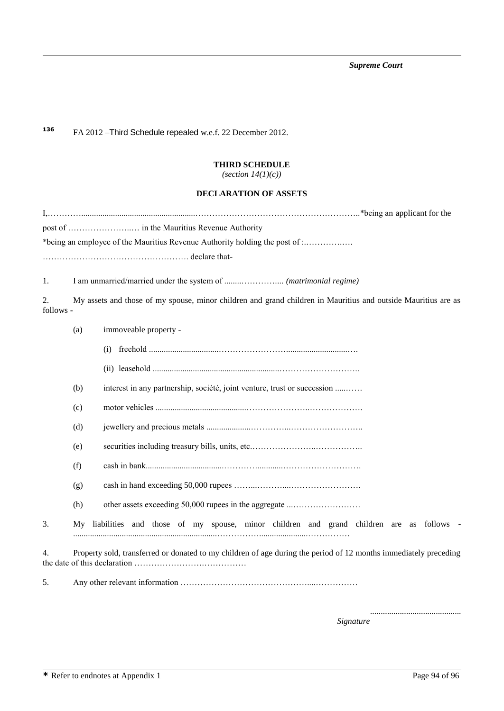*Supreme Court*

**<sup>136</sup>** FA 2012 –Third Schedule repealed w.e.f. 22 December 2012.

 $\overline{a}$ 

# **THIRD SCHEDULE** *(section 14(1)(c))*

# **DECLARATION OF ASSETS**

|                 |                                                                                                               | *being an employee of the Mauritius Revenue Authority holding the post of :                                      |  |  |  |  |  |  |
|-----------------|---------------------------------------------------------------------------------------------------------------|------------------------------------------------------------------------------------------------------------------|--|--|--|--|--|--|
|                 |                                                                                                               | declare that-                                                                                                    |  |  |  |  |  |  |
| 1.              |                                                                                                               |                                                                                                                  |  |  |  |  |  |  |
| 2.<br>follows - | My assets and those of my spouse, minor children and grand children in Mauritius and outside Mauritius are as |                                                                                                                  |  |  |  |  |  |  |
|                 | (a)                                                                                                           | immoveable property -                                                                                            |  |  |  |  |  |  |
|                 |                                                                                                               | (i)                                                                                                              |  |  |  |  |  |  |
|                 |                                                                                                               |                                                                                                                  |  |  |  |  |  |  |
|                 | (b)                                                                                                           | interest in any partnership, société, joint venture, trust or succession                                         |  |  |  |  |  |  |
|                 | (c)                                                                                                           |                                                                                                                  |  |  |  |  |  |  |
|                 | (d)                                                                                                           |                                                                                                                  |  |  |  |  |  |  |
|                 | (e)                                                                                                           |                                                                                                                  |  |  |  |  |  |  |
|                 | (f)                                                                                                           |                                                                                                                  |  |  |  |  |  |  |
|                 | (g)                                                                                                           |                                                                                                                  |  |  |  |  |  |  |
|                 | (h)                                                                                                           | other assets exceeding 50,000 rupees in the aggregate                                                            |  |  |  |  |  |  |
| 3.              | Mv                                                                                                            | liabilities and those of my spouse, minor children and grand children are as follows -                           |  |  |  |  |  |  |
| 4.              |                                                                                                               | Property sold, transferred or donated to my children of age during the period of 12 months immediately preceding |  |  |  |  |  |  |

5. Any other relevant information ………………………………………....……………

...........................................  *Signature*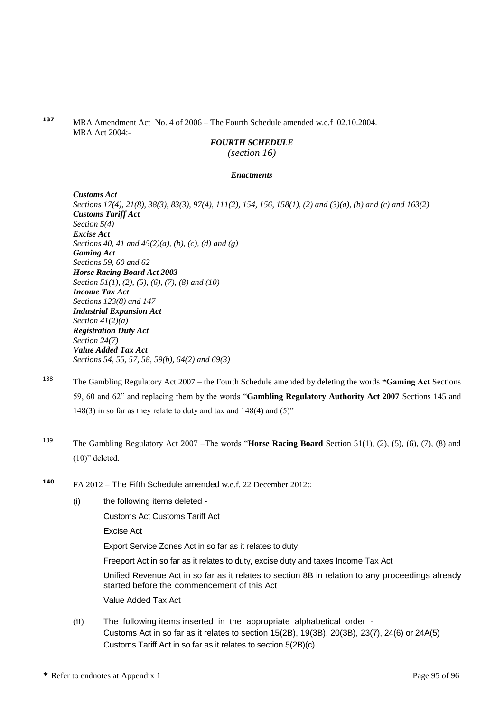**<sup>137</sup>** MRA Amendment Act No. 4 of 2006 – The Fourth Schedule amended w.e.f 02.10.2004. MRA Act 2004:-

# *FOURTH SCHEDULE*

*(section 16)* 

## *Enactments*

*Customs Act Sections 17(4), 21(8), 38(3), 83(3), 97(4), 111(2), 154, 156, 158(1), (2) and (3)(a), (b) and (c) and 163(2) Customs Tariff Act Section 5(4) Excise Act Sections 40, 41 and 45(2)(a), (b), (c), (d) and (g) Gaming Act Sections 59, 60 and 62 Horse Racing Board Act 2003 Section 51(1), (2), (5), (6), (7), (8) and (10) Income Tax Act Sections 123(8) and 147 Industrial Expansion Act Section 41(2)(a) Registration Duty Act Section 24(7) Value Added Tax Act Sections 54, 55, 57, 58, 59(b), 64(2) and 69(3)*

- <sup>138</sup> The Gambling Regulatory Act 2007 the Fourth Schedule amended by deleting the words **"Gaming Act** Sections 59, 60 and 62" and replacing them by the words "**Gambling Regulatory Authority Act 2007** Sections 145 and 148(3) in so far as they relate to duty and tax and  $148(4)$  and  $(5)$ "
- <sup>139</sup> The Gambling Regulatory Act 2007 –The words "**Horse Racing Board** Section 51(1), (2), (5), (6), (7), (8) and (10)" deleted.
- **<sup>140</sup>** FA 2012 The Fifth Schedule amended w.e.f. 22 December 2012::
	- (i) the following items deleted -

Customs Act Customs Tariff Act

Excise Act

 $\overline{a}$ 

Export Service Zones Act in so far as it relates to duty

Freeport Act in so far as it relates to duty, excise duty and taxes Income Tax Act

Unified Revenue Act in so far as it relates to section 8B in relation to any proceedings already started before the commencement of this Act

Value Added Tax Act

(ii) The following items inserted in the appropriate alphabetical order - Customs Act in so far as it relates to section 15(2B), 19(3B), 20(3B), 23(7), 24(6) or 24A(5) Customs Tariff Act in so far as it relates to section 5(2B)(c)